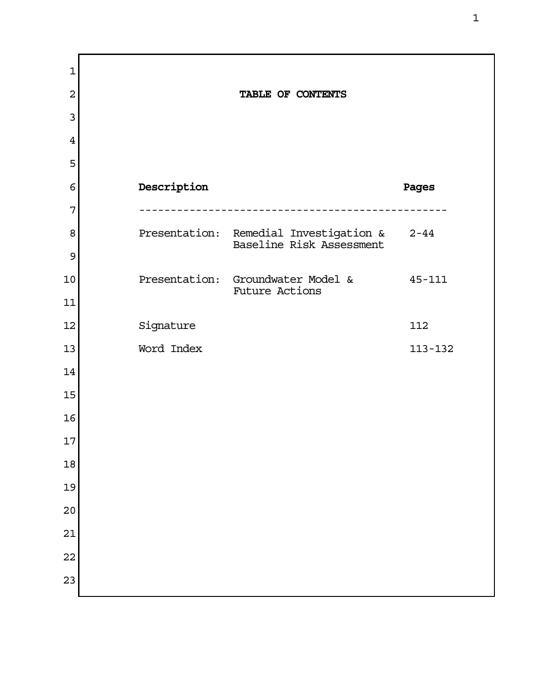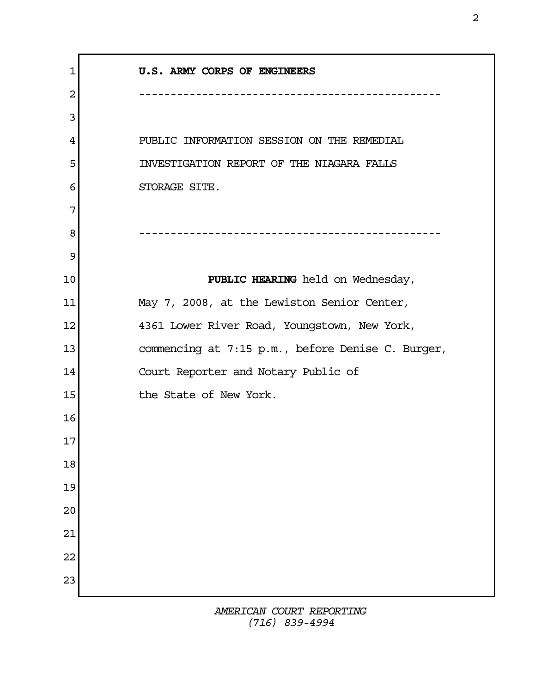| U.S. ARMY CORPS OF ENGINEERS                      |
|---------------------------------------------------|
| ----------------------------                      |
|                                                   |
| PUBLIC INFORMATION SESSION ON THE REMEDIAL        |
| INVESTIGATION REPORT OF THE NIAGARA FALLS         |
| STORAGE SITE.                                     |
|                                                   |
| ------------------------                          |
|                                                   |
| PUBLIC HEARING held on Wednesday,                 |
| May 7, 2008, at the Lewiston Senior Center,       |
| 4361 Lower River Road, Youngstown, New York,      |
| commencing at 7:15 p.m., before Denise C. Burger, |
| Court Reporter and Notary Public of               |
| the State of New York.                            |
|                                                   |
|                                                   |
|                                                   |
|                                                   |
|                                                   |
|                                                   |
|                                                   |
|                                                   |
|                                                   |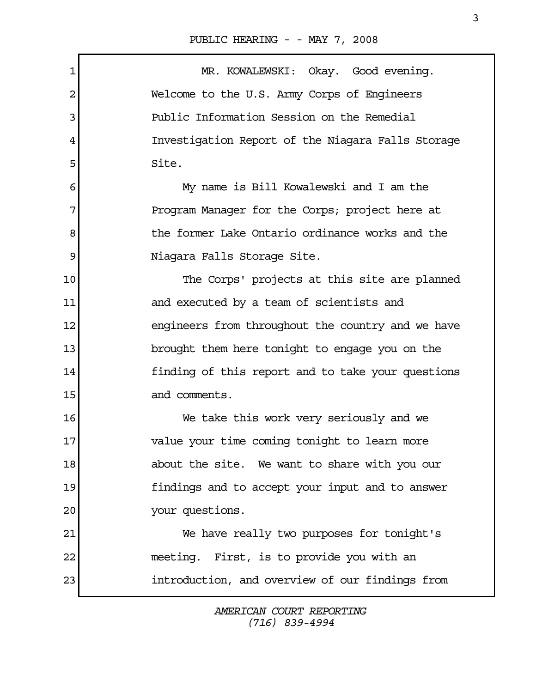PUBLIC HEARING - - MAY 7, 2008

| $\mathbf 1$ | MR. KOWALEWSKI: Okay. Good evening.               |
|-------------|---------------------------------------------------|
| 2           | Welcome to the U.S. Army Corps of Engineers       |
| 3           | Public Information Session on the Remedial        |
| 4           | Investigation Report of the Niagara Falls Storage |
| 5           | Site.                                             |
| 6           | My name is Bill Kowalewski and I am the           |
| 7           | Program Manager for the Corps; project here at    |
| 8           | the former Lake Ontario ordinance works and the   |
| 9           | Niagara Falls Storage Site.                       |
| 10          | The Corps' projects at this site are planned      |
| 11          | and executed by a team of scientists and          |
| 12          | engineers from throughout the country and we have |
| 13          | brought them here tonight to engage you on the    |
| 14          | finding of this report and to take your questions |
| 15          | and comments.                                     |
| 16          | We take this work very seriously and we           |
| $17 \,$     | value your time coming tonight to learn more      |
| 18          | about the site. We want to share with you our     |
| 19          | findings and to accept your input and to answer   |
| 20          | your questions.                                   |
| 21          | We have really two purposes for tonight's         |
| 22          | meeting. First, is to provide you with an         |
| 23          | introduction, and overview of our findings from   |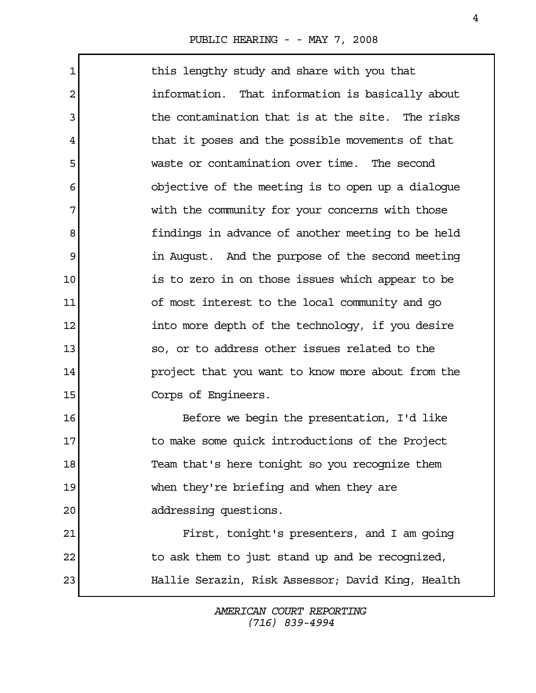1 1 this lengthy study and share with you that 2 **information.** That information is basically about 3 1 The contamination that is at the site. The risks 4 that it poses and the possible movements of that 5 waste or contamination over time. The second 6 objective of the meeting is to open up a dialogue 7 with the community for your concerns with those 8 **1 findings in advance of another meeting to be held** 9 **1** in August. And the purpose of the second meeting 10 is to zero in on those issues which appear to be 11 of most interest to the local community and go 12 into more depth of the technology, if you desire 13 **12** so, or to address other issues related to the 14 project that you want to know more about from the 15 Corps of Engineers. 16 Before we begin the presentation, I'd like 17 17 to make some quick introductions of the Project 18 Team that's here tonight so you recognize them 19 when they're briefing and when they are

20 addressing questions.

21 First, tonight's presenters, and I am going 22 to ask them to just stand up and be recognized, 23 Hallie Serazin, Risk Assessor; David King, Health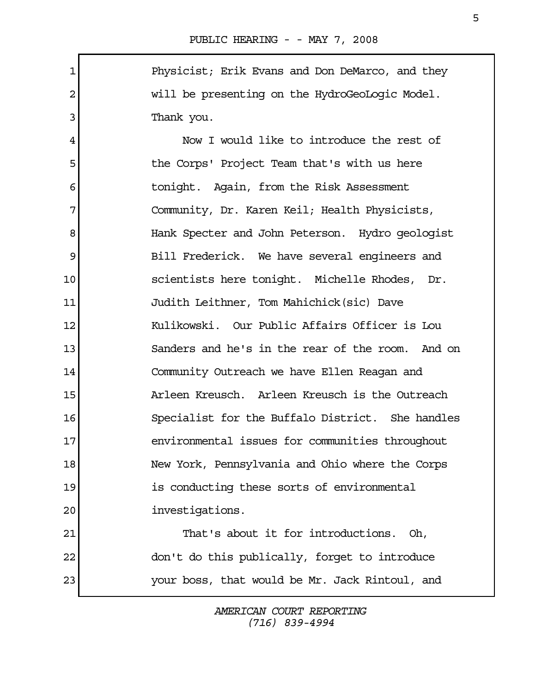1 Physicist; Erik Evans and Don DeMarco, and they 2 will be presenting on the HydroGeoLogic Model. 3 Thank you.

 4 Now I would like to introduce the rest of 5 the Corps' Project Team that's with us here 6 tonight. Again, from the Risk Assessment 7 Community, Dr. Karen Keil; Health Physicists, 8 Hank Specter and John Peterson. Hydro geologist 9 Bill Frederick. We have several engineers and 10 scientists here tonight. Michelle Rhodes, Dr. 11 Judith Leithner, Tom Mahichick(sic) Dave 12 Kulikowski. Our Public Affairs Officer is Lou 13 Sanders and he's in the rear of the room. And on 14 Community Outreach we have Ellen Reagan and 15 Arleen Kreusch. Arleen Kreusch is the Outreach 16 Specialist for the Buffalo District. She handles 17 environmental issues for communities throughout 18 New York, Pennsylvania and Ohio where the Corps 19 is conducting these sorts of environmental 20 investigations. 21 That's about it for introductions. Oh,

22 don't do this publically, forget to introduce 23 your boss, that would be Mr. Jack Rintoul, and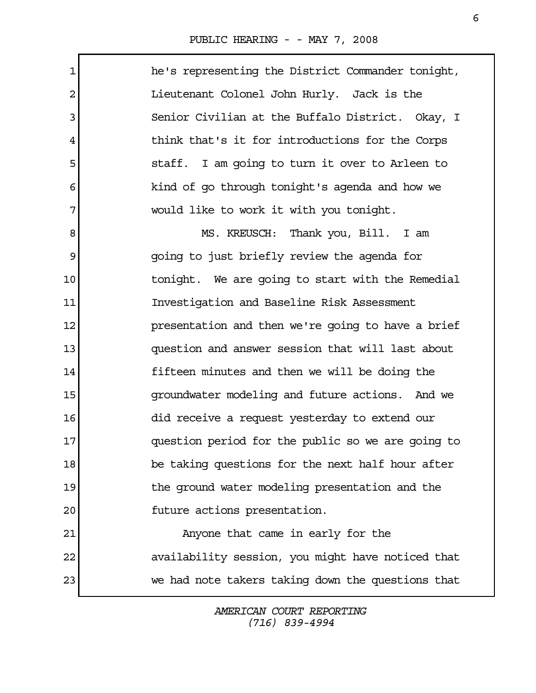Г

| $\mathbf{1}$ | he's representing the District Commander tonight, |
|--------------|---------------------------------------------------|
| 2            | Lieutenant Colonel John Hurly. Jack is the        |
| 3            | Senior Civilian at the Buffalo District. Okay, I  |
| 4            | think that's it for introductions for the Corps   |
| 5            | staff. I am going to turn it over to Arleen to    |
| 6            | kind of go through tonight's agenda and how we    |
| 7            | would like to work it with you tonight.           |
| 8            | MS. KREUSCH: Thank you, Bill. I am                |
| 9            | going to just briefly review the agenda for       |
| 10           | tonight. We are going to start with the Remedial  |
| 11           | Investigation and Baseline Risk Assessment        |
| 12           | presentation and then we're going to have a brief |
| 13           | question and answer session that will last about  |
| 14           | fifteen minutes and then we will be doing the     |
| 15           | groundwater modeling and future actions. And we   |
| 16           | did receive a request yesterday to extend our     |
| 17           | question period for the public so we are going to |
| 18           | be taking questions for the next half hour after  |
| 19           | the ground water modeling presentation and the    |
| 20           | future actions presentation.                      |
| 21           | Anyone that came in early for the                 |
| 22           | availability session, you might have noticed that |
| 23           | we had note takers taking down the questions that |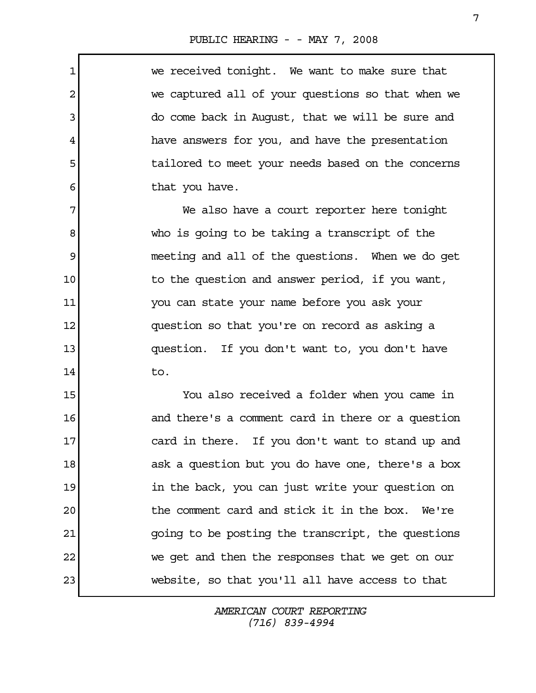1 we received tonight. We want to make sure that 2 we captured all of your questions so that when we 3 do come back in August, that we will be sure and 4 have answers for you, and have the presentation 5 5 tailored to meet your needs based on the concerns 6 that you have. 7 We also have a court reporter here tonight 8 who is going to be taking a transcript of the 9 meeting and all of the questions. When we do get 10 10 to the question and answer period, if you want, 11 you can state your name before you ask your 12 question so that you're on record as asking a 13 question. If you don't want to, you don't have  $14$  to. 15 You also received a folder when you came in 16 and there's a comment card in there or a question 17 card in there. If you don't want to stand up and

18 ask a question but you do have one, there's a box 19 19 19 in the back, you can just write your question on 20 the comment card and stick it in the box. We're 21 going to be posting the transcript, the questions 22 we get and then the responses that we get on our 23 website, so that you'll all have access to that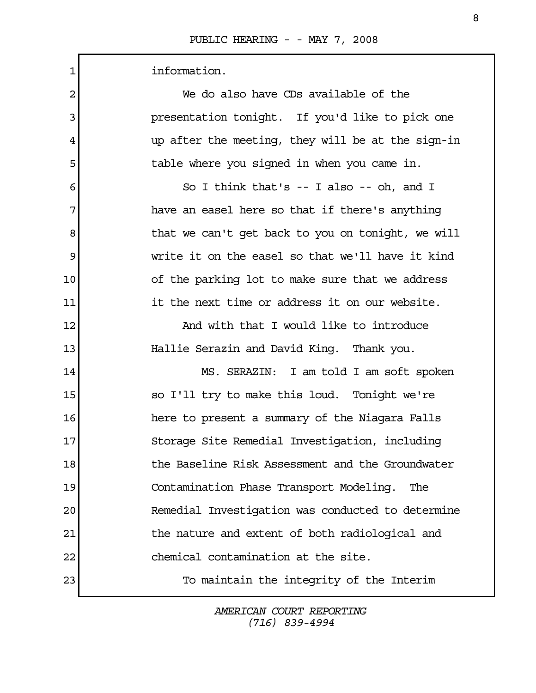| 1  | information.                                      |
|----|---------------------------------------------------|
| 2  | We do also have CDs available of the              |
| 3  | presentation tonight. If you'd like to pick one   |
| 4  | up after the meeting, they will be at the sign-in |
| 5  | table where you signed in when you came in.       |
| 6  | So I think that's $-$ I also $-$ oh, and I        |
| 7  | have an easel here so that if there's anything    |
| 8  | that we can't get back to you on tonight, we will |
| 9  | write it on the easel so that we'll have it kind  |
| 10 | of the parking lot to make sure that we address   |
| 11 | it the next time or address it on our website.    |
| 12 | And with that I would like to introduce           |
| 13 | Hallie Serazin and David King. Thank you.         |
| 14 | MS. SERAZIN: I am told I am soft spoken           |
| 15 | so I'll try to make this loud. Tonight we're      |
| 16 | here to present a summary of the Niagara Falls    |
| 17 | Storage Site Remedial Investigation, including    |
| 18 | the Baseline Risk Assessment and the Groundwater  |
| 19 | Contamination Phase Transport Modeling.<br>The    |
| 20 | Remedial Investigation was conducted to determine |
| 21 | the nature and extent of both radiological and    |
| 22 | chemical contamination at the site.               |
| 23 | To maintain the integrity of the Interim          |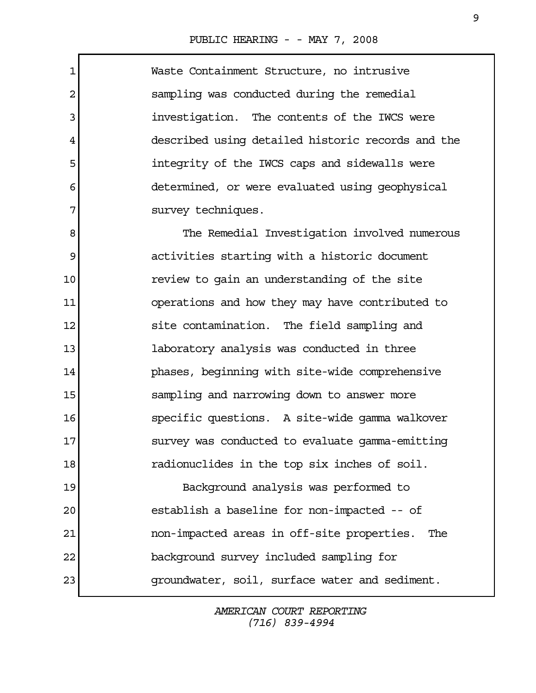1 Waste Containment Structure, no intrusive 2 sampling was conducted during the remedial 3 investigation. The contents of the IWCS were 4 described using detailed historic records and the 5 integrity of the IWCS caps and sidewalls were 6 determined, or were evaluated using geophysical 7 survey techniques. 8 The Remedial Investigation involved numerous 9 activities starting with a historic document 10 **10** review to gain an understanding of the site 11 operations and how they may have contributed to 12 site contamination. The field sampling and 13 laboratory analysis was conducted in three 14 phases, beginning with site-wide comprehensive 15 sampling and narrowing down to answer more 16 specific questions. A site-wide gamma walkover 17 survey was conducted to evaluate gamma-emitting 18 radionuclides in the top six inches of soil. 19 Background analysis was performed to

20 establish a baseline for non-impacted -- of 21 non-impacted areas in off-site properties. The 22 background survey included sampling for 23 groundwater, soil, surface water and sediment.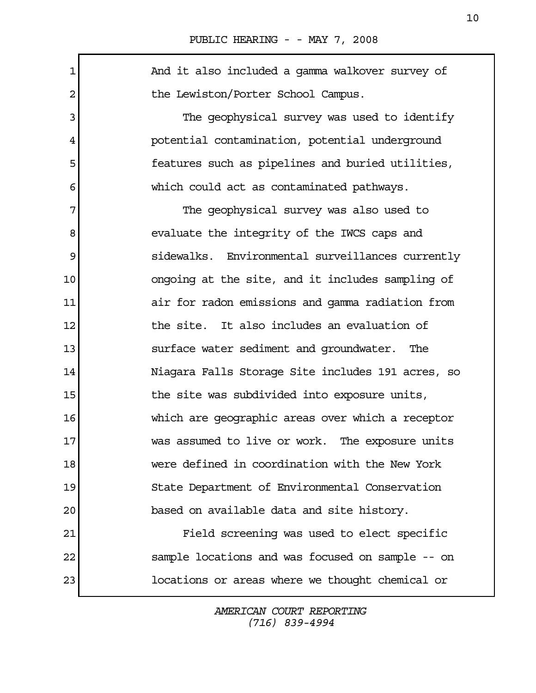1 1 And it also included a gamma walkover survey of 2 the Lewiston/Porter School Campus. 3 The geophysical survey was used to identify 4 potential contamination, potential underground 5 features such as pipelines and buried utilities, 6 which could act as contaminated pathways. 7 The geophysical survey was also used to 8 evaluate the integrity of the IWCS caps and 9 sidewalks. Environmental surveillances currently 10 ongoing at the site, and it includes sampling of 11 air for radon emissions and gamma radiation from 12 the site. It also includes an evaluation of 13 surface water sediment and groundwater. The 14 Niagara Falls Storage Site includes 191 acres, so 15 15 the site was subdivided into exposure units, 16 which are geographic areas over which a receptor 17 Was assumed to live or work. The exposure units 18 were defined in coordination with the New York 19 State Department of Environmental Conservation 20 based on available data and site history. 21 Field screening was used to elect specific 22 sample locations and was focused on sample -- on 23 locations or areas where we thought chemical or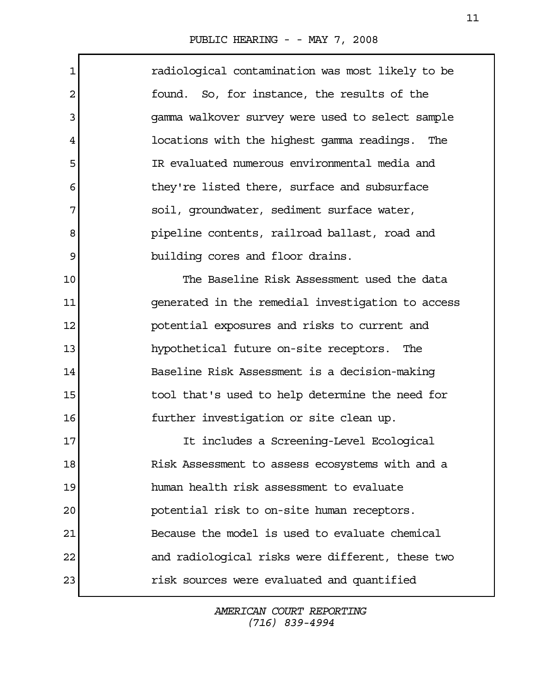$\Gamma$ 

| $\mathbf 1$ | radiological contamination was most likely to be  |
|-------------|---------------------------------------------------|
| 2           | found. So, for instance, the results of the       |
| 3           | gamma walkover survey were used to select sample  |
| 4           | locations with the highest gamma readings. The    |
| 5           | IR evaluated numerous environmental media and     |
| 6           | they're listed there, surface and subsurface      |
| 7           | soil, groundwater, sediment surface water,        |
| 8           | pipeline contents, railroad ballast, road and     |
| 9           | building cores and floor drains.                  |
| 10          | The Baseline Risk Assessment used the data        |
| 11          | generated in the remedial investigation to access |
| 12          | potential exposures and risks to current and      |
| 13          | hypothetical future on-site receptors. The        |
| 14          | Baseline Risk Assessment is a decision-making     |
| 15          | tool that's used to help determine the need for   |
| 16          | further investigation or site clean up.           |
| 17          | It includes a Screening-Level Ecological          |
| 18          | Risk Assessment to assess ecosystems with and a   |
| 19          | human health risk assessment to evaluate          |
| 20          | potential risk to on-site human receptors.        |
| 21          | Because the model is used to evaluate chemical    |
| 22          | and radiological risks were different, these two  |
| 23          | risk sources were evaluated and quantified        |
|             |                                                   |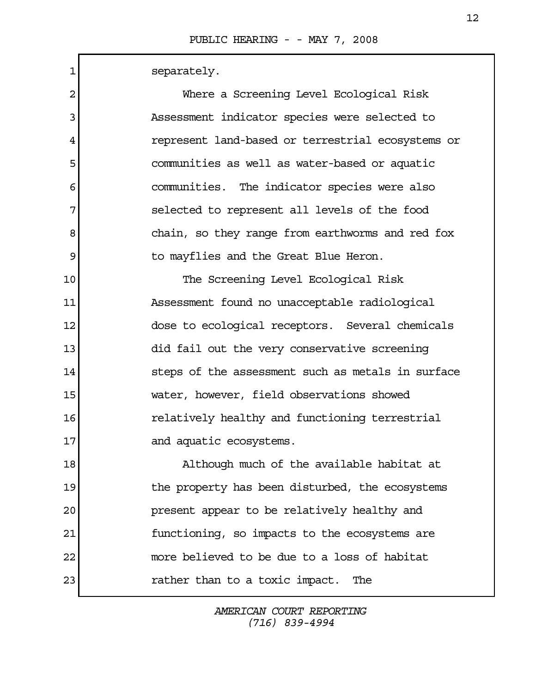Г

| $\mathbf{1}$ | separately.                                       |
|--------------|---------------------------------------------------|
| 2            | Where a Screening Level Ecological Risk           |
| 3            | Assessment indicator species were selected to     |
| 4            | represent land-based or terrestrial ecosystems or |
| 5            | communities as well as water-based or aquatic     |
| 6            | communities. The indicator species were also      |
| 7            | selected to represent all levels of the food      |
| 8            | chain, so they range from earthworms and red fox  |
| 9            | to mayflies and the Great Blue Heron.             |
| 10           | The Screening Level Ecological Risk               |
| 11           | Assessment found no unacceptable radiological     |
| 12           | dose to ecological receptors. Several chemicals   |
| 13           | did fail out the very conservative screening      |
| 14           | steps of the assessment such as metals in surface |
| 15           | water, however, field observations showed         |
| 16           | relatively healthy and functioning terrestrial    |
| 17           | and aquatic ecosystems.                           |
| 18           | Although much of the available habitat at         |
| 19           | the property has been disturbed, the ecosystems   |
| 20           | present appear to be relatively healthy and       |
| 21           | functioning, so impacts to the ecosystems are     |
| 22           | more believed to be due to a loss of habitat      |
| 23           | rather than to a toxic impact.<br>The             |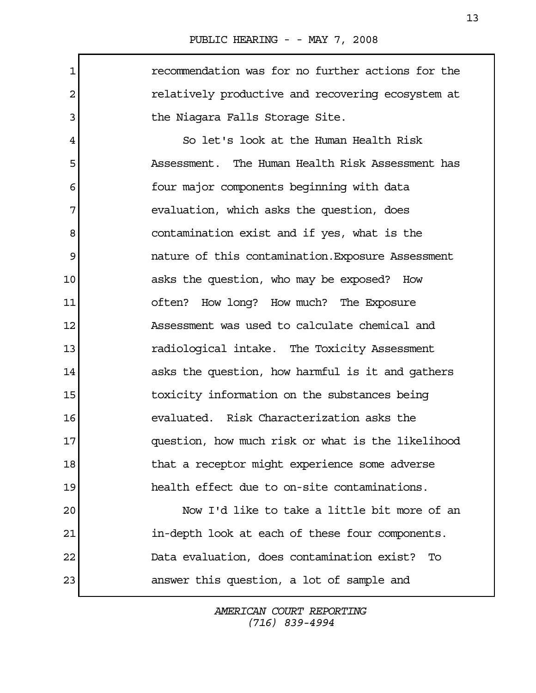1 recommendation was for no further actions for the 2 relatively productive and recovering ecosystem at 3 blue Niagara Falls Storage Site.

 4 So let's look at the Human Health Risk 5 Assessment. The Human Health Risk Assessment has 6 **four major components beginning with data** 7 | evaluation, which asks the question, does 8 contamination exist and if yes, what is the 9 nature of this contamination.Exposure Assessment 10 asks the question, who may be exposed? How 11 often? How long? How much? The Exposure 12 Assessment was used to calculate chemical and 13 radiological intake. The Toxicity Assessment 14 asks the question, how harmful is it and gathers 15 toxicity information on the substances being 16 evaluated. Risk Characterization asks the 17 question, how much risk or what is the likelihood 18 18 that a receptor might experience some adverse 19 health effect due to on-site contaminations.

20 Now I'd like to take a little bit more of an 21 in-depth look at each of these four components. 22 Data evaluation, does contamination exist? To 23 answer this question, a lot of sample and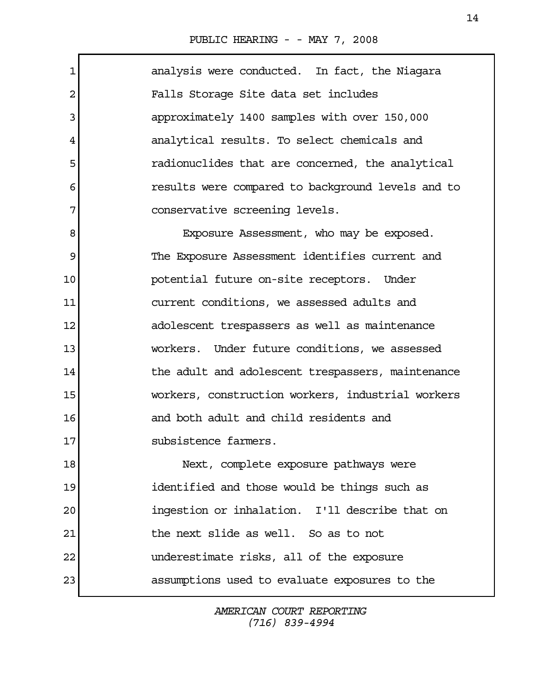1 analysis were conducted. In fact, the Niagara 2 Falls Storage Site data set includes 3 approximately 1400 samples with over 150,000 4 analytical results. To select chemicals and 5 5 5 5 radionuclides that are concerned, the analytical 6 results were compared to background levels and to 7 conservative screening levels. 8 Exposure Assessment, who may be exposed. 9 The Exposure Assessment identifies current and 10 potential future on-site receptors. Under 11 current conditions, we assessed adults and 12 adolescent trespassers as well as maintenance 13 workers. Under future conditions, we assessed 14 14 the adult and adolescent trespassers, maintenance 15 workers, construction workers, industrial workers 16 and both adult and child residents and 17 subsistence farmers. 18 Next, complete exposure pathways were 19 identified and those would be things such as 20 ingestion or inhalation. I'll describe that on 21 the next slide as well. So as to not 22 underestimate risks, all of the exposure 23 assumptions used to evaluate exposures to the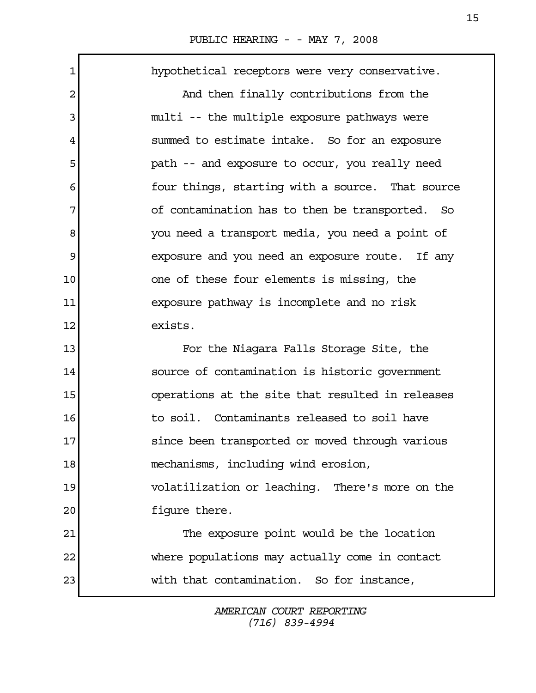1 hypothetical receptors were very conservative. 2 And then finally contributions from the 3 multi -- the multiple exposure pathways were 4 summed to estimate intake. So for an exposure 5 state of path -- and exposure to occur, you really need 6 **four things, starting with a source.** That source 7 of contamination has to then be transported. So 8 vou need a transport media, you need a point of 9 exposure and you need an exposure route. If any 10 one of these four elements is missing, the 11 exposure pathway is incomplete and no risk 12 exists. 13 For the Niagara Falls Storage Site, the 14 source of contamination is historic government 15 operations at the site that resulted in releases 16 to soil. Contaminants released to soil have 17 since been transported or moved through various 18 mechanisms, including wind erosion, 19 volatilization or leaching. There's more on the 20 figure there. 21 The exposure point would be the location 22 where populations may actually come in contact 23 with that contamination. So for instance,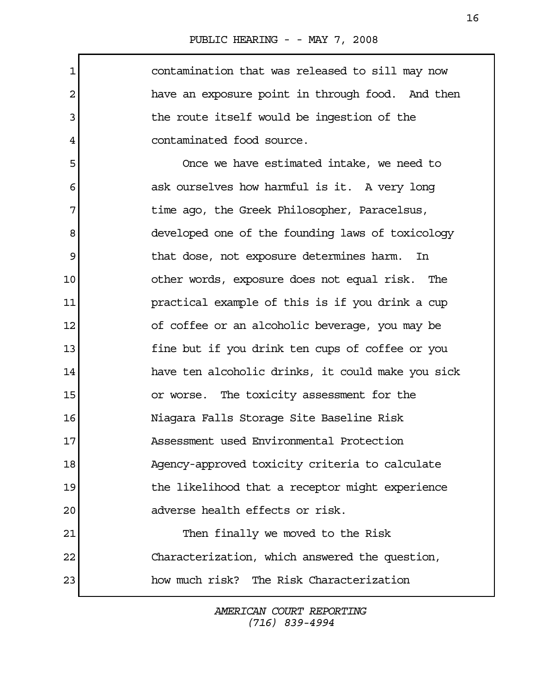1 contamination that was released to sill may now 2 have an exposure point in through food. And then 3 1 4 contaminated food source. 5 Once we have estimated intake, we need to 6 6 6 6 ask ourselves how harmful is it. A very long 7 1 Time ago, the Greek Philosopher, Paracelsus, 8 developed one of the founding laws of toxicology 9 1 10 other words, exposure does not equal risk. The 11 practical example of this is if you drink a cup 12 of coffee or an alcoholic beverage, you may be 13 fine but if you drink ten cups of coffee or you 14 have ten alcoholic drinks, it could make you sick 15 or worse. The toxicity assessment for the 16 Niagara Falls Storage Site Baseline Risk 17 Assessment used Environmental Protection 18 Agency-approved toxicity criteria to calculate 19 19 the likelihood that a receptor might experience 20 adverse health effects or risk. 21 Then finally we moved to the Risk 22 Characterization, which answered the question, 23 how much risk? The Risk Characterization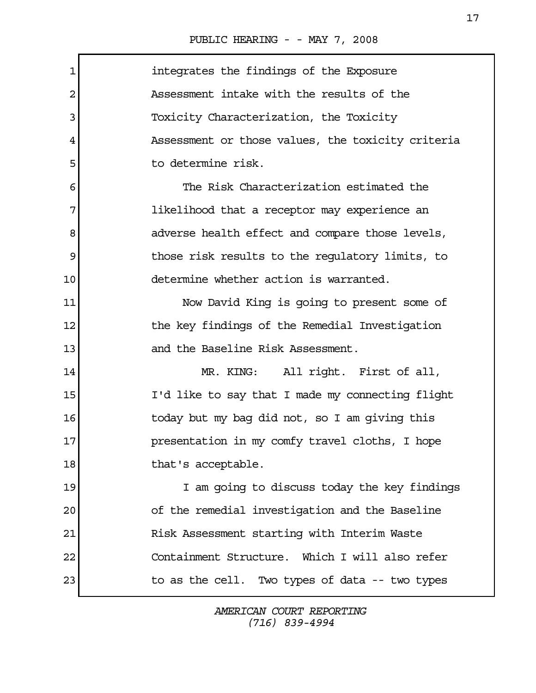| 1  | integrates the findings of the Exposure           |
|----|---------------------------------------------------|
| 2  | Assessment intake with the results of the         |
| 3  | Toxicity Characterization, the Toxicity           |
| 4  | Assessment or those values, the toxicity criteria |
| 5  | to determine risk.                                |
| 6  | The Risk Characterization estimated the           |
| 7  | likelihood that a receptor may experience an      |
| 8  | adverse health effect and compare those levels,   |
| 9  | those risk results to the regulatory limits, to   |
| 10 | determine whether action is warranted.            |
| 11 | Now David King is going to present some of        |
| 12 | the key findings of the Remedial Investigation    |
| 13 | and the Baseline Risk Assessment.                 |
| 14 | All right. First of all,<br>MR. KING:             |
| 15 | I'd like to say that I made my connecting flight  |
| 16 | today but my bag did not, so I am giving this     |
| 17 | presentation in my comfy travel cloths, I hope    |
| 18 | that's acceptable.                                |
| 19 | I am going to discuss today the key findings      |
| 20 | of the remedial investigation and the Baseline    |
| 21 | Risk Assessment starting with Interim Waste       |
| 22 | Containment Structure. Which I will also refer    |
| 23 | to as the cell. Two types of data -- two types    |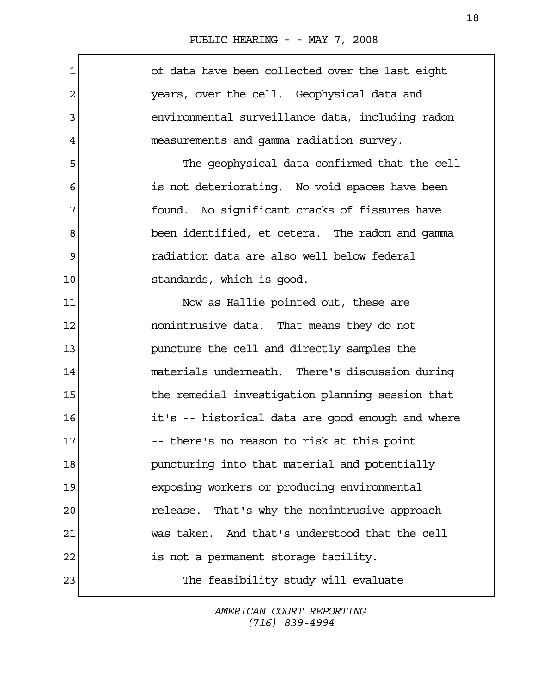$\mathbf{r}$ 

| $\mathbf{1}$ | of data have been collected over the last eight   |
|--------------|---------------------------------------------------|
| 2            | years, over the cell. Geophysical data and        |
| 3            | environmental surveillance data, including radon  |
| 4            | measurements and gamma radiation survey.          |
| 5            | The geophysical data confirmed that the cell      |
| 6            | is not deteriorating. No void spaces have been    |
| 7            | found. No significant cracks of fissures have     |
| 8            | been identified, et cetera. The radon and gamma   |
| 9            | radiation data are also well below federal        |
| 10           | standards, which is good.                         |
| 11           | Now as Hallie pointed out, these are              |
| 12           | nonintrusive data. That means they do not         |
| 13           | puncture the cell and directly samples the        |
| 14           | materials underneath. There's discussion during   |
| 15           | the remedial investigation planning session that  |
| 16           | it's -- historical data are good enough and where |
| 17           | -- there's no reason to risk at this point        |
| 18           | puncturing into that material and potentially     |
| 19           | exposing workers or producing environmental       |
| 20           | release. That's why the nonintrusive approach     |
| 21           | was taken. And that's understood that the cell    |
| 22           | is not a permanent storage facility.              |
| 23           | The feasibility study will evaluate               |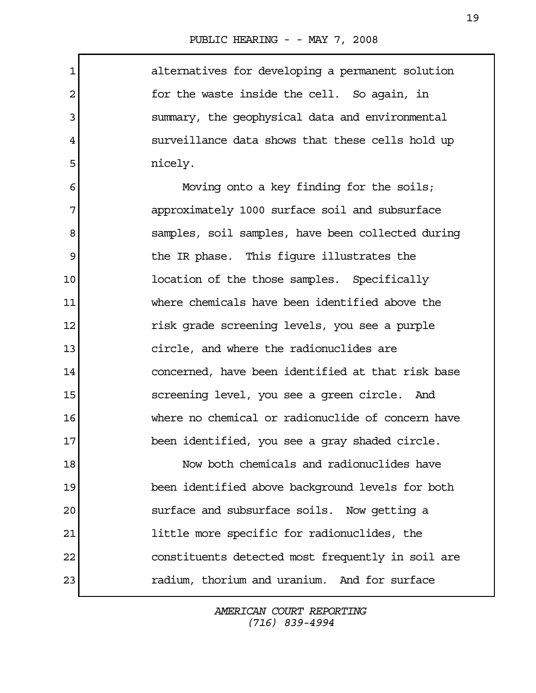$\Gamma$ 

| $\mathbf{1}$   | alternatives for developing a permanent solution  |
|----------------|---------------------------------------------------|
| $\overline{2}$ | for the waste inside the cell. So again, in       |
| 3              | summary, the geophysical data and environmental   |
| 4              | surveillance data shows that these cells hold up  |
| 5              | nicely.                                           |
| 6              | Moving onto a key finding for the soils;          |
| 7              | approximately 1000 surface soil and subsurface    |
| 8              | samples, soil samples, have been collected during |
| 9              | the IR phase. This figure illustrates the         |
| 10             | location of the those samples. Specifically       |
| 11             | where chemicals have been identified above the    |
| 12             | risk grade screening levels, you see a purple     |
| 13             | circle, and where the radionuclides are           |
| 14             | concerned, have been identified at that risk base |
| 15             | screening level, you see a green circle. And      |
| 16             | where no chemical or radionuclide of concern have |
| 17             | been identified, you see a gray shaded circle.    |
| 18             | Now both chemicals and radionuclides have         |
| 19             | been identified above background levels for both  |
| 20             | surface and subsurface soils. Now getting a       |
| 21             | little more specific for radionuclides, the       |
| 22             | constituents detected most frequently in soil are |
| 23             | radium, thorium and uranium. And for surface      |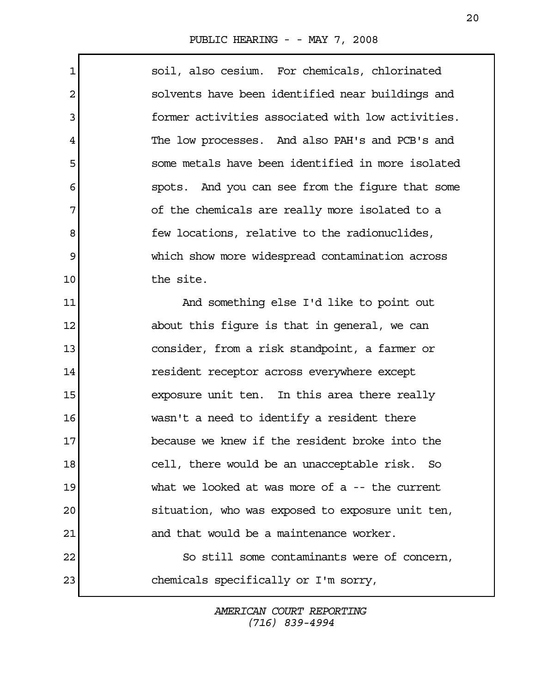| 1              | soil, also cesium. For chemicals, chlorinated     |
|----------------|---------------------------------------------------|
| $\overline{c}$ | solvents have been identified near buildings and  |
| 3              | former activities associated with low activities. |
| 4              | The low processes. And also PAH's and PCB's and   |
| 5              | some metals have been identified in more isolated |
| 6              | spots. And you can see from the figure that some  |
| 7              | of the chemicals are really more isolated to a    |
| 8              | few locations, relative to the radionuclides,     |
| $\mathsf 9$    | which show more widespread contamination across   |
| 10             | the site.                                         |
| 11             | And something else I'd like to point out          |
| 12             | about this figure is that in general, we can      |
| 13             | consider, from a risk standpoint, a farmer or     |
| 14             | resident receptor across everywhere except        |
| 15             | exposure unit ten. In this area there really      |
| 16             | wasn't a need to identify a resident there        |
| 17             | because we knew if the resident broke into the    |
| 18             | cell, there would be an unacceptable risk. So     |
| 19             | what we looked at was more of a $-$ the current   |
| 20             | situation, who was exposed to exposure unit ten,  |
| 21             | and that would be a maintenance worker.           |
| 22             | So still some contaminants were of concern,       |
| 23             | chemicals specifically or I'm sorry,              |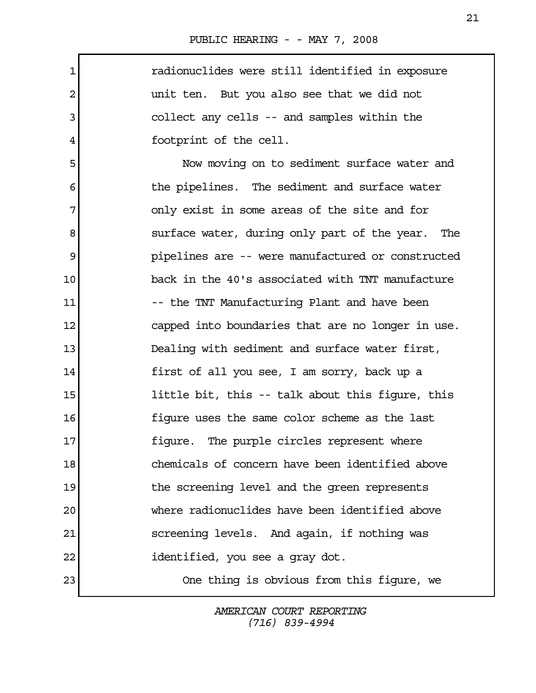1 radionuclides were still identified in exposure 2 and 1 unit ten. But you also see that we did not 3 collect any cells -- and samples within the 4 footprint of the cell. 5 Now moving on to sediment surface water and 6 6 6 the pipelines. The sediment and surface water 7 only exist in some areas of the site and for 8 surface water, during only part of the year. The 9 pipelines are -- were manufactured or constructed 10 back in the 40's associated with TNT manufacture 11 -- the TNT Manufacturing Plant and have been 12 capped into boundaries that are no longer in use. 13 Dealing with sediment and surface water first, 14 first of all you see, I am sorry, back up a 15 15 little bit, this -- talk about this figure, this 16 figure uses the same color scheme as the last 17 **figure.** The purple circles represent where 18 chemicals of concern have been identified above 19 19 the screening level and the green represents 20 where radionuclides have been identified above 21 screening levels. And again, if nothing was 22 identified, you see a gray dot. 23 One thing is obvious from this figure, we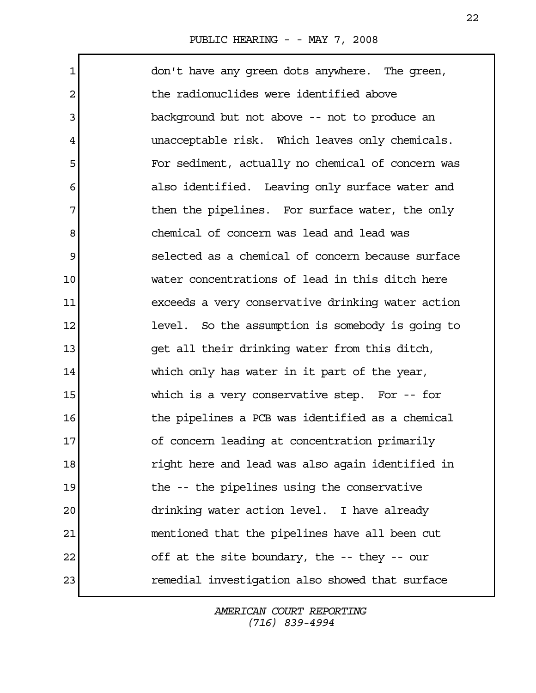$\Gamma$ 

| $\mathbf{1}$   | don't have any green dots anywhere. The green,    |
|----------------|---------------------------------------------------|
| $\overline{2}$ | the radionuclides were identified above           |
| 3              | background but not above -- not to produce an     |
| 4              | unacceptable risk. Which leaves only chemicals.   |
| 5              | For sediment, actually no chemical of concern was |
| 6              | also identified. Leaving only surface water and   |
| 7              | then the pipelines. For surface water, the only   |
| 8              | chemical of concern was lead and lead was         |
| 9              | selected as a chemical of concern because surface |
| 10             | water concentrations of lead in this ditch here   |
| 11             | exceeds a very conservative drinking water action |
| 12             | level. So the assumption is somebody is going to  |
| 13             | get all their drinking water from this ditch,     |
| 14             | which only has water in it part of the year,      |
| 15             | which is a very conservative step. For $-$ - for  |
| 16             | the pipelines a PCB was identified as a chemical  |
| 17             | of concern leading at concentration primarily     |
| 18             | right here and lead was also again identified in  |
| 19             | the -- the pipelines using the conservative       |
| 20             | drinking water action level. I have already       |
| 21             | mentioned that the pipelines have all been cut    |
| 22             | off at the site boundary, the -- they -- our      |
| 23             | remedial investigation also showed that surface   |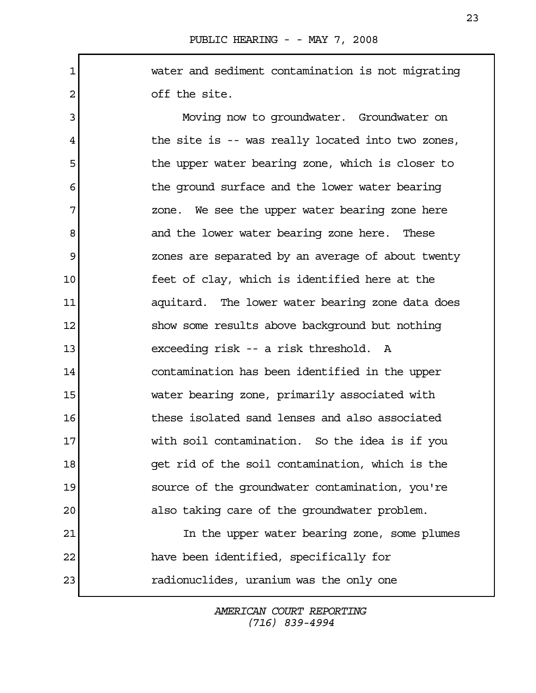1 water and sediment contamination is not migrating 2 off the site.

 3 Moving now to groundwater. Groundwater on 4 the site is -- was really located into two zones, 5 the upper water bearing zone, which is closer to 6 the ground surface and the lower water bearing 7 zone. We see the upper water bearing zone here 8 and the lower water bearing zone here. These 9 zones are separated by an average of about twenty 10 feet of clay, which is identified here at the 11 aquitard. The lower water bearing zone data does 12 show some results above background but nothing 13 exceeding risk -- a risk threshold. A 14 contamination has been identified in the upper 15 water bearing zone, primarily associated with 16 these isolated sand lenses and also associated 17 with soil contamination. So the idea is if you 18 get rid of the soil contamination, which is the 19 source of the groundwater contamination, you're 20 also taking care of the groundwater problem. 21 In the upper water bearing zone, some plumes 22 have been identified, specifically for

23 radionuclides, uranium was the only one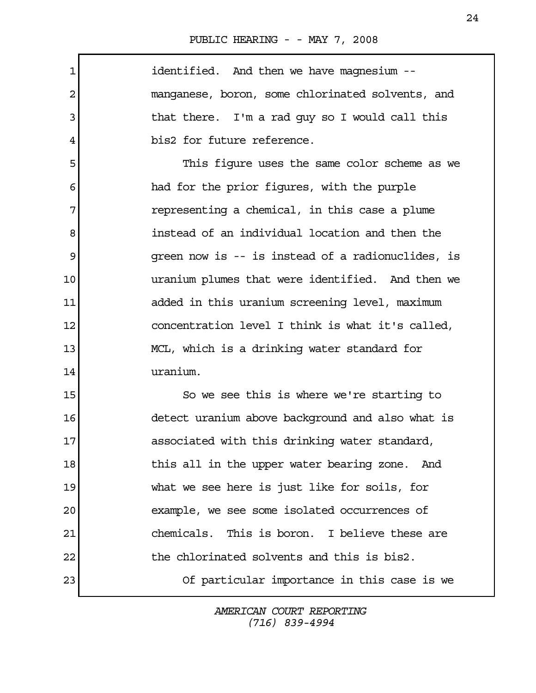PUBLIC HEARING - - MAY 7, 2008

1 **identified.** And then we have magnesium --2 manganese, boron, some chlorinated solvents, and 3 1 1 that there. I'm a rad guy so I would call this 4 bis2 for future reference. 5 This figure uses the same color scheme as we 6 had for the prior figures, with the purple 7 **1** representing a chemical, in this case a plume 8 instead of an individual location and then the 9 9 9 green now is -- is instead of a radionuclides, is 10 uranium plumes that were identified. And then we 11 added in this uranium screening level, maximum 12 **concentration level I think is what it's called**, 13 MCL, which is a drinking water standard for 14 uranium. 15 So we see this is where we're starting to 16 detect uranium above background and also what is 17 associated with this drinking water standard, 18 18 18 this all in the upper water bearing zone. And 19 what we see here is just like for soils, for 20 example, we see some isolated occurrences of 21 chemicals. This is boron. I believe these are 22 the chlorinated solvents and this is bis2. 23 Of particular importance in this case is we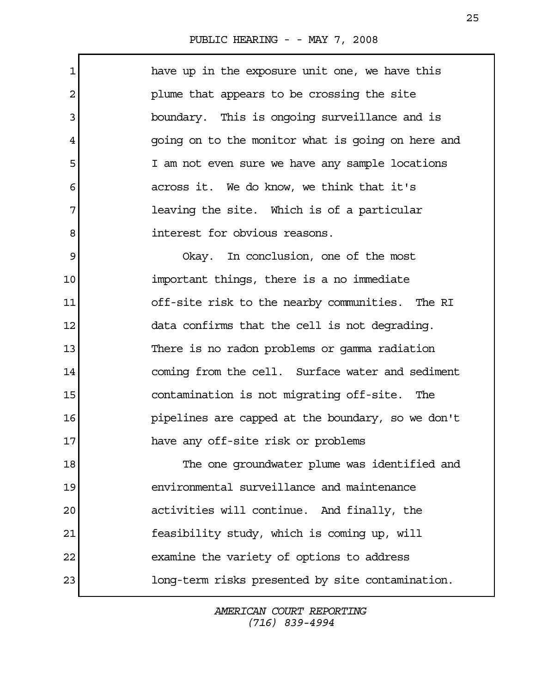## PUBLIC HEARING - - MAY 7, 2008

 1 have up in the exposure unit one, we have this 2 plume that appears to be crossing the site 3 boundary. This is ongoing surveillance and is 4 going on to the monitor what is going on here and 5 I am not even sure we have any sample locations 6 across it. We do know, we think that it's 7 **leaving the site.** Which is of a particular 8 a straight interest for obvious reasons. 9 Okay. In conclusion, one of the most 10 important things, there is a no immediate 11 off-site risk to the nearby communities. The RI 12 data confirms that the cell is not degrading. 13 There is no radon problems or gamma radiation 14 coming from the cell. Surface water and sediment 15 contamination is not migrating off-site. The

16 pipelines are capped at the boundary, so we don't 17 have any off-site risk or problems

18 The one groundwater plume was identified and 19 environmental surveillance and maintenance 20 activities will continue. And finally, the 21 feasibility study, which is coming up, will 22 examine the variety of options to address 23 long-term risks presented by site contamination.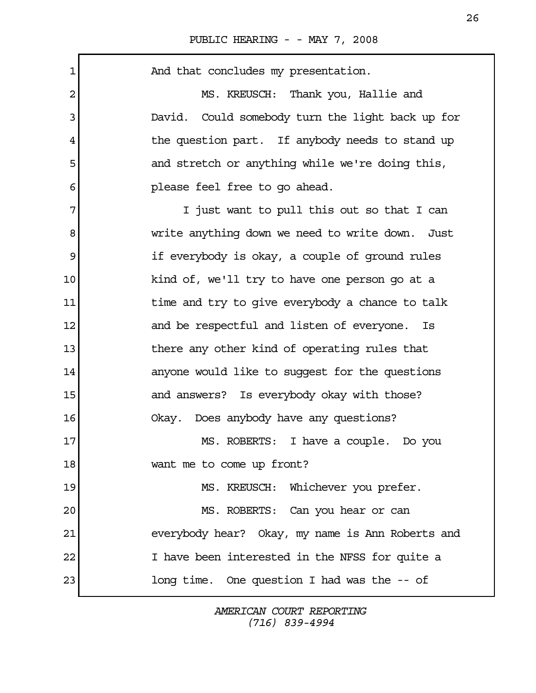| $\mathbf 1$    | And that concludes my presentation.                 |
|----------------|-----------------------------------------------------|
| $\overline{c}$ | MS. KREUSCH: Thank you, Hallie and                  |
| 3              | Could somebody turn the light back up for<br>David. |
| 4              | the question part. If anybody needs to stand up     |
| 5              | and stretch or anything while we're doing this,     |
| 6              | please feel free to go ahead.                       |
| 7              | I just want to pull this out so that I can          |
| 8              | write anything down we need to write down.<br>Just  |
| 9              | if everybody is okay, a couple of ground rules      |
| 10             | kind of, we'll try to have one person go at a       |
| 11             | time and try to give everybody a chance to talk     |
| 12             | and be respectful and listen of everyone. Is        |
| 13             | there any other kind of operating rules that        |
| 14             | anyone would like to suggest for the questions      |
| 15             | and answers? Is everybody okay with those?          |
| 16             | Okay. Does anybody have any questions?              |
| 17             | MS. ROBERTS: I have a couple. Do you                |
| 18             | want me to come up front?                           |
| 19             | MS. KREUSCH: Whichever you prefer.                  |
| 20             | MS. ROBERTS: Can you hear or can                    |
| 21             | everybody hear? Okay, my name is Ann Roberts and    |
| 22             | I have been interested in the NFSS for quite a      |
| 23             | long time. One question I had was the -- of         |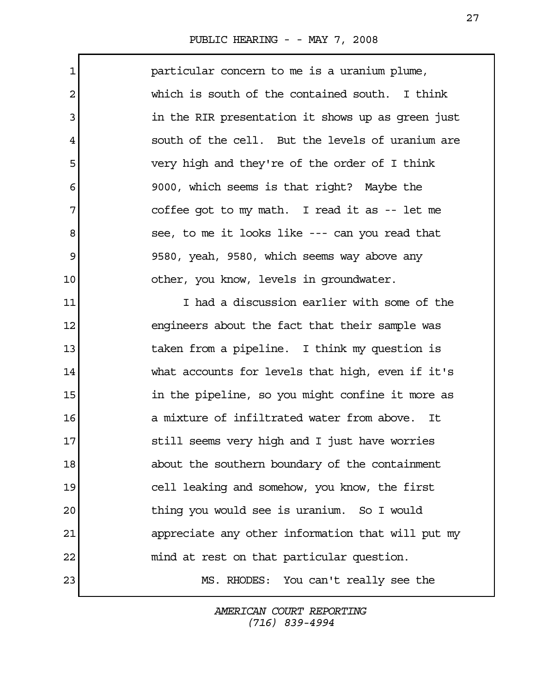$\mathsf{r}$ 

| $\mathbf{1}$   | particular concern to me is a uranium plume,      |
|----------------|---------------------------------------------------|
| $\overline{2}$ | which is south of the contained south. I think    |
| 3              | in the RIR presentation it shows up as green just |
| 4              | south of the cell. But the levels of uranium are  |
| 5              | very high and they're of the order of I think     |
| 6              | 9000, which seems is that right? Maybe the        |
| 7              | coffee got to my math. I read it as -- let me     |
| 8              | see, to me it looks like --- can you read that    |
| 9              | 9580, yeah, 9580, which seems way above any       |
| 10             | other, you know, levels in groundwater.           |
| 11             | I had a discussion earlier with some of the       |
| 12             | engineers about the fact that their sample was    |
| 13             | taken from a pipeline. I think my question is     |
| 14             | what accounts for levels that high, even if it's  |
| 15             | in the pipeline, so you might confine it more as  |
| 16             | a mixture of infiltrated water from above. It     |
| 17             | still seems very high and I just have worries     |
| 18             | about the southern boundary of the containment    |
| 19             | cell leaking and somehow, you know, the first     |
| 20             | thing you would see is uranium. So I would        |
| 21             | appreciate any other information that will put my |

23 MS. RHODES: You can't really see the

AMERICAN COURT REPORTING (716) 839-4994

22 mind at rest on that particular question.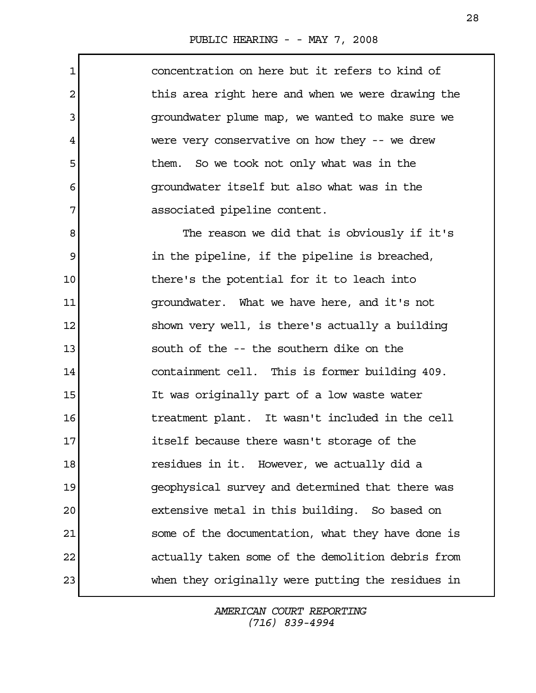1 concentration on here but it refers to kind of 2 1 3 groundwater plume map, we wanted to make sure we 4 were very conservative on how they -- we drew 5 5 them. So we took not only what was in the 6 groundwater itself but also what was in the 7 associated pipeline content. 8 8 The reason we did that is obviously if it's 9 **in the pipeline, if the pipeline is breached,** 10 there's the potential for it to leach into 11 groundwater. What we have here, and it's not 12 shown very well, is there's actually a building 13 south of the -- the southern dike on the 14 containment cell. This is former building 409. 15 It was originally part of a low waste water 16 16 treatment plant. It wasn't included in the cell 17 itself because there wasn't storage of the 18 residues in it. However, we actually did a 19 geophysical survey and determined that there was 20 extensive metal in this building. So based on 21 some of the documentation, what they have done is 22 actually taken some of the demolition debris from 23 when they originally were putting the residues in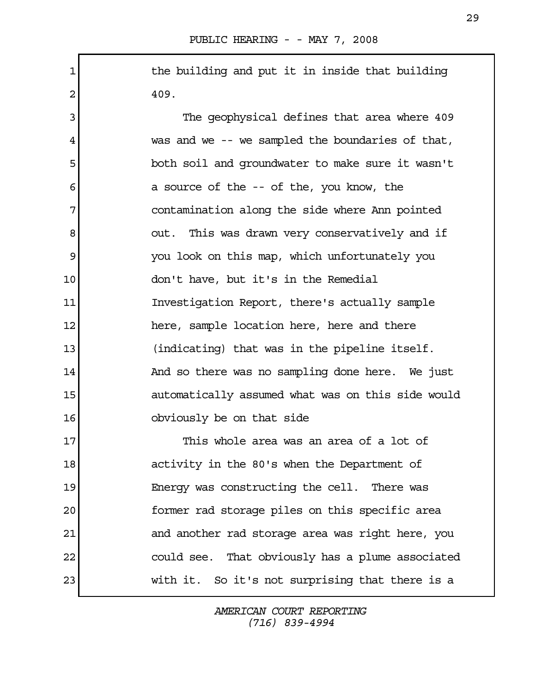1 1 the building and put it in inside that building  $2 \mid 409.$ 

3 The geophysical defines that area where 409 4 was and we -- we sampled the boundaries of that, 5 both soil and groundwater to make sure it wasn't 6 a source of the -- of the, you know, the 7 contamination along the side where Ann pointed 8 8 out. This was drawn very conservatively and if 9 you look on this map, which unfortunately you 10 don't have, but it's in the Remedial 11 Investigation Report, there's actually sample 12 here, sample location here, here and there 13 (indicating) that was in the pipeline itself. 14 And so there was no sampling done here. We just 15 automatically assumed what was on this side would 16 **b**obviously be on that side

17 This whole area was an area of a lot of 18 activity in the 80's when the Department of 19 Energy was constructing the cell. There was 20 former rad storage piles on this specific area 21 and another rad storage area was right here, you 22 could see. That obviously has a plume associated 23 with it. So it's not surprising that there is a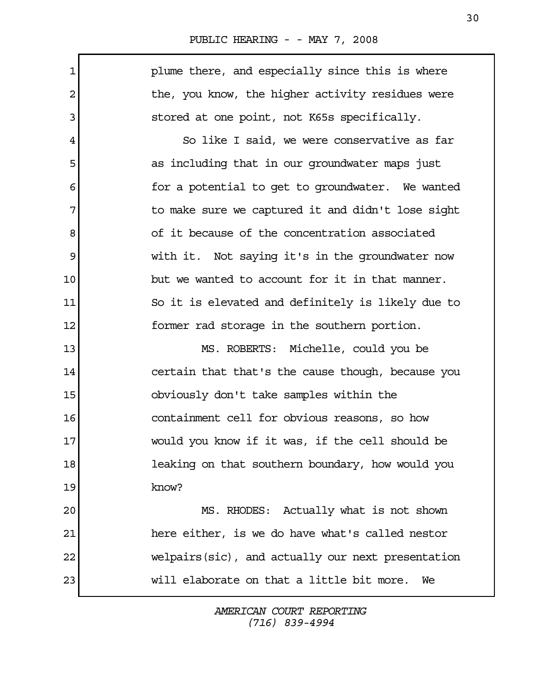|  | PUBLIC HEARING - - MAY 7, 2008 |  |  |  |  |  |
|--|--------------------------------|--|--|--|--|--|
|--|--------------------------------|--|--|--|--|--|

1 **plume there, and especially since this is where** 2 1 3 stored at one point, not K65s specifically. 4 So like I said, we were conservative as far 5 as including that in our groundwater maps just 6 6 6 for a potential to get to groundwater. We wanted 7 1 The make sure we captured it and didn't lose sight 8 8 of it because of the concentration associated 9 with it. Not saying it's in the groundwater now 10 but we wanted to account for it in that manner. 11 So it is elevated and definitely is likely due to 12 former rad storage in the southern portion. 13 MS. ROBERTS: Michelle, could you be 14 certain that that's the cause though, because you 15 obviously don't take samples within the 16 containment cell for obvious reasons, so how 17 would you know if it was, if the cell should be 18 leaking on that southern boundary, how would you 19 know? 20 MS. RHODES: Actually what is not shown 21 here either, is we do have what's called nestor 22 welpairs(sic), and actually our next presentation 23 will elaborate on that a little bit more. We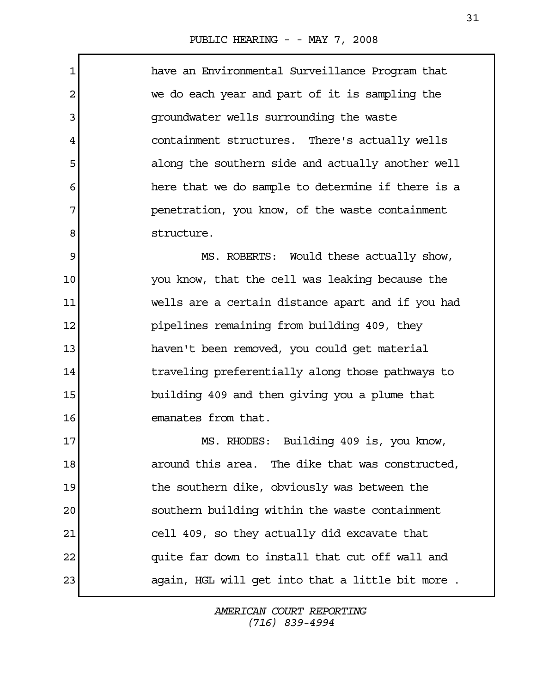1 have an Environmental Surveillance Program that 2 we do each year and part of it is sampling the 3 groundwater wells surrounding the waste 4 containment structures. There's actually wells 5 along the southern side and actually another well 6 **here that we do sample to determine if there is a** 7 penetration, you know, of the waste containment 8 structure. 9 MS. ROBERTS: Would these actually show, 10 you know, that the cell was leaking because the 11 wells are a certain distance apart and if you had 12 pipelines remaining from building 409, they 13 haven't been removed, you could get material 14 14 traveling preferentially along those pathways to 15 building 409 and then giving you a plume that 16 emanates from that. 17 MS. RHODES: Building 409 is, you know, 18 **18** around this area. The dike that was constructed, 19 19 the southern dike, obviously was between the 20 southern building within the waste containment 21 cell 409, so they actually did excavate that 22 quite far down to install that cut off wall and 23 again, HGL will get into that a little bit more.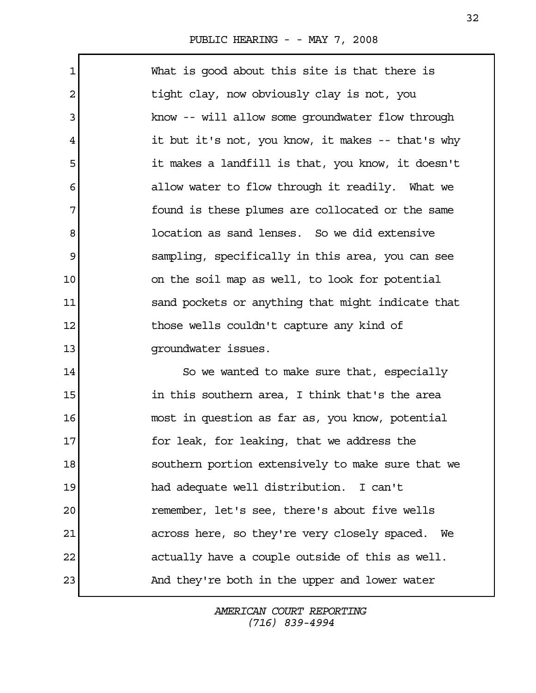## PUBLIC HEARING - - MAY 7, 2008

| 1  | What is good about this site is that there is      |
|----|----------------------------------------------------|
| 2  | tight clay, now obviously clay is not, you         |
| 3  | know -- will allow some groundwater flow through   |
| 4  | it but it's not, you know, it makes -- that's why  |
| 5  | it makes a landfill is that, you know, it doesn't  |
| 6  | allow water to flow through it readily. What we    |
| 7  | found is these plumes are collocated or the same   |
| 8  | location as sand lenses. So we did extensive       |
| 9  | sampling, specifically in this area, you can see   |
| 10 | on the soil map as well, to look for potential     |
| 11 | sand pockets or anything that might indicate that  |
| 12 | those wells couldn't capture any kind of           |
| 13 | groundwater issues.                                |
| 14 | So we wanted to make sure that, especially         |
| 15 | in this southern area, I think that's the area     |
| 16 | most in question as far as, you know, potential    |
| 17 | for leak, for leaking, that we address the         |
| 18 | southern portion extensively to make sure that we  |
| 19 | had adequate well distribution. I can't            |
| 20 | remember, let's see, there's about five wells      |
| 21 | across here, so they're very closely spaced.<br>We |
| 22 | actually have a couple outside of this as well.    |
| 23 | And they're both in the upper and lower water      |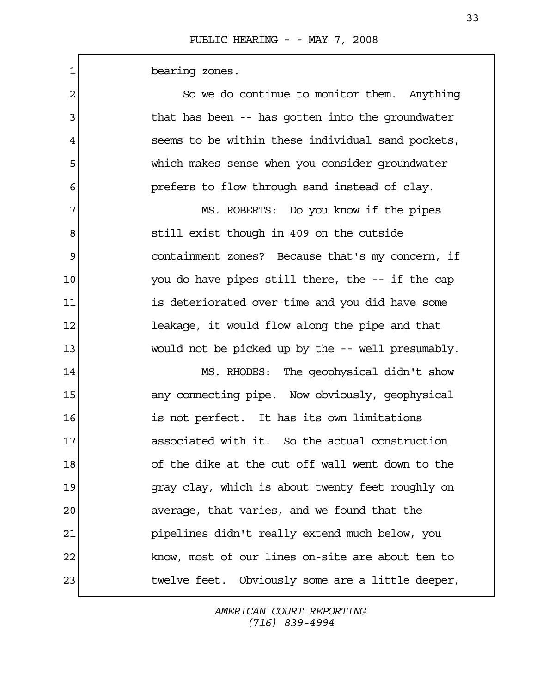1 bearing zones.

| $\overline{c}$ | So we do continue to monitor them. Anything       |
|----------------|---------------------------------------------------|
| 3              | that has been -- has gotten into the groundwater  |
| 4              | seems to be within these individual sand pockets, |
| 5              | which makes sense when you consider groundwater   |
| 6              | prefers to flow through sand instead of clay.     |
| 7              | MS. ROBERTS: Do you know if the pipes             |
| 8              | still exist though in 409 on the outside          |
| 9              | containment zones? Because that's my concern, if  |
| 10             | you do have pipes still there, the -- if the cap  |
| 11             | is deteriorated over time and you did have some   |
| 12             | leakage, it would flow along the pipe and that    |
| 13             | would not be picked up by the -- well presumably. |
| 14             | MS. RHODES: The geophysical didn't show           |
| 15             | any connecting pipe. Now obviously, geophysical   |
| 16             | is not perfect. It has its own limitations        |
| 17             | associated with it. So the actual construction    |
| 18             | of the dike at the cut off wall went down to the  |
| 19             | gray clay, which is about twenty feet roughly on  |
| 20             | average, that varies, and we found that the       |
| 21             | pipelines didn't really extend much below, you    |
| 22             | know, most of our lines on-site are about ten to  |
| 23             | twelve feet. Obviously some are a little deeper,  |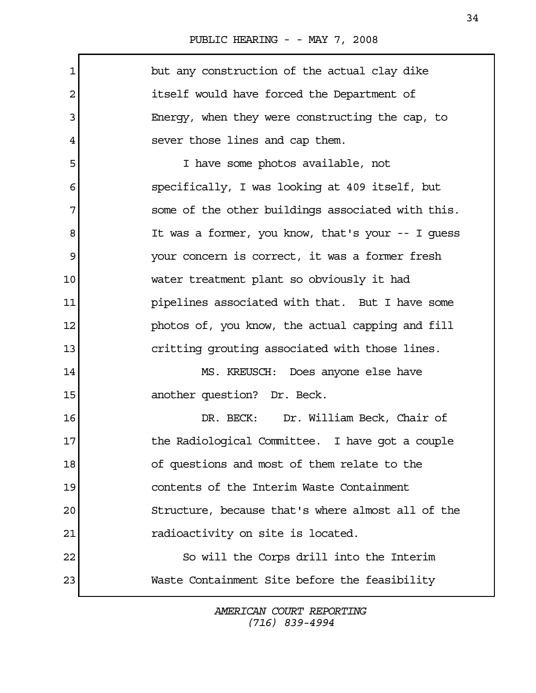$\mathbf{r}$ 

| $\mathbf 1$ | but any construction of the actual clay dike      |
|-------------|---------------------------------------------------|
| 2           | itself would have forced the Department of        |
| 3           | Energy, when they were constructing the cap, to   |
| 4           | sever those lines and cap them.                   |
| 5           | I have some photos available, not                 |
| 6           | specifically, I was looking at 409 itself, but    |
| 7           | some of the other buildings associated with this. |
| 8           | It was a former, you know, that's your -- I quess |
| 9           | your concern is correct, it was a former fresh    |
| 10          | water treatment plant so obviously it had         |
| 11          | pipelines associated with that. But I have some   |
| 12          | photos of, you know, the actual capping and fill  |
| 13          | critting grouting associated with those lines.    |
| 14          | MS. KREUSCH: Does anyone else have                |
| 15          | another question? Dr. Beck.                       |
| 16          | DR. BECK: Dr. William Beck, Chair of              |
| 17          | the Radiological Committee. I have got a couple   |
| 18          | of questions and most of them relate to the       |
| 19          | contents of the Interim Waste Containment         |
| 20          | Structure, because that's where almost all of the |
| 21          | radioactivity on site is located.                 |
| 22          | So will the Corps drill into the Interim          |
| 23          | Waste Containment Site before the feasibility     |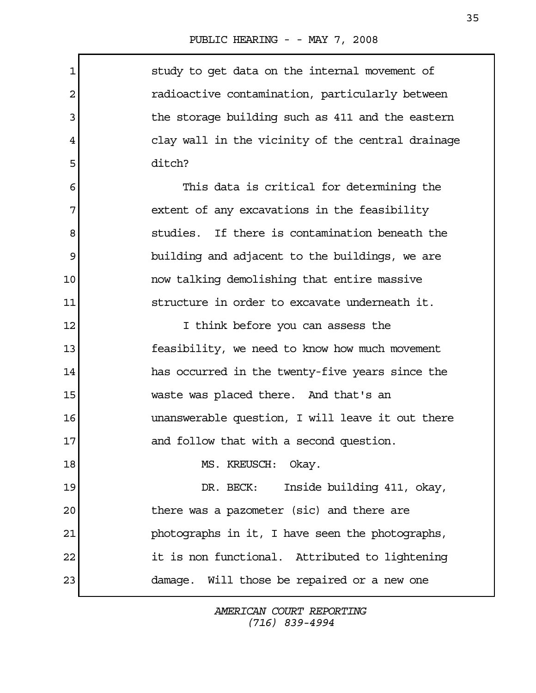$\mathbf{r}$ 

| 1       | study to get data on the internal movement of     |
|---------|---------------------------------------------------|
| 2       | radioactive contamination, particularly between   |
| 3       | the storage building such as 411 and the eastern  |
| 4       | clay wall in the vicinity of the central drainage |
| 5       | ditch?                                            |
| 6       | This data is critical for determining the         |
| 7       | extent of any excavations in the feasibility      |
| 8       | studies. If there is contamination beneath the    |
| 9       | building and adjacent to the buildings, we are    |
| $10 \,$ | now talking demolishing that entire massive       |
| 11      | structure in order to excavate underneath it.     |
| 12      | I think before you can assess the                 |
| 13      | feasibility, we need to know how much movement    |
| 14      | has occurred in the twenty-five years since the   |
| 15      | waste was placed there. And that's an             |
| 16      | unanswerable question, I will leave it out there  |
| 17      | and follow that with a second question.           |
| 18      | MS. KREUSCH: Okay.                                |
| 19      | Inside building 411, okay,<br>DR. BECK:           |
| 20      | there was a pazometer (sic) and there are         |
| 21      | photographs in it, I have seen the photographs,   |
| 22      | it is non functional. Attributed to lightening    |
| 23      | damage. Will those be repaired or a new one       |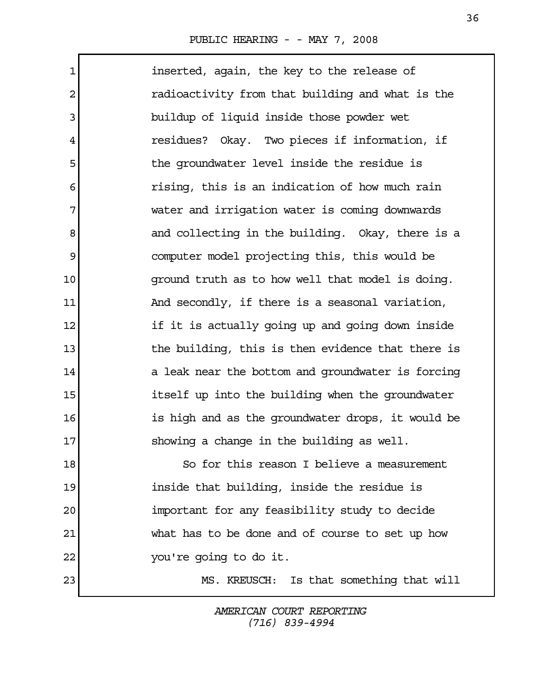Г

| $\mathbf{1}$   | inserted, again, the key to the release of        |
|----------------|---------------------------------------------------|
| $\overline{2}$ | radioactivity from that building and what is the  |
| 3              | buildup of liquid inside those powder wet         |
| 4              | residues? Okay. Two pieces if information, if     |
| 5              | the groundwater level inside the residue is       |
| 6              | rising, this is an indication of how much rain    |
| 7              | water and irrigation water is coming downwards    |
| 8              | and collecting in the building. Okay, there is a  |
| 9              | computer model projecting this, this would be     |
| $10 \,$        | ground truth as to how well that model is doing.  |
| 11             | And secondly, if there is a seasonal variation,   |
| 12             | if it is actually going up and going down inside  |
| 13             | the building, this is then evidence that there is |
| 14             | a leak near the bottom and groundwater is forcing |
| 15             | itself up into the building when the groundwater  |
| 16             | is high and as the groundwater drops, it would be |
| 17             | showing a change in the building as well.         |
| 18             | So for this reason I believe a measurement        |
| 19             | inside that building, inside the residue is       |
| 20             | important for any feasibility study to decide     |
| 21             | what has to be done and of course to set up how   |
| 22             | you're going to do it.                            |
| 23             | Is that something that will<br>MS. KREUSCH:       |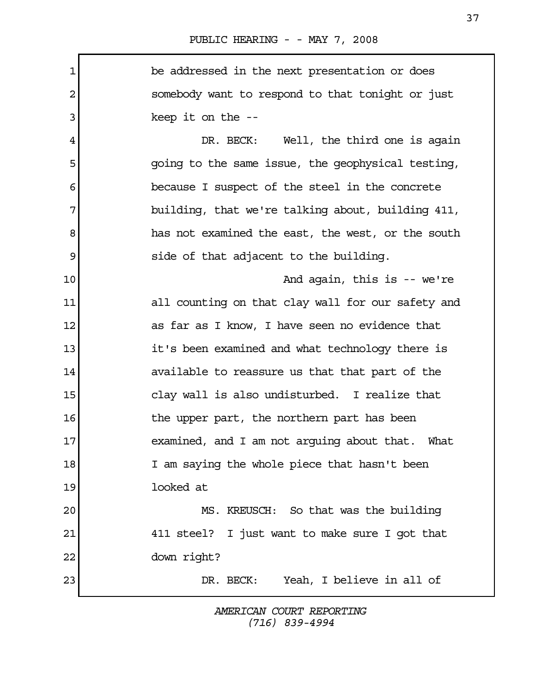1 be addressed in the next presentation or does 2 somebody want to respond to that tonight or just 3 keep it on the --4 DR. BECK: Well, the third one is again 5 going to the same issue, the geophysical testing, 6 because I suspect of the steel in the concrete 7 building, that we're talking about, building 411, 8 has not examined the east, the west, or the south 9 side of that adjacent to the building. 10 And again, this is -- we're 11 all counting on that clay wall for our safety and 12 **12** as far as I know, I have seen no evidence that 13 it's been examined and what technology there is 14 available to reassure us that that part of the 15 clay wall is also undisturbed. I realize that 16 16 the upper part, the northern part has been 17 examined, and I am not arguing about that. What 18 I am saying the whole piece that hasn't been 19 looked at 20 MS. KREUSCH: So that was the building 21 411 steel? I just want to make sure I got that 22 down right? 23 DR. BECK: Yeah, I believe in all of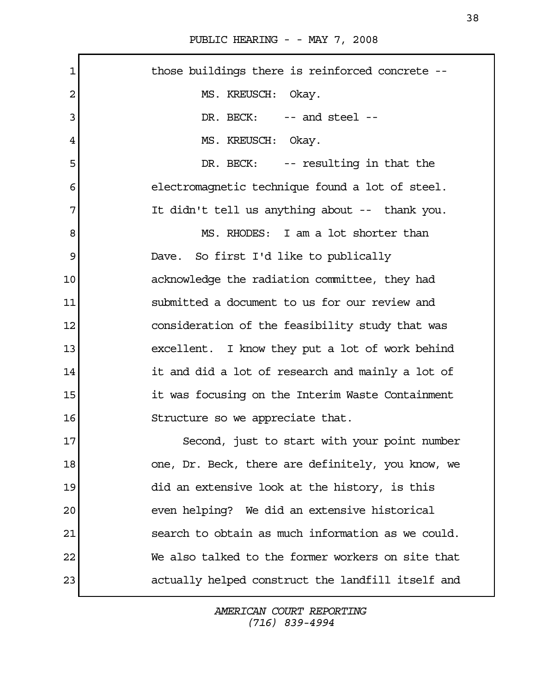| $\mathbf 1$ | those buildings there is reinforced concrete --   |
|-------------|---------------------------------------------------|
| 2           | MS. KREUSCH: Okay.                                |
| 3           | DR. BECK: -- and steel --                         |
| 4           | MS. KREUSCH: Okay.                                |
| 5           | DR. BECK: -- resulting in that the                |
| 6           | electromagnetic technique found a lot of steel.   |
| 7           | It didn't tell us anything about -- thank you.    |
| 8           | MS. RHODES: I am a lot shorter than               |
| 9           | Dave. So first I'd like to publically             |
| 10          | acknowledge the radiation committee, they had     |
| 11          | submitted a document to us for our review and     |
| 12          | consideration of the feasibility study that was   |
| 13          | excellent. I know they put a lot of work behind   |
| 14          | it and did a lot of research and mainly a lot of  |
| 15          | it was focusing on the Interim Waste Containment  |
| 16          | Structure so we appreciate that.                  |
| 17          | Second, just to start with your point number      |
| 18          | one, Dr. Beck, there are definitely, you know, we |
| 19          | did an extensive look at the history, is this     |
| 20          | even helping? We did an extensive historical      |
| 21          | search to obtain as much information as we could. |
| 22          | We also talked to the former workers on site that |
| 23          | actually helped construct the landfill itself and |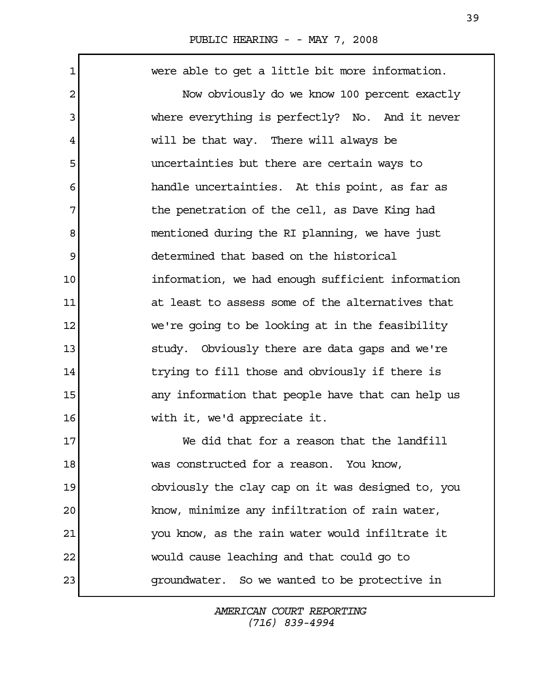| 1  | were able to get a little bit more information.   |
|----|---------------------------------------------------|
| 2  | Now obviously do we know 100 percent exactly      |
| 3  | where everything is perfectly? No. And it never   |
| 4  | will be that way. There will always be            |
| 5  | uncertainties but there are certain ways to       |
| 6  | handle uncertainties. At this point, as far as    |
| 7  | the penetration of the cell, as Dave King had     |
| 8  | mentioned during the RI planning, we have just    |
| 9  | determined that based on the historical           |
| 10 | information, we had enough sufficient information |
| 11 | at least to assess some of the alternatives that  |
| 12 | we're going to be looking at in the feasibility   |
| 13 | study. Obviously there are data gaps and we're    |
| 14 | trying to fill those and obviously if there is    |
| 15 | any information that people have that can help us |
| 16 | with it, we'd appreciate it.                      |
| 17 | We did that for a reason that the landfill        |
| 18 | was constructed for a reason. You know,           |
| 19 | obviously the clay cap on it was designed to, you |
| 20 | know, minimize any infiltration of rain water,    |
| 21 | you know, as the rain water would infiltrate it   |
| 22 | would cause leaching and that could go to         |
| 23 | groundwater. So we wanted to be protective in     |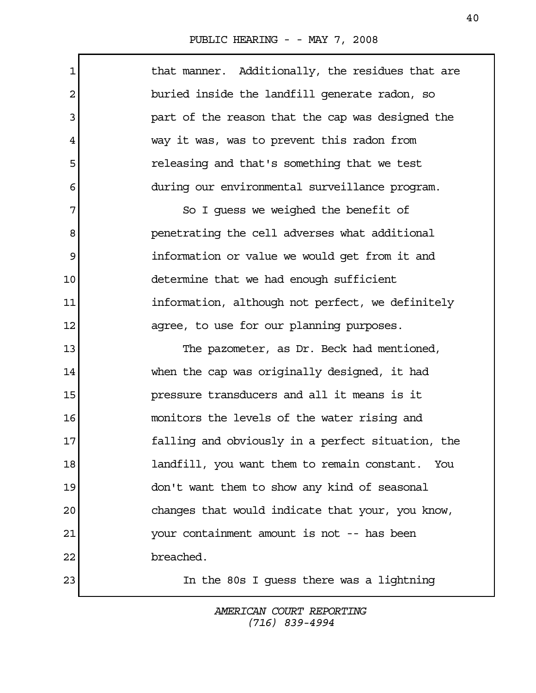$\mathbf{r}$ 

| $\mathbf{1}$   | that manner. Additionally, the residues that are  |
|----------------|---------------------------------------------------|
| $\overline{a}$ | buried inside the landfill generate radon, so     |
| 3              | part of the reason that the cap was designed the  |
| 4              | way it was, was to prevent this radon from        |
| 5              | releasing and that's something that we test       |
| 6              | during our environmental surveillance program.    |
| 7              | So I guess we weighed the benefit of              |
| 8              | penetrating the cell adverses what additional     |
| 9              | information or value we would get from it and     |
| 10             | determine that we had enough sufficient           |
| 11             | information, although not perfect, we definitely  |
| 12             | agree, to use for our planning purposes.          |
| 13             | The pazometer, as Dr. Beck had mentioned,         |
| 14             | when the cap was originally designed, it had      |
| 15             | pressure transducers and all it means is it       |
| 16             | monitors the levels of the water rising and       |
| 17             | falling and obviously in a perfect situation, the |
| 18             | landfill, you want them to remain constant. You   |
| 19             | don't want them to show any kind of seasonal      |
| 20             | changes that would indicate that your, you know,  |
| 21             | your containment amount is not -- has been        |
| 22             | breached.                                         |
| 23             | In the 80s I guess there was a lightning          |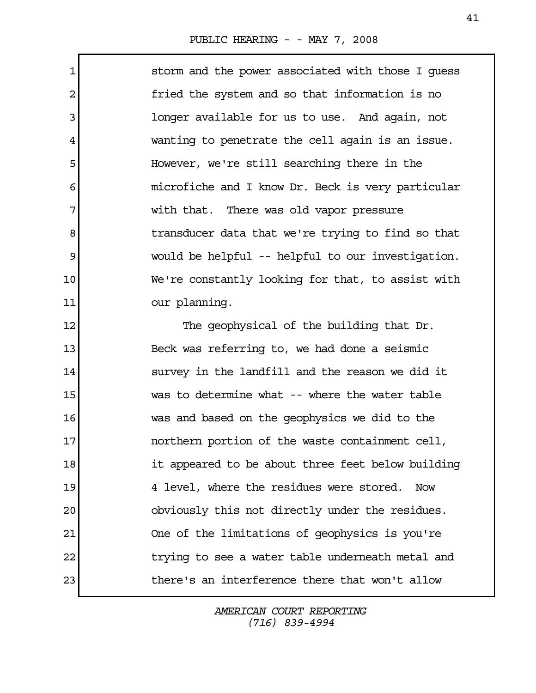1 storm and the power associated with those I guess 2 fried the system and so that information is no 3 and a longer available for us to use. And again, not 4 wanting to penetrate the cell again is an issue. 5 However, we're still searching there in the 6 microfiche and I know Dr. Beck is very particular 7 with that. There was old vapor pressure 8 **b** transducer data that we're trying to find so that 9 would be helpful -- helpful to our investigation. 10 We're constantly looking for that, to assist with 11 our planning.

12 The geophysical of the building that Dr. 13 Beck was referring to, we had done a seismic 14 survey in the landfill and the reason we did it 15 was to determine what -- where the water table 16 was and based on the geophysics we did to the 17 **northern portion of the waste containment cell,** 18 it appeared to be about three feet below building 19 4 level, where the residues were stored. Now 20 obviously this not directly under the residues. 21 One of the limitations of geophysics is you're 22 trying to see a water table underneath metal and 23 there's an interference there that won't allow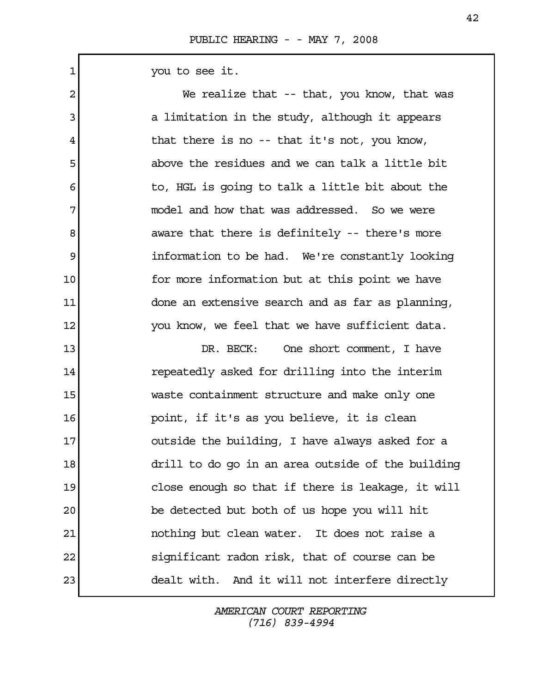1 you to see it.

2 We realize that -- that, you know, that was 3 a limitation in the study, although it appears 4 that there is no -- that it's not, you know, 5 above the residues and we can talk a little bit 6 6 to, HGL is going to talk a little bit about the 7 model and how that was addressed. So we were 8 aware that there is definitely -- there's more 9 information to be had. We're constantly looking 10 **for more information but at this point we have** 11 done an extensive search and as far as planning, 12 You know, we feel that we have sufficient data. 13 DR. BECK: One short comment, I have 14 repeatedly asked for drilling into the interim 15 waste containment structure and make only one 16 point, if it's as you believe, it is clean 17 outside the building, I have always asked for a 18 drill to do go in an area outside of the building 19 close enough so that if there is leakage, it will 20 be detected but both of us hope you will hit 21 nothing but clean water. It does not raise a 22 significant radon risk, that of course can be 23 dealt with. And it will not interfere directly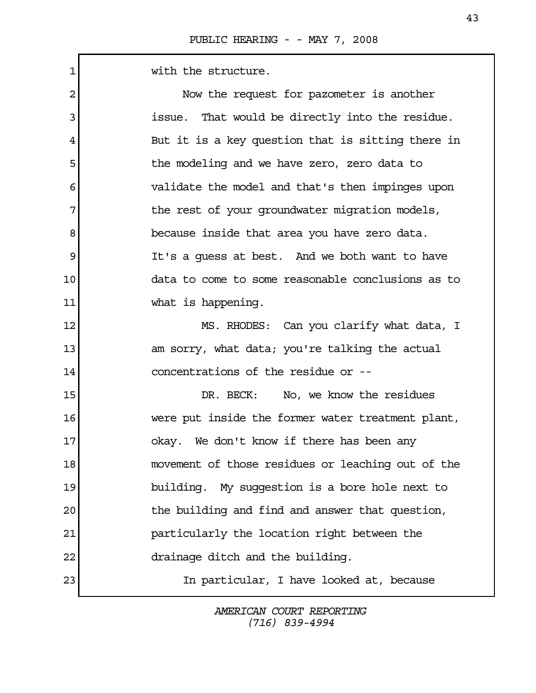1 with the structure.

| 2  | Now the request for pazometer is another          |
|----|---------------------------------------------------|
| 3  | issue. That would be directly into the residue.   |
| 4  | But it is a key question that is sitting there in |
| 5  | the modeling and we have zero, zero data to       |
| 6  | validate the model and that's then impinges upon  |
| 7  | the rest of your groundwater migration models,    |
| 8  | because inside that area you have zero data.      |
| 9  | It's a guess at best. And we both want to have    |
| 10 | data to come to some reasonable conclusions as to |
| 11 | what is happening.                                |
| 12 | MS. RHODES: Can you clarify what data, I          |
| 13 | am sorry, what data; you're talking the actual    |
| 14 | concentrations of the residue or --               |
| 15 | DR. BECK: No, we know the residues                |
| 16 | were put inside the former water treatment plant, |
| 17 | okay. We don't know if there has been any         |
| 18 | movement of those residues or leaching out of the |
| 19 | building. My suggestion is a bore hole next to    |
| 20 | the building and find and answer that question,   |
| 21 | particularly the location right between the       |
| 22 | drainage ditch and the building.                  |
| 23 | In particular, I have looked at, because          |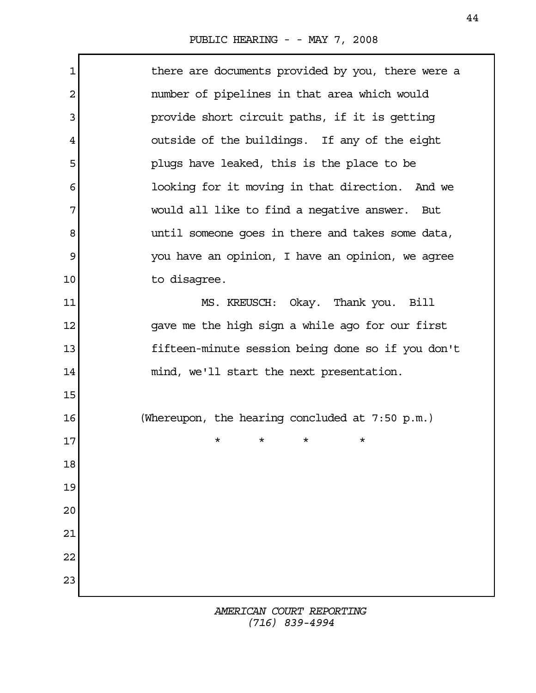| 1              | there are documents provided by you, there were a |
|----------------|---------------------------------------------------|
| $\overline{2}$ | number of pipelines in that area which would      |
| 3              | provide short circuit paths, if it is getting     |
| 4              | outside of the buildings. If any of the eight     |
| 5              | plugs have leaked, this is the place to be        |
| 6              | looking for it moving in that direction. And we   |
| 7              | would all like to find a negative answer. But     |
| 8              | until someone goes in there and takes some data,  |
| 9              | you have an opinion, I have an opinion, we agree  |
| 10             | to disagree.                                      |
| 11             | MS. KREUSCH: Okay. Thank you. Bill                |
| 12             | gave me the high sign a while ago for our first   |
| 13             | fifteen-minute session being done so if you don't |
| 14             | mind, we'll start the next presentation.          |
| 15             |                                                   |
| 16             | (Whereupon, the hearing concluded at $7:50$ p.m.) |
| 17             | $^\star$<br>*<br>*<br>$^\star$                    |
| 18             |                                                   |
| 19             |                                                   |
| 20             |                                                   |
| 21             |                                                   |
| 22             |                                                   |
| 23             |                                                   |
|                |                                                   |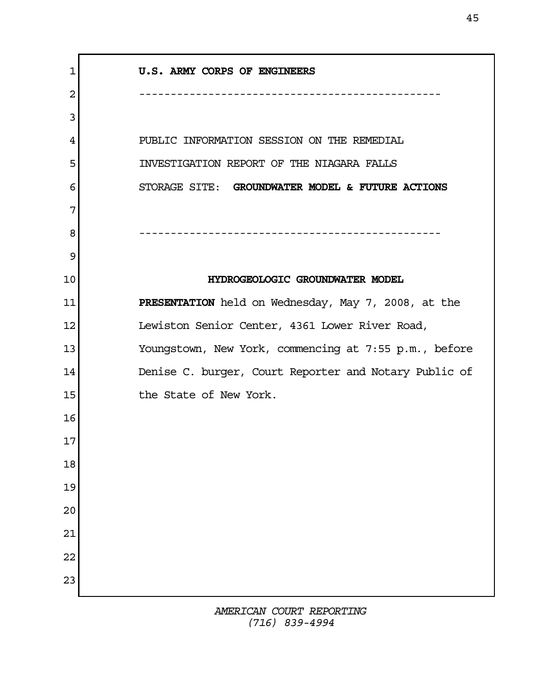1 U.S. ARMY CORPS OF ENGINEERS 2 ------------------------------------------------ 3 4 PUBLIC INFORMATION SESSION ON THE REMEDIAL 5 INVESTIGATION REPORT OF THE NIAGARA FALLS 6 STORAGE SITE: GROUNDWATER MODEL & FUTURE ACTIONS 7 8 ------------------------------------------------ 9 10 HYDROGEOLOGIC GROUNDWATER MODEL 11 PRESENTATION held on Wednesday, May 7, 2008, at the 12 Lewiston Senior Center, 4361 Lower River Road, 13 Youngstown, New York, commencing at 7:55 p.m., before 14 Denise C. burger, Court Reporter and Notary Public of 15 the State of New York. 16 17 18 19 20 21 22 23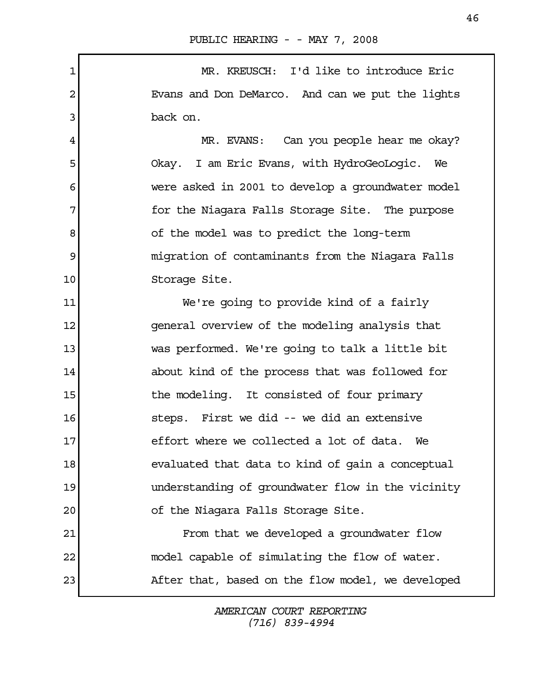1 MR. KREUSCH: I'd like to introduce Eric 2 Evans and Don DeMarco. And can we put the lights 3 back on.

4 MR. EVANS: Can you people hear me okay? 5 Okay. I am Eric Evans, with HydroGeoLogic. We 6 were asked in 2001 to develop a groundwater model 7 The Store in the Niagara Falls Storage Site. The purpose 8 of the model was to predict the long-term 9 migration of contaminants from the Niagara Falls 10 Storage Site.

11 We're going to provide kind of a fairly 12 general overview of the modeling analysis that 13 was performed. We're going to talk a little bit 14 about kind of the process that was followed for 15 15 the modeling. It consisted of four primary 16 steps. First we did -- we did an extensive 17 effort where we collected a lot of data. We 18 evaluated that data to kind of gain a conceptual 19 understanding of groundwater flow in the vicinity 20 of the Niagara Falls Storage Site. 21 From that we developed a groundwater flow

23 After that, based on the flow model, we developed

22 model capable of simulating the flow of water.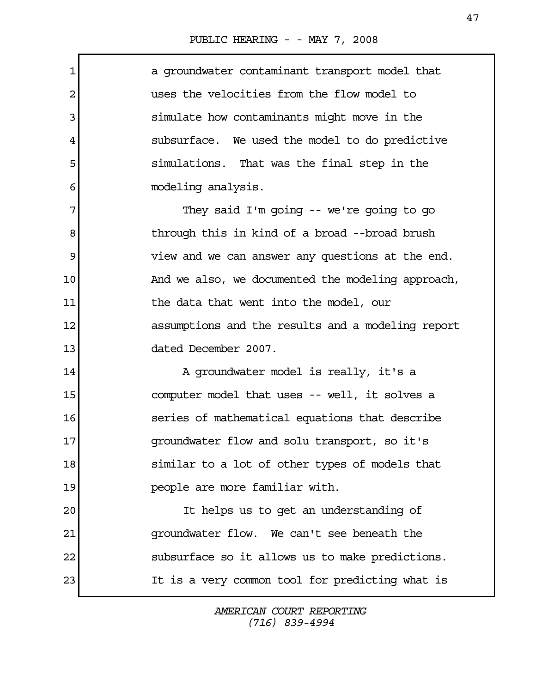Г

| 1       | a groundwater contaminant transport model that    |
|---------|---------------------------------------------------|
| 2       | uses the velocities from the flow model to        |
| 3       | simulate how contaminants might move in the       |
| 4       | subsurface. We used the model to do predictive    |
| 5       | simulations. That was the final step in the       |
| 6       | modeling analysis.                                |
| 7       | They said I'm going -- we're going to go          |
| 8       | through this in kind of a broad --broad brush     |
| 9       | view and we can answer any questions at the end.  |
| 10      | And we also, we documented the modeling approach, |
| 11      | the data that went into the model, our            |
| 12      | assumptions and the results and a modeling report |
| 13      | dated December 2007.                              |
| 14      | A groundwater model is really, it's a             |
| 15      | computer model that uses -- well, it solves a     |
| 16      | series of mathematical equations that describe    |
| $17 \,$ | groundwater flow and solu transport, so it's      |
| 18      | similar to a lot of other types of models that    |
| 19      | people are more familiar with.                    |
| 20      | It helps us to get an understanding of            |
| 21      | groundwater flow. We can't see beneath the        |
| 22      | subsurface so it allows us to make predictions.   |
| 23      | It is a very common tool for predicting what is   |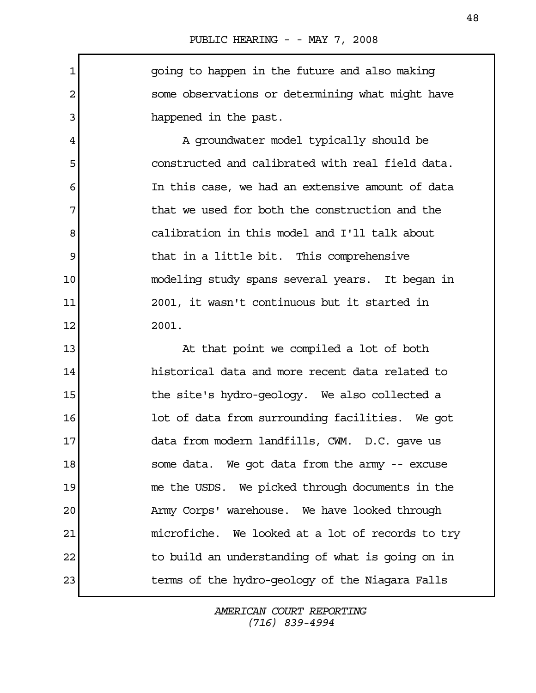1 going to happen in the future and also making 2 some observations or determining what might have 3 all the past.

4 A groundwater model typically should be 5 constructed and calibrated with real field data. 6 In this case, we had an extensive amount of data 7 The status we used for both the construction and the 8 calibration in this model and I'll talk about 9 black in a little bit. This comprehensive 10 modeling study spans several years. It began in 11 2001, it wasn't continuous but it started in 12 2001.

13 At that point we compiled a lot of both 14 historical data and more recent data related to 15 15 the site's hydro-geology. We also collected a 16 **lot of data from surrounding facilities.** We got 17 data from modern landfills, CWM. D.C. gave us 18 some data. We got data from the army -- excuse 19 me the USDS. We picked through documents in the 20 Army Corps' warehouse. We have looked through 21 microfiche. We looked at a lot of records to try 22 to build an understanding of what is going on in 23 terms of the hydro-geology of the Niagara Falls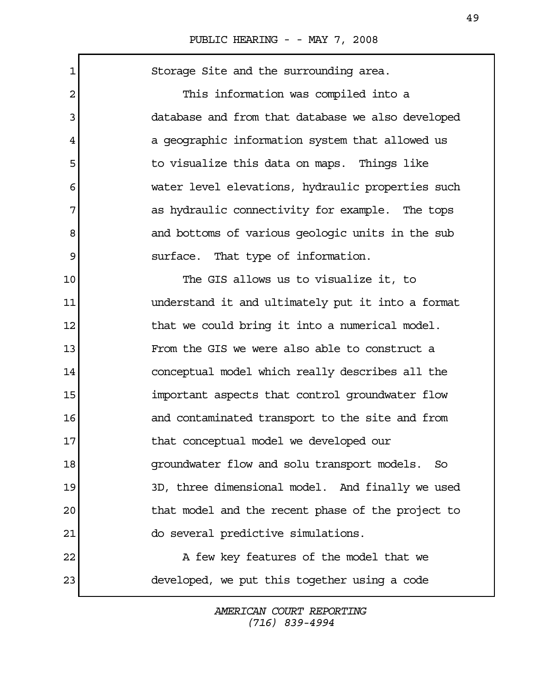| Storage Site and the surrounding area.              |
|-----------------------------------------------------|
| This information was compiled into a                |
| database and from that database we also developed   |
| a geographic information system that allowed us     |
| to visualize this data on maps. Things like         |
| water level elevations, hydraulic properties such   |
| as hydraulic connectivity for example. The tops     |
| and bottoms of various geologic units in the sub    |
| surface. That type of information.                  |
| The GIS allows us to visualize it, to               |
| understand it and ultimately put it into a format   |
| that we could bring it into a numerical model.      |
| From the GIS we were also able to construct a       |
| conceptual model which really describes all the     |
| important aspects that control groundwater flow     |
| and contaminated transport to the site and from     |
| that conceptual model we developed our              |
| groundwater flow and solu transport models.<br>- So |
| 3D, three dimensional model. And finally we used    |
| that model and the recent phase of the project to   |
| do several predictive simulations.                  |
| A few key features of the model that we             |
| developed, we put this together using a code        |
|                                                     |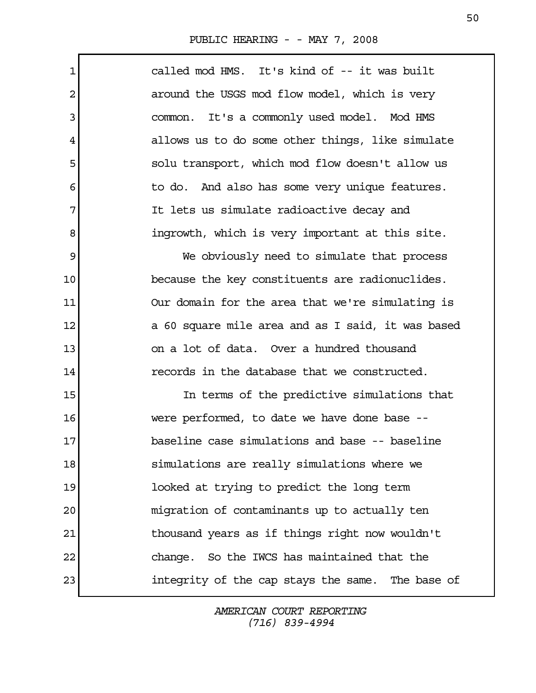Г

| $\mathbf{1}$   | called mod HMS. It's kind of -- it was built      |
|----------------|---------------------------------------------------|
| $\overline{c}$ | around the USGS mod flow model, which is very     |
| 3              | common. It's a commonly used model. Mod HMS       |
| 4              | allows us to do some other things, like simulate  |
| 5              | solu transport, which mod flow doesn't allow us   |
| 6              | to do. And also has some very unique features.    |
| 7              | It lets us simulate radioactive decay and         |
| 8              | ingrowth, which is very important at this site.   |
| 9              | We obviously need to simulate that process        |
| 10             | because the key constituents are radionuclides.   |
| 11             | Our domain for the area that we're simulating is  |
| 12             | a 60 square mile area and as I said, it was based |
| 13             | on a lot of data. Over a hundred thousand         |
| 14             | records in the database that we constructed.      |
| 15             | In terms of the predictive simulations that       |
| 16             | were performed, to date we have done base --      |
| 17             | baseline case simulations and base -- baseline    |
| 18             | simulations are really simulations where we       |
| 19             | looked at trying to predict the long term         |
| 20             | migration of contaminants up to actually ten      |
| 21             | thousand years as if things right now wouldn't    |
| 22             | change. So the IWCS has maintained that the       |
| 23             | integrity of the cap stays the same. The base of  |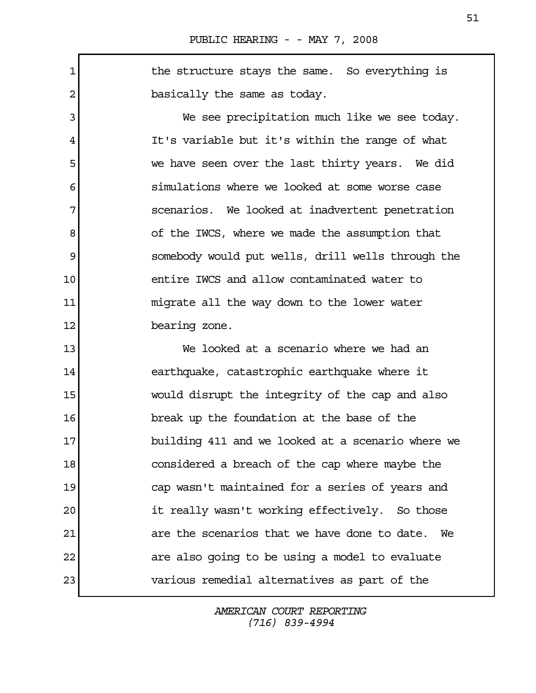1 1 the structure stays the same. So everything is 2 basically the same as today.

 3 We see precipitation much like we see today. 4 It's variable but it's within the range of what 5 we have seen over the last thirty years. We did 6 simulations where we looked at some worse case 7 scenarios. We looked at inadvertent penetration 8 8 of the IWCS, where we made the assumption that 9 somebody would put wells, drill wells through the 10 entire IWCS and allow contaminated water to 11 migrate all the way down to the lower water 12 bearing zone.

13 We looked at a scenario where we had an 14 earthquake, catastrophic earthquake where it 15 would disrupt the integrity of the cap and also 16 break up the foundation at the base of the 17 **building 411 and we looked at a scenario where we** 18 considered a breach of the cap where maybe the 19 cap wasn't maintained for a series of years and 20 it really wasn't working effectively. So those 21 are the scenarios that we have done to date. We 22 are also going to be using a model to evaluate 23 various remedial alternatives as part of the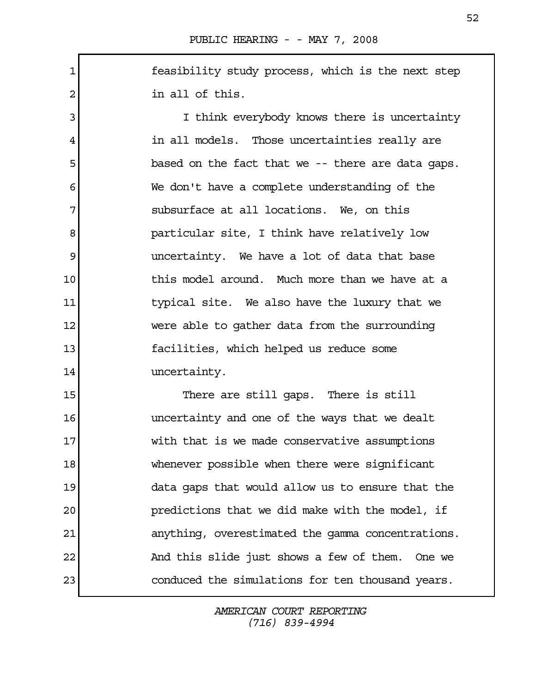1 feasibility study process, which is the next step 2 a in all of this.

3 I think everybody knows there is uncertainty 4 in all models. Those uncertainties really are 5 based on the fact that we -- there are data gaps. 6 We don't have a complete understanding of the 7 subsurface at all locations. We, on this 8 **particular site, I think have relatively low** 9 9 1 m uncertainty. We have a lot of data that base 10 this model around. Much more than we have at a 11 typical site. We also have the luxury that we 12 were able to gather data from the surrounding 13 facilities, which helped us reduce some 14 uncertainty.

15 There are still gaps. There is still 16 uncertainty and one of the ways that we dealt 17 With that is we made conservative assumptions 18 whenever possible when there were significant 19 data gaps that would allow us to ensure that the 20 predictions that we did make with the model, if 21 anything, overestimated the gamma concentrations. 22 And this slide just shows a few of them. One we 23 conduced the simulations for ten thousand years.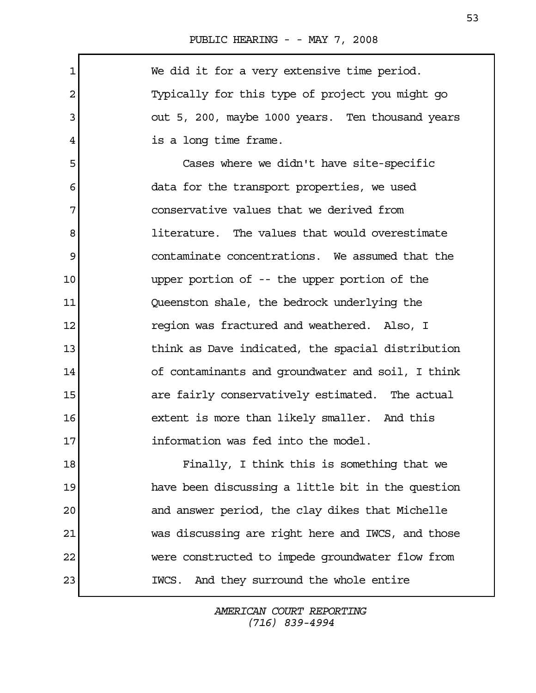$\Gamma$ 

| $\mathbf 1$    | We did it for a very extensive time period.       |
|----------------|---------------------------------------------------|
| $\overline{2}$ | Typically for this type of project you might go   |
| 3              | out 5, 200, maybe 1000 years. Ten thousand years  |
| 4              | is a long time frame.                             |
| 5              | Cases where we didn't have site-specific          |
| 6              | data for the transport properties, we used        |
| 7              | conservative values that we derived from          |
| 8              | literature. The values that would overestimate    |
| 9              | contaminate concentrations. We assumed that the   |
| 10             | upper portion of -- the upper portion of the      |
| 11             | Queenston shale, the bedrock underlying the       |
| 12             | region was fractured and weathered. Also, I       |
| 13             | think as Dave indicated, the spacial distribution |
| 14             | of contaminants and groundwater and soil, I think |
| 15             | are fairly conservatively estimated. The actual   |
| 16             | extent is more than likely smaller. And this      |
| 17             | information was fed into the model.               |
| 18             | Finally, I think this is something that we        |
| 19             | have been discussing a little bit in the question |
| 20             | and answer period, the clay dikes that Michelle   |
| 21             | was discussing are right here and IWCS, and those |
| 22             | were constructed to impede groundwater flow from  |
| 23             | And they surround the whole entire<br>IWCS.       |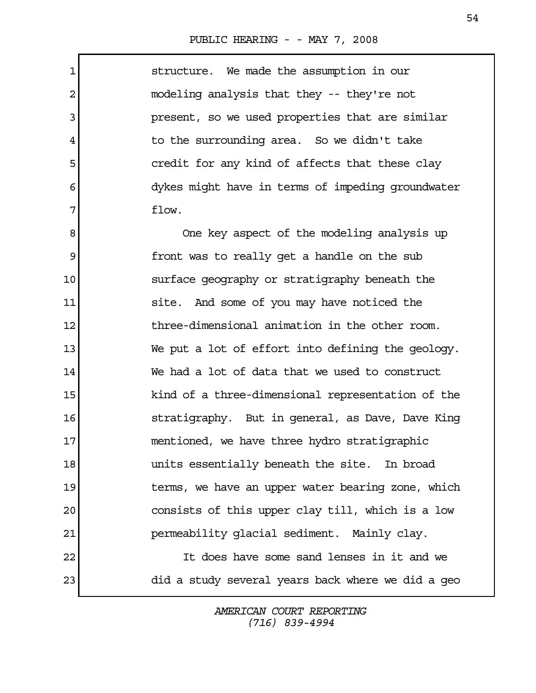Г

| $\mathbf 1$    | structure. We made the assumption in our          |
|----------------|---------------------------------------------------|
| $\overline{2}$ | modeling analysis that they -- they're not        |
| 3              | present, so we used properties that are similar   |
| 4              | to the surrounding area. So we didn't take        |
| 5              | credit for any kind of affects that these clay    |
| 6              | dykes might have in terms of impeding groundwater |
| 7              | flow.                                             |
| 8              | One key aspect of the modeling analysis up        |
| 9              | front was to really get a handle on the sub       |
| 10             | surface geography or stratigraphy beneath the     |
| 11             | site. And some of you may have noticed the        |
| 12             | three-dimensional animation in the other room.    |
| 13             | We put a lot of effort into defining the geology. |
| 14             | We had a lot of data that we used to construct    |
| 15             | kind of a three-dimensional representation of the |
| 16             | stratigraphy. But in general, as Dave, Dave King  |
| 17             | mentioned, we have three hydro stratigraphic      |
| 18             | units essentially beneath the site. In broad      |
| 19             | terms, we have an upper water bearing zone, which |
| 20             | consists of this upper clay till, which is a low  |
| 21             | permeability glacial sediment. Mainly clay.       |
| 22             | It does have some sand lenses in it and we        |
| 23             | did a study several years back where we did a geo |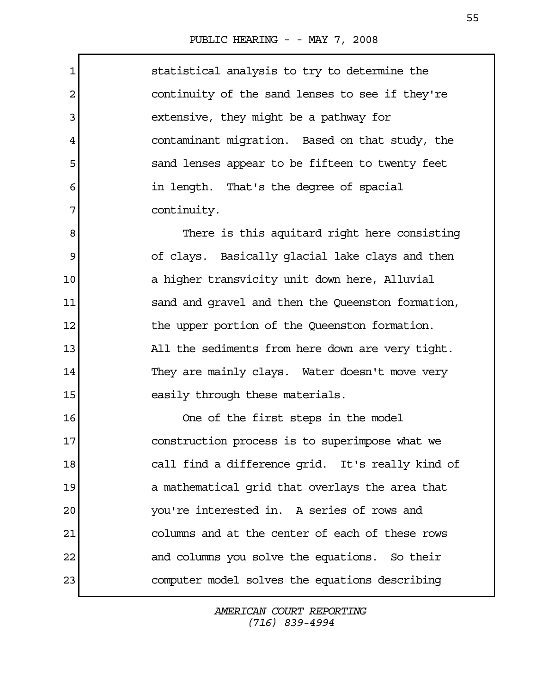Г

| $\mathbf 1$ | statistical analysis to try to determine the      |
|-------------|---------------------------------------------------|
| 2           | continuity of the sand lenses to see if they're   |
| 3           | extensive, they might be a pathway for            |
| 4           | contaminant migration. Based on that study, the   |
| 5           | sand lenses appear to be fifteen to twenty feet   |
| 6           | in length. That's the degree of spacial           |
| 7           | continuity.                                       |
| 8           | There is this aquitard right here consisting      |
| 9           | of clays. Basically glacial lake clays and then   |
| $10 \,$     | a higher transvicity unit down here, Alluvial     |
| 11          | sand and gravel and then the Queenston formation, |
| 12          | the upper portion of the Queenston formation.     |
| 13          | All the sediments from here down are very tight.  |
| 14          | They are mainly clays. Water doesn't move very    |
| 15          | easily through these materials.                   |
| 16          | One of the first steps in the model               |
| 17          | construction process is to superimpose what we    |
| 18          | call find a difference grid. It's really kind of  |
| 19          | a mathematical grid that overlays the area that   |
| 20          | you're interested in. A series of rows and        |
| 21          | columns and at the center of each of these rows   |
| 22          | and columns you solve the equations. So their     |
| 23          | computer model solves the equations describing    |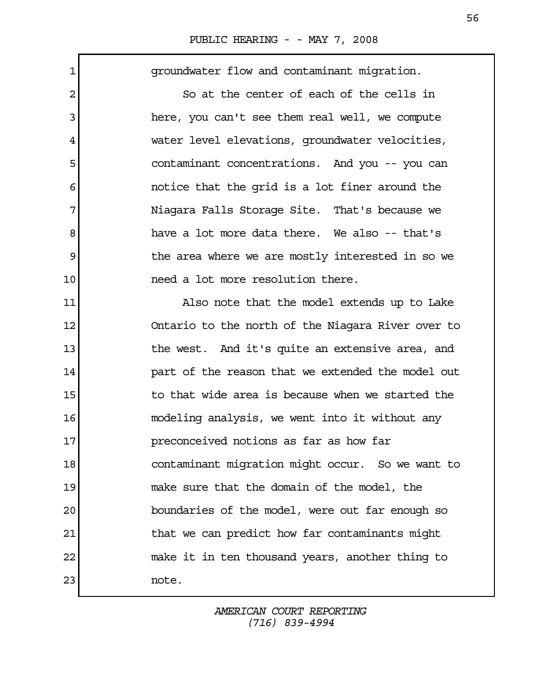| 1              | groundwater flow and contaminant migration.       |
|----------------|---------------------------------------------------|
| $\overline{c}$ | So at the center of each of the cells in          |
| 3              | here, you can't see them real well, we compute    |
| 4              | water level elevations, groundwater velocities,   |
| 5              | contaminant concentrations. And you -- you can    |
| 6              | notice that the grid is a lot finer around the    |
| 7              | Niagara Falls Storage Site. That's because we     |
| 8              | have a lot more data there. We also -- that's     |
| 9              | the area where we are mostly interested in so we  |
| 10             | need a lot more resolution there.                 |
| 11             | Also note that the model extends up to Lake       |
| 12             | Ontario to the north of the Niagara River over to |
| 13             | the west. And it's quite an extensive area, and   |
| 14             | part of the reason that we extended the model out |
| 15             | to that wide area is because when we started the  |
| 16             | modeling analysis, we went into it without any    |
| 17             | preconceived notions as far as how far            |
| 18             | contaminant migration might occur. So we want to  |
| 19             | make sure that the domain of the model, the       |
| 20             | boundaries of the model, were out far enough so   |
| 21             | that we can predict how far contaminants might    |
| 22             | make it in ten thousand years, another thing to   |
| 23             | note.                                             |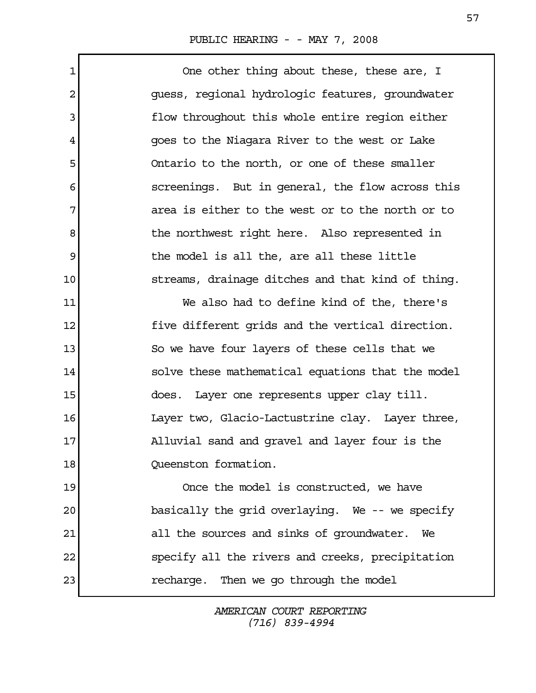1 One other thing about these, these are, I 2 guess, regional hydrologic features, groundwater 3 **flow throughout this whole entire region either**  4 goes to the Niagara River to the west or Lake 5 Ontario to the north, or one of these smaller 6 screenings. But in general, the flow across this 7 area is either to the west or to the north or to 8 b the northwest right here. Also represented in 9 the model is all the, are all these little 10 streams, drainage ditches and that kind of thing. 11 We also had to define kind of the, there's 12 five different grids and the vertical direction. 13 So we have four layers of these cells that we 14 solve these mathematical equations that the model 15 does. Layer one represents upper clay till. 16 Layer two, Glacio-Lactustrine clay. Layer three, 17 Alluvial sand and gravel and layer four is the

18 Oueenston formation.

19 Once the model is constructed, we have 20 basically the grid overlaying. We -- we specify 21 all the sources and sinks of groundwater. We 22 specify all the rivers and creeks, precipitation 23 recharge. Then we go through the model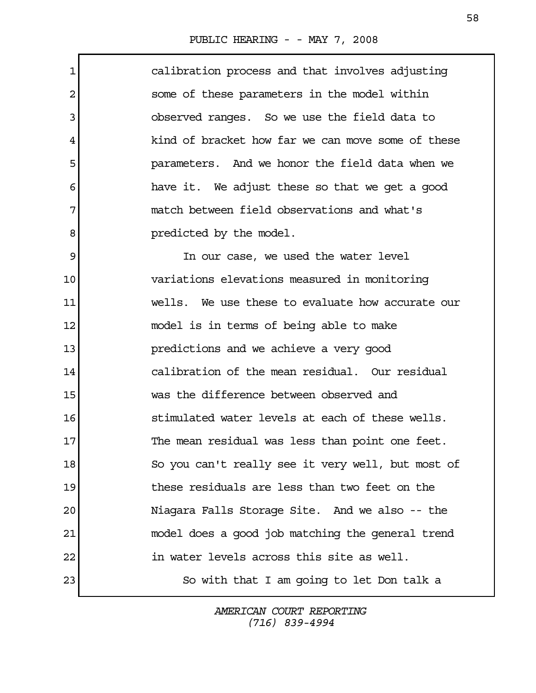Г

| $\mathbf 1$ | calibration process and that involves adjusting   |
|-------------|---------------------------------------------------|
| 2           | some of these parameters in the model within      |
| 3           | observed ranges. So we use the field data to      |
| 4           | kind of bracket how far we can move some of these |
| 5           | parameters. And we honor the field data when we   |
| 6           | have it. We adjust these so that we get a good    |
| 7           | match between field observations and what's       |
| 8           | predicted by the model.                           |
| 9           | In our case, we used the water level              |
| 10          | variations elevations measured in monitoring      |
| 11          | wells. We use these to evaluate how accurate our  |
| 12          | model is in terms of being able to make           |
| 13          | predictions and we achieve a very good            |
| 14          | calibration of the mean residual. Our residual    |
| 15          | was the difference between observed and           |
| 16          | stimulated water levels at each of these wells.   |
| 17          | The mean residual was less than point one feet.   |
| 18          | So you can't really see it very well, but most of |
| 19          | these residuals are less than two feet on the     |
| 20          | Niagara Falls Storage Site. And we also -- the    |
| 21          | model does a good job matching the general trend  |
| 22          | in water levels across this site as well.         |
| 23          | So with that I am going to let Don talk a         |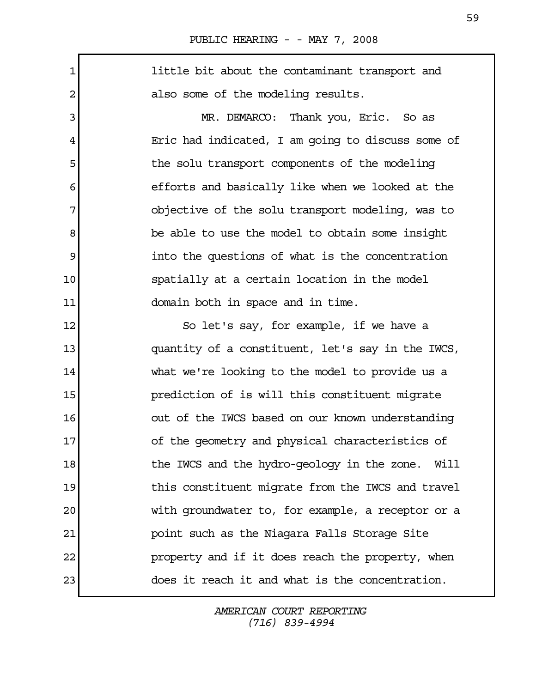1 little bit about the contaminant transport and 2 also some of the modeling results. 3 MR. DEMARCO: Thank you, Eric. So as 4 Eric had indicated, I am going to discuss some of 5 the solu transport components of the modeling 6 6 6 efforts and basically like when we looked at the 7 objective of the solu transport modeling, was to 8 be able to use the model to obtain some insight 9 into the questions of what is the concentration 10 spatially at a certain location in the model 11 domain both in space and in time. 12 So let's say, for example, if we have a 13 quantity of a constituent, let's say in the IWCS, 14 what we're looking to the model to provide us a 15 **prediction of is will this constituent migrate** 16 out of the IWCS based on our known understanding 17 of the geometry and physical characteristics of 18 the IWCS and the hydro-geology in the zone. Will 19 19 this constituent migrate from the IWCS and travel 20 with groundwater to, for example, a receptor or a 21 point such as the Niagara Falls Storage Site 22 property and if it does reach the property, when 23 does it reach it and what is the concentration.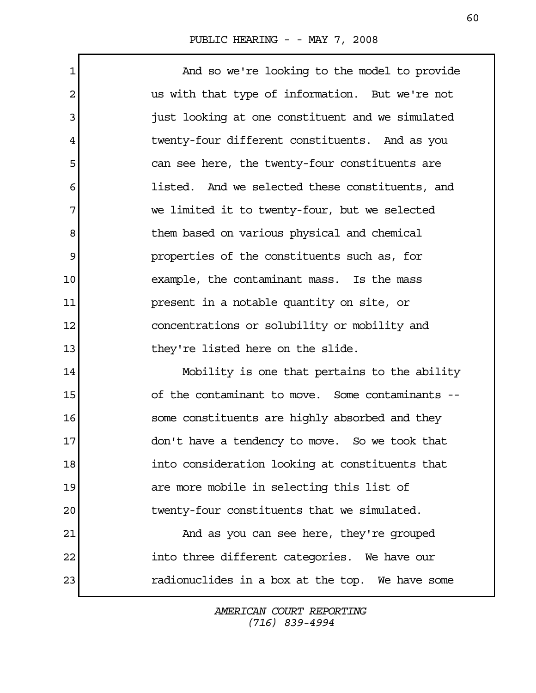1 and so we're looking to the model to provide 2 us with that type of information. But we're not 3 just looking at one constituent and we simulated 4 twenty-four different constituents. And as you 5 s follows can see here, the twenty-four constituents are 6 **listed.** And we selected these constituents, and 7 we limited it to twenty-four, but we selected 8 between based on various physical and chemical 9 properties of the constituents such as, for 10 example, the contaminant mass. Is the mass 11 present in a notable quantity on site, or 12 concentrations or solubility or mobility and 13 they're listed here on the slide. 14 Mobility is one that pertains to the ability 15 of the contaminant to move. Some contaminants --

16 some constituents are highly absorbed and they 17 don't have a tendency to move. So we took that 18 into consideration looking at constituents that 19 are more mobile in selecting this list of 20 twenty-four constituents that we simulated.

21 And as you can see here, they're grouped 22 into three different categories. We have our 23 radionuclides in a box at the top. We have some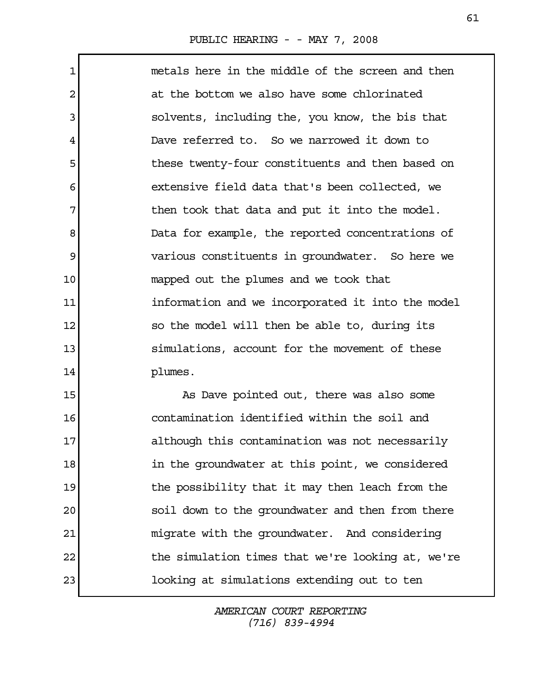1 metals here in the middle of the screen and then 2 at the bottom we also have some chlorinated 3 solvents, including the, you know, the bis that 4 Dave referred to. So we narrowed it down to 5 these twenty-four constituents and then based on 6 extensive field data that's been collected, we 7 The then took that data and put it into the model. 8 Data for example, the reported concentrations of 9 various constituents in groundwater. So here we 10 mapped out the plumes and we took that 11 **information and we incorporated it into the model** 12 so the model will then be able to, during its 13 simulations, account for the movement of these 14 plumes.

15 As Dave pointed out, there was also some 16 contamination identified within the soil and 17 although this contamination was not necessarily 18 in the groundwater at this point, we considered 19 19 the possibility that it may then leach from the 20 soil down to the groundwater and then from there 21 migrate with the groundwater. And considering 22 the simulation times that we're looking at, we're 23 looking at simulations extending out to ten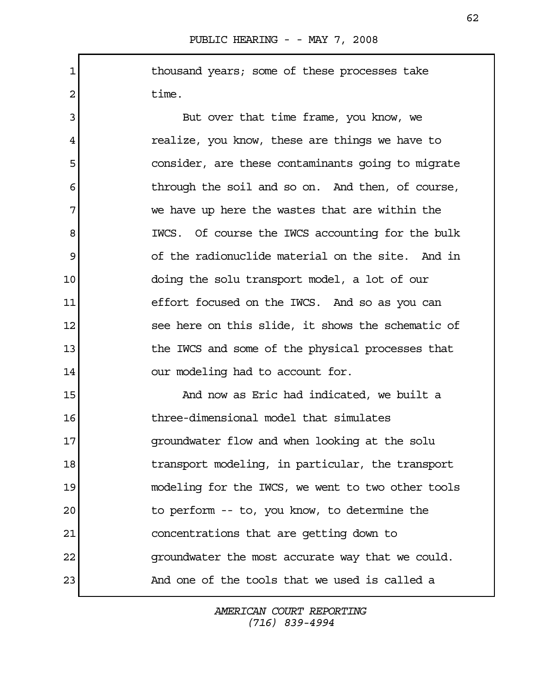1 1 1 thousand years; some of these processes take 2 time.

3 But over that time frame, you know, we 4 realize, you know, these are things we have to 5 consider, are these contaminants going to migrate 6 through the soil and so on. And then, of course, 7 we have up here the wastes that are within the 8 IWCS. Of course the IWCS accounting for the bulk 9 of the radionuclide material on the site. And in 10 doing the solu transport model, a lot of our 11 effort focused on the IWCS. And so as you can 12 see here on this slide, it shows the schematic of 13 13 the IWCS and some of the physical processes that 14 our modeling had to account for.

15 And now as Eric had indicated, we built a 16 three-dimensional model that simulates 17 groundwater flow and when looking at the solu 18 18 transport modeling, in particular, the transport 19 modeling for the IWCS, we went to two other tools 20 to perform -- to, you know, to determine the 21 concentrations that are getting down to 22 groundwater the most accurate way that we could. 23 And one of the tools that we used is called a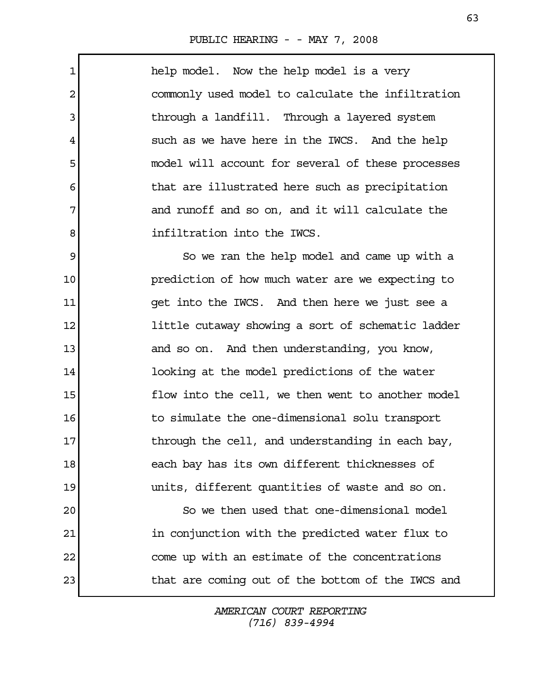$\mathbf{r}$ 

| $\mathbf 1$    | help model. Now the help model is a very          |
|----------------|---------------------------------------------------|
| $\overline{2}$ | commonly used model to calculate the infiltration |
| 3              | through a landfill. Through a layered system      |
| 4              | such as we have here in the IWCS. And the help    |
| 5              | model will account for several of these processes |
| 6              | that are illustrated here such as precipitation   |
| 7              | and runoff and so on, and it will calculate the   |
| 8              | infiltration into the IWCS.                       |
| 9              | So we ran the help model and came up with a       |
| 10             | prediction of how much water are we expecting to  |
| 11             | get into the IWCS. And then here we just see a    |
| 12             | little cutaway showing a sort of schematic ladder |
| 13             | and so on. And then understanding, you know,      |
| 14             | looking at the model predictions of the water     |
| 15             | flow into the cell, we then went to another model |
| 16             | to simulate the one-dimensional solu transport    |
| 17             | through the cell, and understanding in each bay,  |
| 18             | each bay has its own different thicknesses of     |
| 19             | units, different quantities of waste and so on.   |
| 20             | So we then used that one-dimensional model        |
| 21             | in conjunction with the predicted water flux to   |
| 22             | come up with an estimate of the concentrations    |
| 23             | that are coming out of the bottom of the IWCS and |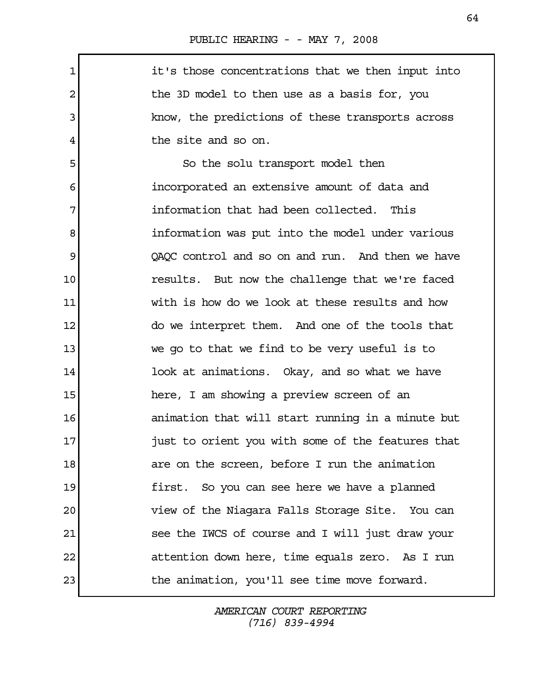$\Gamma$ 

| $\mathbf{1}$ | it's those concentrations that we then input into |
|--------------|---------------------------------------------------|
| 2            | the 3D model to then use as a basis for, you      |
| 3            | know, the predictions of these transports across  |
| 4            | the site and so on.                               |
| 5            | So the solu transport model then                  |
| 6            | incorporated an extensive amount of data and      |
| 7            | information that had been collected. This         |
| 8            | information was put into the model under various  |
| 9            | QAQC control and so on and run. And then we have  |
| 10           | results. But now the challenge that we're faced   |
| 11           | with is how do we look at these results and how   |
| 12           | do we interpret them. And one of the tools that   |
| 13           | we go to that we find to be very useful is to     |
| 14           | look at animations. Okay, and so what we have     |
| 15           | here, I am showing a preview screen of an         |
| 16           | animation that will start running in a minute but |
| 17           | just to orient you with some of the features that |
| 18           | are on the screen, before I run the animation     |
| 19           | first. So you can see here we have a planned      |
| 20           | view of the Niagara Falls Storage Site. You can   |
| 21           | see the IWCS of course and I will just draw your  |
| 22           | attention down here, time equals zero. As I run   |
| 23           | the animation, you'll see time move forward.      |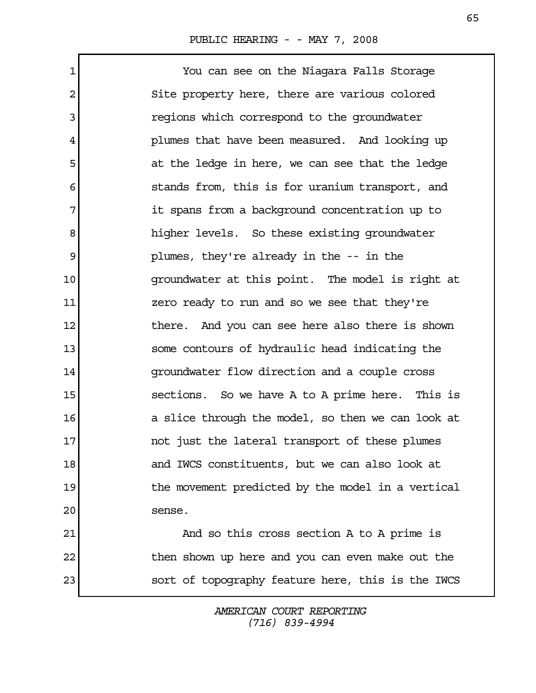1 You can see on the Niagara Falls Storage 2 Site property here, there are various colored 3 **1** regions which correspond to the groundwater 4 plumes that have been measured. And looking up 5 at the ledge in here, we can see that the ledge 6 stands from, this is for uranium transport, and 7 1 it spans from a background concentration up to 8 a bigher levels. So these existing groundwater 9 plumes, they're already in the -- in the 10 groundwater at this point. The model is right at 11 zero ready to run and so we see that they're 12 12 there. And you can see here also there is shown 13 some contours of hydraulic head indicating the 14 groundwater flow direction and a couple cross 15 sections. So we have A to A prime here. This is 16 a slice through the model, so then we can look at 17 and in the lateral transport of these plumes 18 and IWCS constituents, but we can also look at 19 19 the movement predicted by the model in a vertical 20 sense. 21 And so this cross section A to A prime is 22 then shown up here and you can even make out the

> AMERICAN COURT REPORTING (716) 839-4994

23 sort of topography feature here, this is the IWCS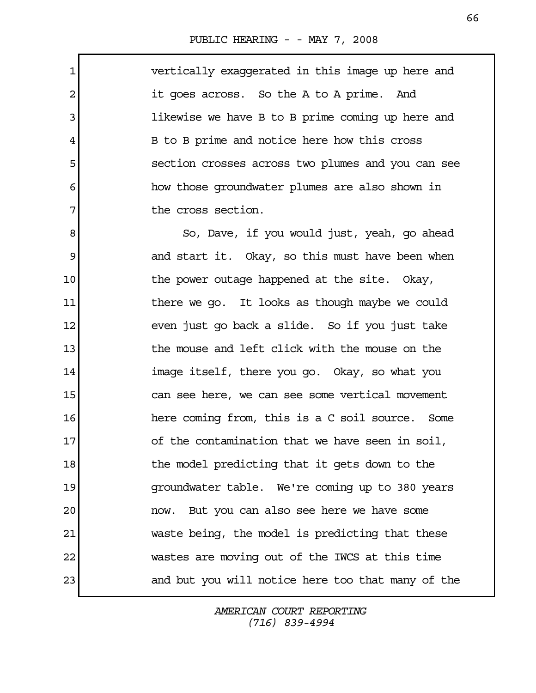1 vertically exaggerated in this image up here and 2 it goes across. So the A to A prime. And 3 likewise we have B to B prime coming up here and 4 B to B prime and notice here how this cross 5 section crosses across two plumes and you can see 6 how those groundwater plumes are also shown in 7 The cross section. 8 8 So, Dave, if you would just, yeah, go ahead 9 and start it. Okay, so this must have been when 10 10 the power outage happened at the site. Okay, 11 11 there we go. It looks as though maybe we could 12 even just go back a slide. So if you just take 13 13 the mouse and left click with the mouse on the

14 image itself, there you go. Okay, so what you 15 can see here, we can see some vertical movement 16 **here coming from, this is a C soil source.** Some 17 of the contamination that we have seen in soil, 18 18 the model predicting that it gets down to the 19 groundwater table. We're coming up to 380 years 20 now. But you can also see here we have some 21 waste being, the model is predicting that these 22 wastes are moving out of the IWCS at this time 23 and but you will notice here too that many of the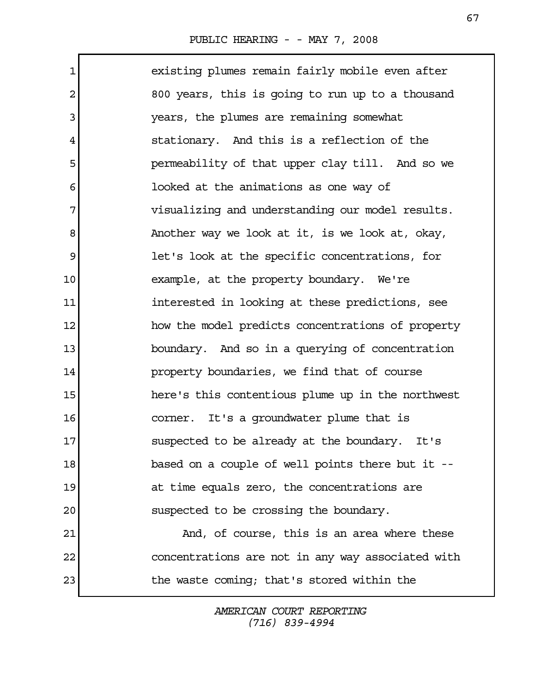1 existing plumes remain fairly mobile even after 2 800 years, this is going to run up to a thousand 3 years, the plumes are remaining somewhat 4 stationary. And this is a reflection of the 5 permeability of that upper clay till. And so we 6 looked at the animations as one way of 7 visualizing and understanding our model results. 8 Another way we look at it, is we look at, okay, 9 let's look at the specific concentrations, for 10 example, at the property boundary. We're 11 interested in looking at these predictions, see 12 how the model predicts concentrations of property 13 boundary. And so in a querying of concentration 14 property boundaries, we find that of course 15 here's this contentious plume up in the northwest 16 corner. It's a groundwater plume that is 17 suspected to be already at the boundary. It's 18 based on a couple of well points there but it --19 at time equals zero, the concentrations are 20 suspected to be crossing the boundary. 21 And, of course, this is an area where these 22 concentrations are not in any way associated with 23 the waste coming; that's stored within the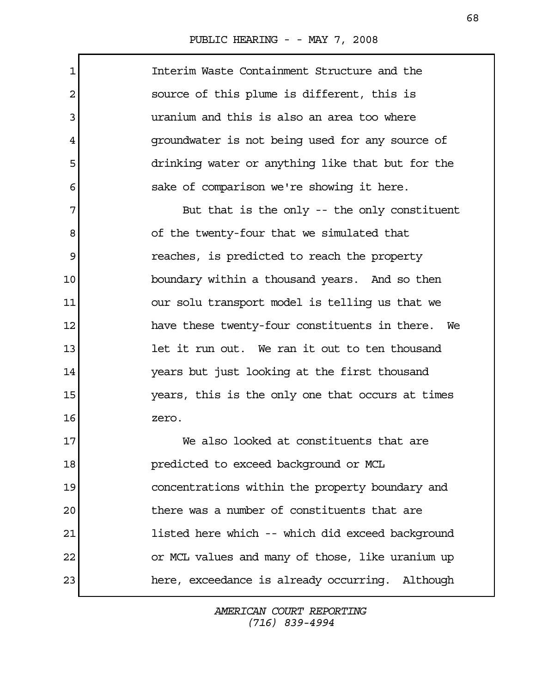| $\mathbf 1$ | Interim Waste Containment Structure and the      |
|-------------|--------------------------------------------------|
| 2           | source of this plume is different, this is       |
| 3           | uranium and this is also an area too where       |
| 4           | groundwater is not being used for any source of  |
| 5           | drinking water or anything like that but for the |
| 6           | sake of comparison we're showing it here.        |
| 7           | But that is the only -- the only constituent     |
| 8           | of the twenty-four that we simulated that        |
| 9           | reaches, is predicted to reach the property      |
| 10          | boundary within a thousand years. And so then    |
| 11          | our solu transport model is telling us that we   |
| 12          | have these twenty-four constituents in there. We |
| 13          | let it run out. We ran it out to ten thousand    |
| 14          | years but just looking at the first thousand     |
| 15          | years, this is the only one that occurs at times |
| 16          | zero.                                            |
| 17          | We also looked at constituents that are          |
| 18          | predicted to exceed background or MCL            |
| 19          | concentrations within the property boundary and  |
| 20          | there was a number of constituents that are      |
| 21          | listed here which -- which did exceed background |
| 22          | or MCL values and many of those, like uranium up |
| 23          | here, exceedance is already occurring. Although  |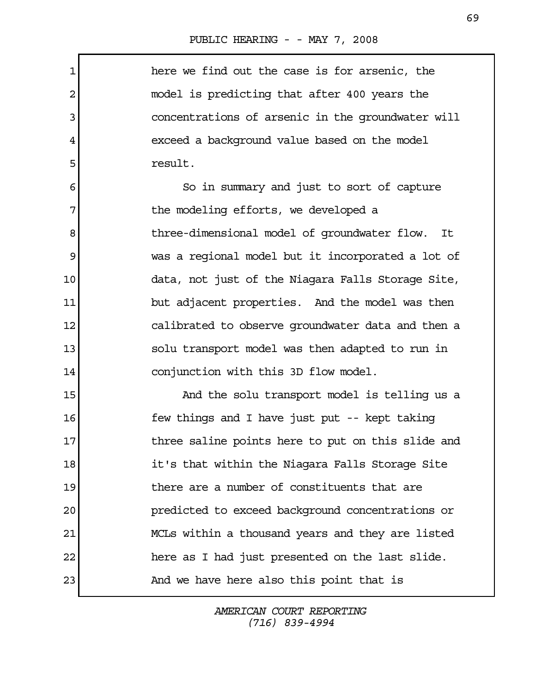1 here we find out the case is for arsenic, the 2 model is predicting that after 400 years the 3 concentrations of arsenic in the groundwater will 4 exceed a background value based on the model 5 **1** result. 6 So in summary and just to sort of capture 7 The modeling efforts, we developed a 8 18 18 three-dimensional model of groundwater flow. It 9 was a regional model but it incorporated a lot of 10 data, not just of the Niagara Falls Storage Site, 11 but adjacent properties. And the model was then 12 calibrated to observe groundwater data and then a 13 solu transport model was then adapted to run in 14 conjunction with this 3D flow model. 15 And the solu transport model is telling us a 16 **few things and I have just put -- kept taking** 17 17 three saline points here to put on this slide and 18 it's that within the Niagara Falls Storage Site 19 there are a number of constituents that are 20 predicted to exceed background concentrations or 21 MCLs within a thousand years and they are listed 22 here as I had just presented on the last slide. 23 And we have here also this point that is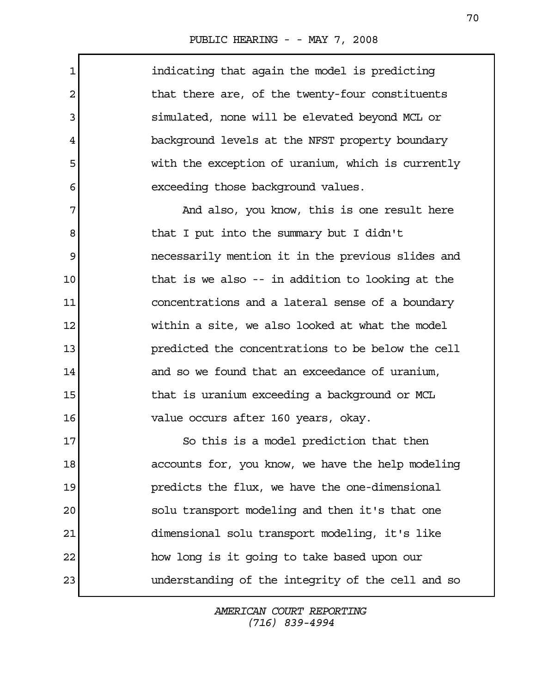| $\mathbf 1$    | indicating that again the model is predicting     |
|----------------|---------------------------------------------------|
| $\overline{2}$ | that there are, of the twenty-four constituents   |
| 3              | simulated, none will be elevated beyond MCL or    |
| 4              | background levels at the NFST property boundary   |
| 5              | with the exception of uranium, which is currently |
| 6              | exceeding those background values.                |
| 7              | And also, you know, this is one result here       |
| 8              | that I put into the summary but I didn't          |
| 9              | necessarily mention it in the previous slides and |
| 10             | that is we also -- in addition to looking at the  |
| 11             | concentrations and a lateral sense of a boundary  |
| 12             | within a site, we also looked at what the model   |
| 13             | predicted the concentrations to be below the cell |
| 14             | and so we found that an exceedance of uranium,    |
| 15             | that is uranium exceeding a background or MCL     |
| 16             | value occurs after 160 years, okay.               |
| 17             | So this is a model prediction that then           |
| 18             | accounts for, you know, we have the help modeling |
| 19             | predicts the flux, we have the one-dimensional    |
| 20             | solu transport modeling and then it's that one    |
| 21             | dimensional solu transport modeling, it's like    |
| 22             | how long is it going to take based upon our       |
| 23             | understanding of the integrity of the cell and so |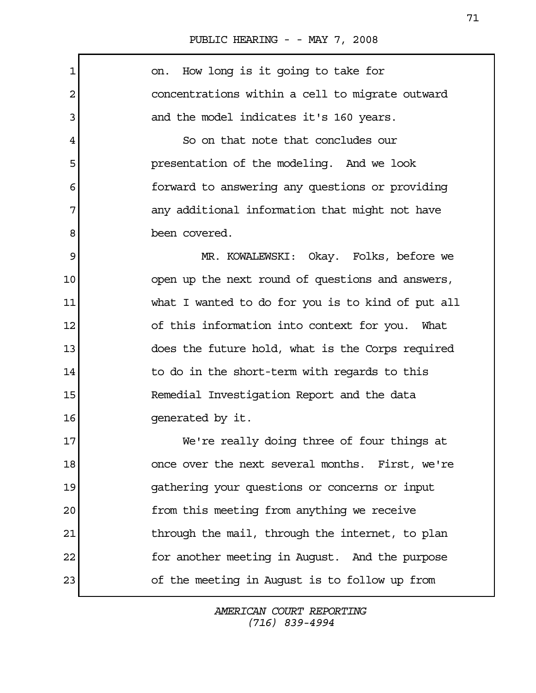| $\mathbf{1}$ | How long is it going to take for<br>on.           |
|--------------|---------------------------------------------------|
| 2            | concentrations within a cell to migrate outward   |
| 3            | and the model indicates it's 160 years.           |
| 4            | So on that note that concludes our                |
| 5            | presentation of the modeling. And we look         |
| 6            | forward to answering any questions or providing   |
| 7            | any additional information that might not have    |
| 8            | been covered.                                     |
| 9            | MR. KOWALEWSKI: Okay. Folks, before we            |
| 10           | open up the next round of questions and answers,  |
| 11           | what I wanted to do for you is to kind of put all |
| 12           | of this information into context for you. What    |
| 13           | does the future hold, what is the Corps required  |
| 14           | to do in the short-term with regards to this      |
| 15           | Remedial Investigation Report and the data        |
| 16           | generated by it.                                  |
| 17           | We're really doing three of four things at        |
| 18           | once over the next several months. First, we're   |
| 19           | gathering your questions or concerns or input     |
| 20           | from this meeting from anything we receive        |
| 21           | through the mail, through the internet, to plan   |
| 22           | for another meeting in August. And the purpose    |
| 23           | of the meeting in August is to follow up from     |
|              |                                                   |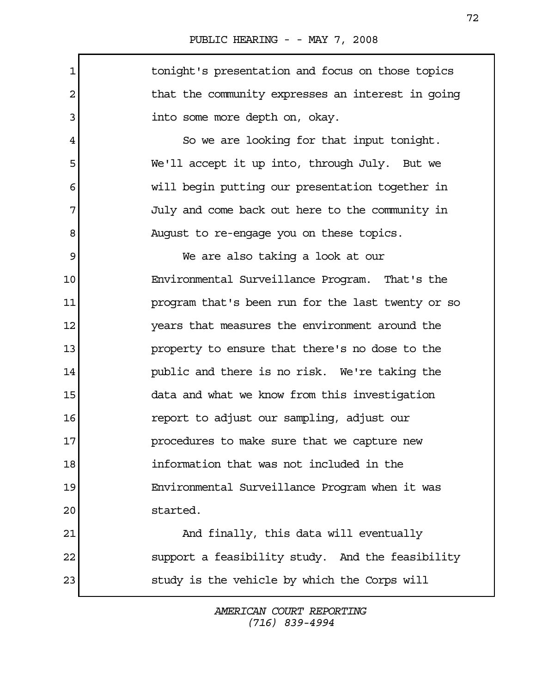1 1 1 tonight's presentation and focus on those topics 2 1 3 into some more depth on, okay. 4 So we are looking for that input tonight. 5 We'll accept it up into, through July. But we 6 will begin putting our presentation together in 7 July and come back out here to the community in 8 August to re-engage you on these topics. 9 We are also taking a look at our 10 Environmental Surveillance Program. That's the 11 program that's been run for the last twenty or so 12 years that measures the environment around the 13 **property to ensure that there's no dose to the** 14 public and there is no risk. We're taking the 15 data and what we know from this investigation 16 report to adjust our sampling, adjust our 17 **procedures to make sure that we capture new** 18 information that was not included in the 19 Environmental Surveillance Program when it was 20 started. 21 And finally, this data will eventually 22 support a feasibility study. And the feasibility 23 study is the vehicle by which the Corps will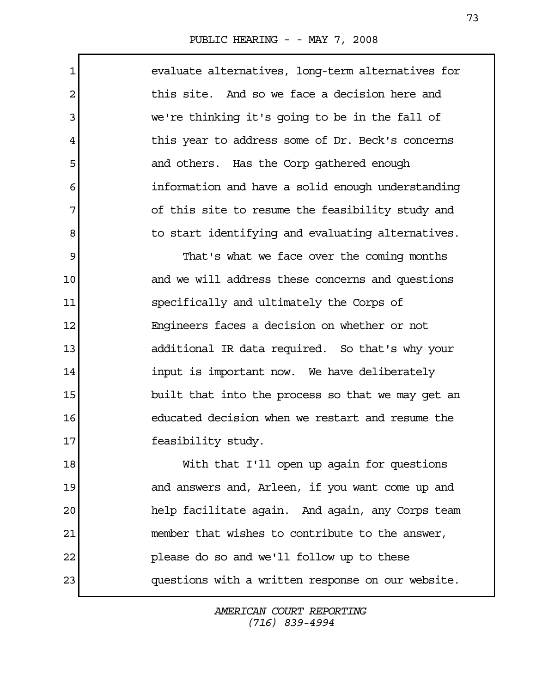Г

| $\mathbf 1$ | evaluate alternatives, long-term alternatives for |
|-------------|---------------------------------------------------|
| 2           | this site. And so we face a decision here and     |
| 3           | we're thinking it's going to be in the fall of    |
| 4           | this year to address some of Dr. Beck's concerns  |
| 5           | and others. Has the Corp gathered enough          |
| 6           | information and have a solid enough understanding |
| 7           | of this site to resume the feasibility study and  |
| 8           | to start identifying and evaluating alternatives. |
| 9           | That's what we face over the coming months        |
| 10          | and we will address these concerns and questions  |
| 11          | specifically and ultimately the Corps of          |
| 12          | Engineers faces a decision on whether or not      |
| 13          | additional IR data required. So that's why your   |
| 14          | input is important now. We have deliberately      |
| 15          | built that into the process so that we may get an |
| 16          | educated decision when we restart and resume the  |
| 17          | feasibility study.                                |
| 18          | With that I'll open up again for questions        |
| 19          | and answers and, Arleen, if you want come up and  |
| 20          | help facilitate again. And again, any Corps team  |
| 21          | member that wishes to contribute to the answer,   |
| 22          | please do so and we'll follow up to these         |
| 23          | questions with a written response on our website. |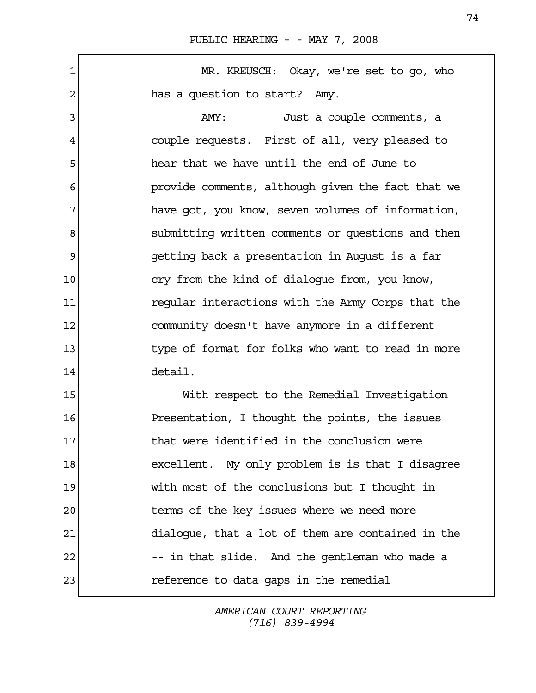1 MR. KREUSCH: Okay, we're set to go, who 2 has a question to start? Amy. 3 AMY: Just a couple comments, a 4 couple requests. First of all, very pleased to 5 hear that we have until the end of June to 6 6 provide comments, although given the fact that we 7 have got, you know, seven volumes of information, 8 submitting written comments or questions and then 9 getting back a presentation in August is a far 10 cry from the kind of dialoque from, you know, 11 regular interactions with the Army Corps that the 12 community doesn't have anymore in a different 13 13 type of format for folks who want to read in more 14 detail. 15 With respect to the Remedial Investigation 16 Presentation, I thought the points, the issues 17 **that were identified in the conclusion were** 18 excellent. My only problem is is that I disagree 19 with most of the conclusions but I thought in 20 terms of the key issues where we need more 21 dialogue, that a lot of them are contained in the 22 -- in that slide. And the gentleman who made a 23 reference to data gaps in the remedial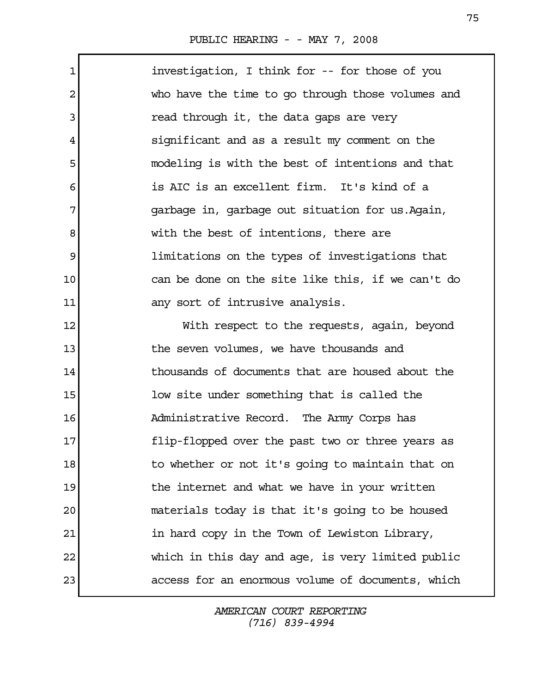$\Gamma$ 

| $\mathbf 1$    | investigation, I think for -- for those of you    |
|----------------|---------------------------------------------------|
| $\overline{a}$ | who have the time to go through those volumes and |
| 3              | read through it, the data gaps are very           |
| 4              | significant and as a result my comment on the     |
| 5              | modeling is with the best of intentions and that  |
| 6              | is AIC is an excellent firm. It's kind of a       |
| 7              | garbage in, garbage out situation for us. Again,  |
| 8              | with the best of intentions, there are            |
| 9              | limitations on the types of investigations that   |
| 10             | can be done on the site like this, if we can't do |
| 11             | any sort of intrusive analysis.                   |
| 12             | With respect to the requests, again, beyond       |
| 13             | the seven volumes, we have thousands and          |
| 14             | thousands of documents that are housed about the  |
| 15             | low site under something that is called the       |
| 16             | Administrative Record. The Army Corps has         |
| 17             | flip-flopped over the past two or three years as  |
| 18             | to whether or not it's going to maintain that on  |
| 19             | the internet and what we have in your written     |
| 20             | materials today is that it's going to be housed   |
| 21             | in hard copy in the Town of Lewiston Library,     |
| 22             | which in this day and age, is very limited public |
| 23             | access for an enormous volume of documents, which |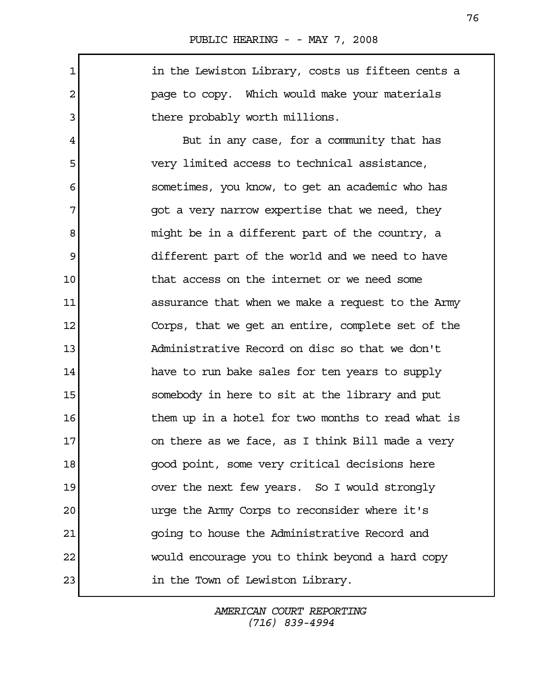1 in the Lewiston Library, costs us fifteen cents a 2 page to copy. Which would make your materials 3 bere probably worth millions.

 4 But in any case, for a community that has 5 very limited access to technical assistance, 6 sometimes, you know, to get an academic who has 7 qot a very narrow expertise that we need, they 8 might be in a different part of the country, a 9 different part of the world and we need to have 10 that access on the internet or we need some 11 assurance that when we make a request to the Army 12 Corps, that we get an entire, complete set of the 13 Administrative Record on disc so that we don't 14 have to run bake sales for ten years to supply 15 somebody in here to sit at the library and put 16 16 16 them up in a hotel for two months to read what is 17 on there as we face, as I think Bill made a very 18 good point, some very critical decisions here 19 over the next few years. So I would strongly 20 urge the Army Corps to reconsider where it's 21 going to house the Administrative Record and 22 would encourage you to think beyond a hard copy 23 in the Town of Lewiston Library.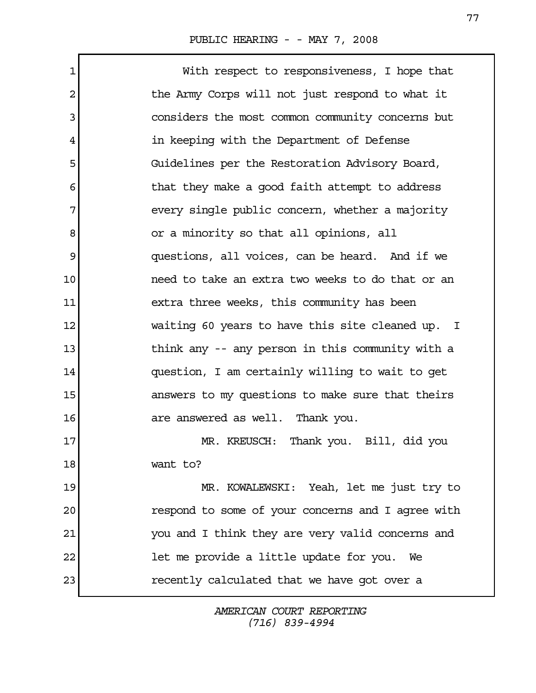| 1  | With respect to responsiveness, I hope that       |
|----|---------------------------------------------------|
| 2  | the Army Corps will not just respond to what it   |
| 3  | considers the most common community concerns but  |
| 4  | in keeping with the Department of Defense         |
| 5  | Guidelines per the Restoration Advisory Board,    |
| 6  | that they make a good faith attempt to address    |
| 7  | every single public concern, whether a majority   |
| 8  | or a minority so that all opinions, all           |
| 9  | questions, all voices, can be heard. And if we    |
| 10 | need to take an extra two weeks to do that or an  |
| 11 | extra three weeks, this community has been        |
| 12 | waiting 60 years to have this site cleaned up. I  |
| 13 | think any -- any person in this community with a  |
| 14 | question, I am certainly willing to wait to get   |
| 15 | answers to my questions to make sure that theirs  |
| 16 | are answered as well. Thank you.                  |
| 17 | Thank you. Bill, did you<br>MR. KREUSCH:          |
| 18 | want to?                                          |
| 19 | MR. KOWALEWSKI: Yeah, let me just try to          |
| 20 | respond to some of your concerns and I agree with |
| 21 | you and I think they are very valid concerns and  |
| 22 | let me provide a little update for you.<br>We     |
| 23 | recently calculated that we have got over a       |
|    |                                                   |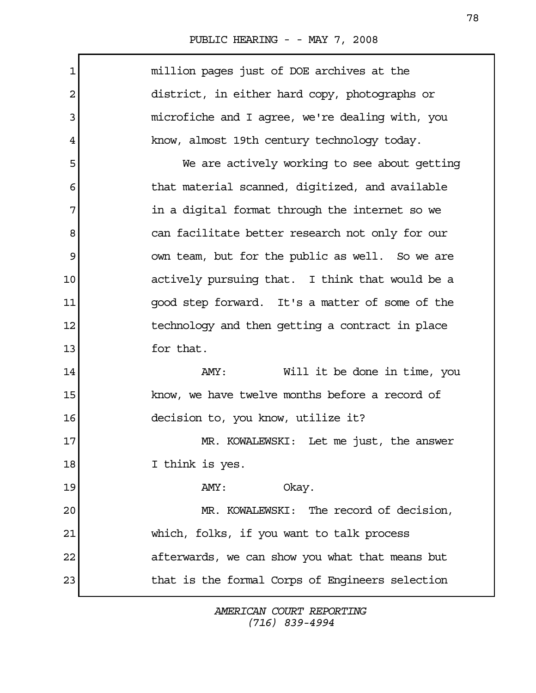|  | PUBLIC HEARING - - MAY 7, 2008 |  |  |  |  |  |
|--|--------------------------------|--|--|--|--|--|
|--|--------------------------------|--|--|--|--|--|

| $\mathbf 1$    | million pages just of DOE archives at the       |
|----------------|-------------------------------------------------|
| $\overline{2}$ | district, in either hard copy, photographs or   |
| 3              | microfiche and I agree, we're dealing with, you |
| 4              | know, almost 19th century technology today.     |
| 5              | We are actively working to see about getting    |
| 6              | that material scanned, digitized, and available |
| 7              | in a digital format through the internet so we  |
| 8              | can facilitate better research not only for our |
| 9              | own team, but for the public as well. So we are |
| 10             | actively pursuing that. I think that would be a |
| 11             | good step forward. It's a matter of some of the |
| 12             | technology and then getting a contract in place |
| 13             | for that.                                       |
| 14             | Will it be done in time, you<br>AMY:            |
| 15             | know, we have twelve months before a record of  |
| 16             | decision to, you know, utilize it?              |
| 17             | MR. KOWALEWSKI: Let me just, the answer         |
| 18             | I think is yes.                                 |
| 19             | Okay.<br>AMY:                                   |
| 20             | MR. KOWALEWSKI: The record of decision,         |
| 21             | which, folks, if you want to talk process       |
| 22             | afterwards, we can show you what that means but |
| 23             | that is the formal Corps of Engineers selection |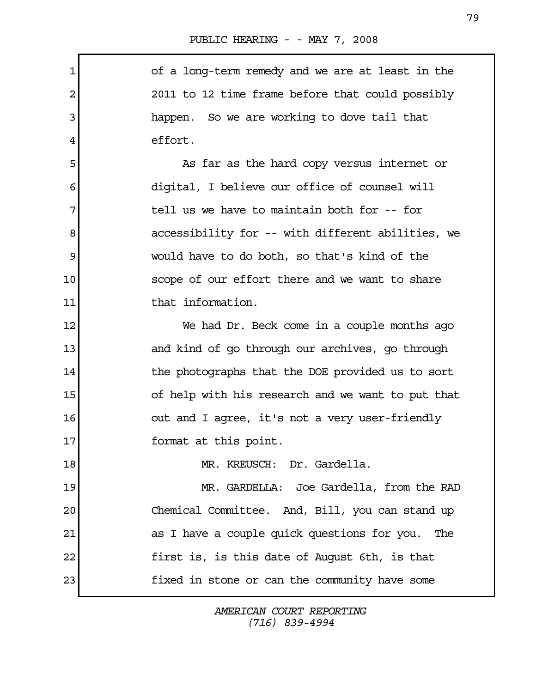$\mathbf{r}$ 

| $\mathbf 1$ | of a long-term remedy and we are at least in the   |
|-------------|----------------------------------------------------|
| 2           | 2011 to 12 time frame before that could possibly   |
| 3           | happen. So we are working to dove tail that        |
| 4           | effort.                                            |
| 5           | As far as the hard copy versus internet or         |
| 6           | digital, I believe our office of counsel will      |
| 7           | tell us we have to maintain both for -- for        |
| 8           | accessibility for -- with different abilities, we  |
| 9           | would have to do both, so that's kind of the       |
| 10          | scope of our effort there and we want to share     |
| 11          | that information.                                  |
| 12          | We had Dr. Beck come in a couple months ago        |
| 13          | and kind of go through our archives, go through    |
| 14          | the photographs that the DOE provided us to sort   |
| 15          | of help with his research and we want to put that  |
| 16          | out and I agree, it's not a very user-friendly     |
| 17          | format at this point.                              |
| 18          | MR. KREUSCH: Dr. Gardella.                         |
| 19          | MR. GARDELLA: Joe Gardella, from the RAD           |
| 20          | Chemical Committee. And, Bill, you can stand up    |
| 21          | as I have a couple quick questions for you.<br>The |
| 22          | first is, is this date of August 6th, is that      |
| 23          | fixed in stone or can the community have some      |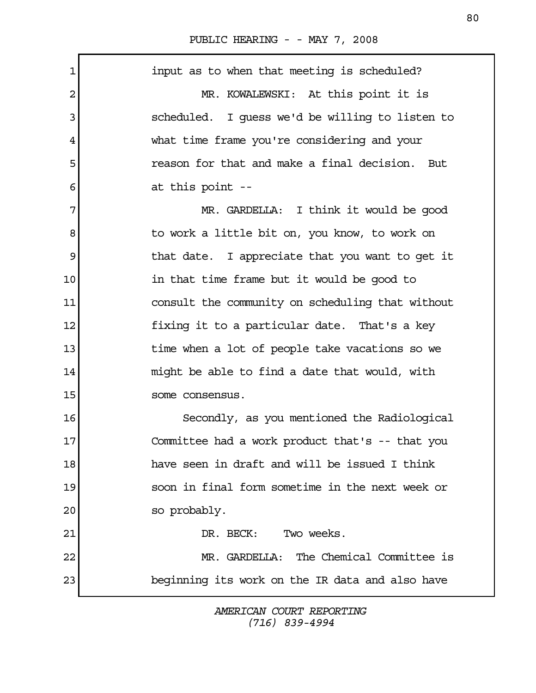| 1  | input as to when that meeting is scheduled?      |
|----|--------------------------------------------------|
| 2  | MR. KOWALEWSKI: At this point it is              |
| 3  | scheduled. I quess we'd be willing to listen to  |
| 4  | what time frame you're considering and your      |
| 5  | reason for that and make a final decision. But   |
| 6  | at this point --                                 |
| 7  | MR. GARDELLA: I think it would be good           |
| 8  | to work a little bit on, you know, to work on    |
| 9  | that date. I appreciate that you want to get it  |
| 10 | in that time frame but it would be good to       |
| 11 | consult the community on scheduling that without |
| 12 | fixing it to a particular date. That's a key     |
| 13 | time when a lot of people take vacations so we   |
| 14 | might be able to find a date that would, with    |
| 15 | some consensus.                                  |
| 16 | Secondly, as you mentioned the Radiological      |
| 17 | Committee had a work product that's -- that you  |
| 18 | have seen in draft and will be issued I think    |
| 19 | soon in final form sometime in the next week or  |
| 20 | so probably.                                     |
| 21 | DR. BECK: Two weeks.                             |
| 22 | MR. GARDELLA: The Chemical Committee is          |
| 23 | beginning its work on the IR data and also have  |
|    |                                                  |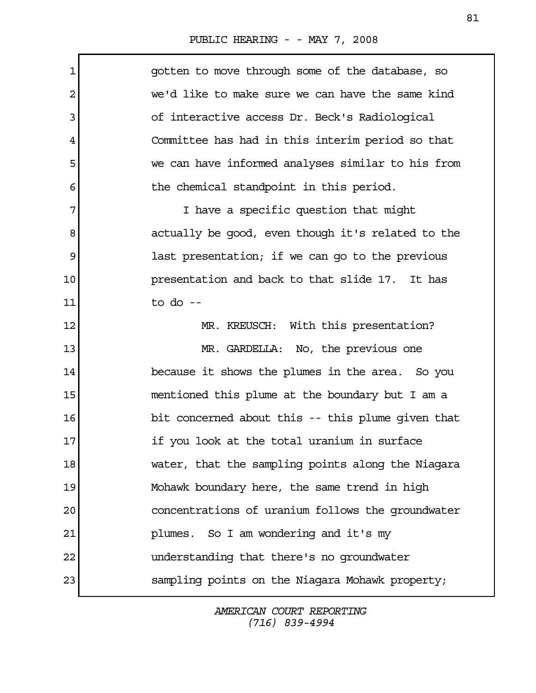$\mathbf{r}$ 

| 1  | gotten to move through some of the database, so   |
|----|---------------------------------------------------|
| 2  | we'd like to make sure we can have the same kind  |
| 3  | of interactive access Dr. Beck's Radiological     |
| 4  | Committee has had in this interim period so that  |
| 5  | we can have informed analyses similar to his from |
| 6  | the chemical standpoint in this period.           |
| 7  | I have a specific question that might             |
| 8  | actually be good, even though it's related to the |
| 9  | last presentation; if we can go to the previous   |
| 10 | presentation and back to that slide 17. It has    |
| 11 | to do $-$                                         |
| 12 | MR. KREUSCH: With this presentation?              |
| 13 | MR. GARDELLA: No, the previous one                |
| 14 | because it shows the plumes in the area. So you   |
| 15 | mentioned this plume at the boundary but I am a   |
| 16 | bit concerned about this -- this plume given that |
| 17 | if you look at the total uranium in surface       |
| 18 | water, that the sampling points along the Niagara |
| 19 | Mohawk boundary here, the same trend in high      |
| 20 | concentrations of uranium follows the groundwater |
| 21 | plumes. So I am wondering and it's my             |
| 22 | understanding that there's no groundwater         |
| 23 | sampling points on the Niagara Mohawk property;   |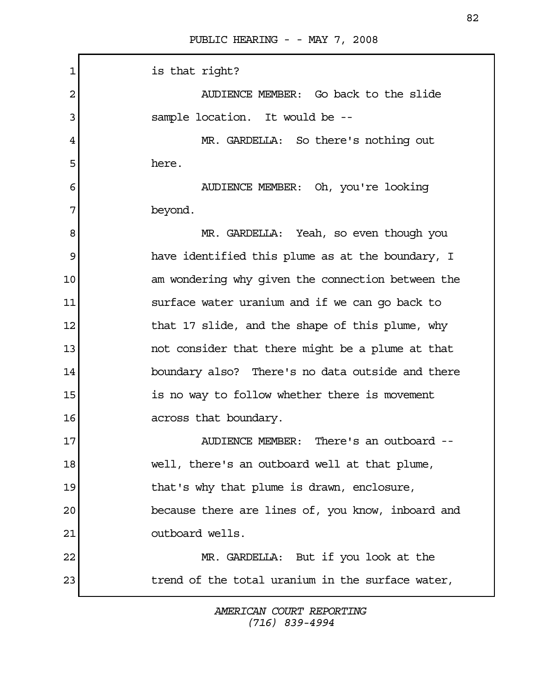| $\mathbf 1$ | is that right?                                    |
|-------------|---------------------------------------------------|
| 2           | AUDIENCE MEMBER: Go back to the slide             |
| 3           | sample location. It would be --                   |
| 4           | MR. GARDELLA: So there's nothing out              |
| 5           | here.                                             |
| 6           | AUDIENCE MEMBER: Oh, you're looking               |
| 7           | beyond.                                           |
| 8           | MR. GARDELLA: Yeah, so even though you            |
| 9           | have identified this plume as at the boundary, I  |
| 10          | am wondering why given the connection between the |
| 11          | surface water uranium and if we can go back to    |
| 12          | that 17 slide, and the shape of this plume, why   |
| 13          | not consider that there might be a plume at that  |
| 14          | boundary also? There's no data outside and there  |
| 15          | is no way to follow whether there is movement     |
| 16          | across that boundary.                             |
| 17          | AUDIENCE MEMBER: There's an outboard --           |
| 18          | well, there's an outboard well at that plume,     |
| 19          | that's why that plume is drawn, enclosure,        |
| 20          | because there are lines of, you know, inboard and |
| 21          | outboard wells.                                   |
| 22          | MR. GARDELLA: But if you look at the              |
| 23          | trend of the total uranium in the surface water,  |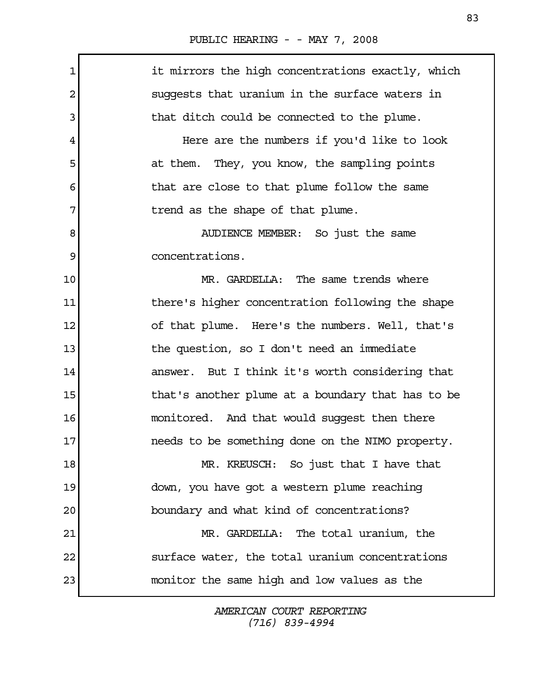| 1  | it mirrors the high concentrations exactly, which |
|----|---------------------------------------------------|
| 2  | suggests that uranium in the surface waters in    |
| 3  | that ditch could be connected to the plume.       |
| 4  | Here are the numbers if you'd like to look        |
| 5  | at them. They, you know, the sampling points      |
| 6  | that are close to that plume follow the same      |
| 7  | trend as the shape of that plume.                 |
| 8  | AUDIENCE MEMBER: So just the same                 |
| 9  | concentrations.                                   |
| 10 | MR. GARDELLA: The same trends where               |
| 11 | there's higher concentration following the shape  |
| 12 | of that plume. Here's the numbers. Well, that's   |
| 13 | the question, so I don't need an immediate        |
| 14 | answer. But I think it's worth considering that   |
| 15 | that's another plume at a boundary that has to be |
| 16 | monitored. And that would suggest then there      |
| 17 | needs to be something done on the NIMO property.  |
| 18 | MR. KREUSCH: So just that I have that             |
| 19 | down, you have got a western plume reaching       |
| 20 | boundary and what kind of concentrations?         |
| 21 | MR. GARDELLA: The total uranium, the              |
| 22 | surface water, the total uranium concentrations   |
| 23 | monitor the same high and low values as the       |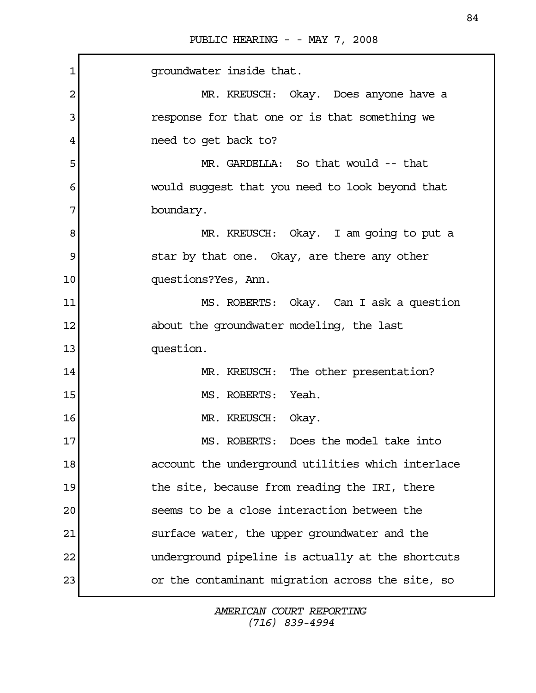| $\mathbf 1$ | qroundwater inside that.                          |
|-------------|---------------------------------------------------|
| 2           | MR. KREUSCH: Okay. Does anyone have a             |
| 3           | response for that one or is that something we     |
| 4           | need to get back to?                              |
| 5           | MR. GARDELLA: So that would -- that               |
| 6           | would suggest that you need to look beyond that   |
| 7           | boundary.                                         |
| 8           | MR. KREUSCH: Okay. I am going to put a            |
| 9           | star by that one. Okay, are there any other       |
| 10          | questions?Yes, Ann.                               |
| 11          | MS. ROBERTS: Okay. Can I ask a question           |
| 12          | about the groundwater modeling, the last          |
| 13          | question.                                         |
| 14          | MR. KREUSCH: The other presentation?              |
| 15          | MS. ROBERTS: Yeah.                                |
| 16          | MR. KREUSCH: Okay.                                |
| 17          | MS. ROBERTS: Does the model take into             |
| 18          | account the underground utilities which interlace |
| 19          | the site, because from reading the IRI, there     |
| 20          | seems to be a close interaction between the       |
| 21          | surface water, the upper groundwater and the      |
| 22          | underground pipeline is actually at the shortcuts |
| 23          | or the contaminant migration across the site, so  |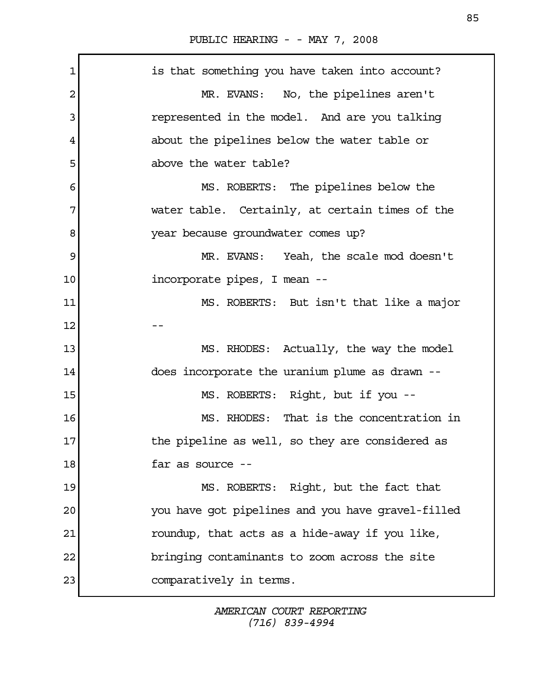1 is that something you have taken into account? 2 MR. EVANS: No, the pipelines aren't 3 represented in the model. And are you talking 4 about the pipelines below the water table or 5 above the water table? 6 MS. ROBERTS: The pipelines below the 7 water table. Certainly, at certain times of the 8 year because groundwater comes up? 9 MR. EVANS: Yeah, the scale mod doesn't 10 incorporate pipes, I mean --11 MS. ROBERTS: But isn't that like a major  $12$  --13 MS. RHODES: Actually, the way the model 14 does incorporate the uranium plume as drawn -- 15 MS. ROBERTS: Right, but if you --16 MS. RHODES: That is the concentration in 17 17 the pipeline as well, so they are considered as 18 **far as source** --19 MS. ROBERTS: Right, but the fact that 20 you have got pipelines and you have gravel-filled 21 roundup, that acts as a hide-away if you like, 22 bringing contaminants to zoom across the site 23 comparatively in terms.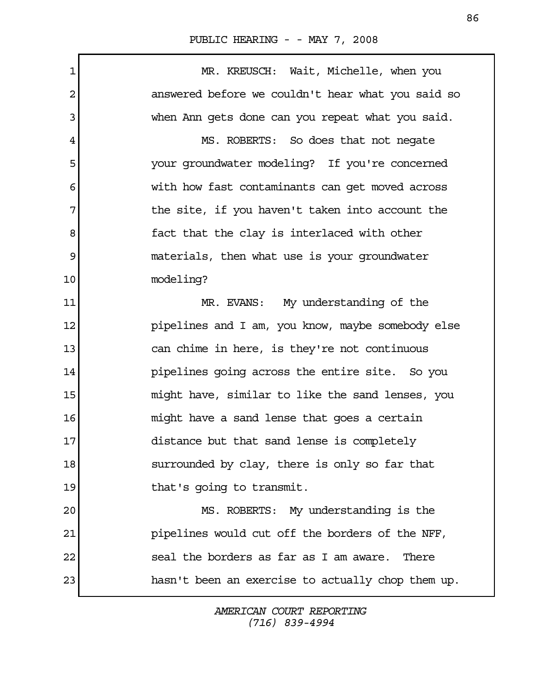1 MR. KREUSCH: Wait, Michelle, when you 2 answered before we couldn't hear what you said so 3 when Ann gets done can you repeat what you said. 4 MS. ROBERTS: So does that not negate 5 your groundwater modeling? If you're concerned 6 6 with how fast contaminants can get moved across 7 The site, if you haven't taken into account the 8 a fact that the clay is interlaced with other 9 materials, then what use is your groundwater 10 modeling? 11 MR. EVANS: My understanding of the 12 **pipelines and I am, you know, maybe somebody else** 13 can chime in here, is they're not continuous 14 pipelines going across the entire site. So you 15 might have, similar to like the sand lenses, you 16 might have a sand lense that goes a certain 17 distance but that sand lense is completely 18 surrounded by clay, there is only so far that 19 that's going to transmit. 20 MS. ROBERTS: My understanding is the 21 pipelines would cut off the borders of the NFF, 22 seal the borders as far as I am aware. There 23 hasn't been an exercise to actually chop them up.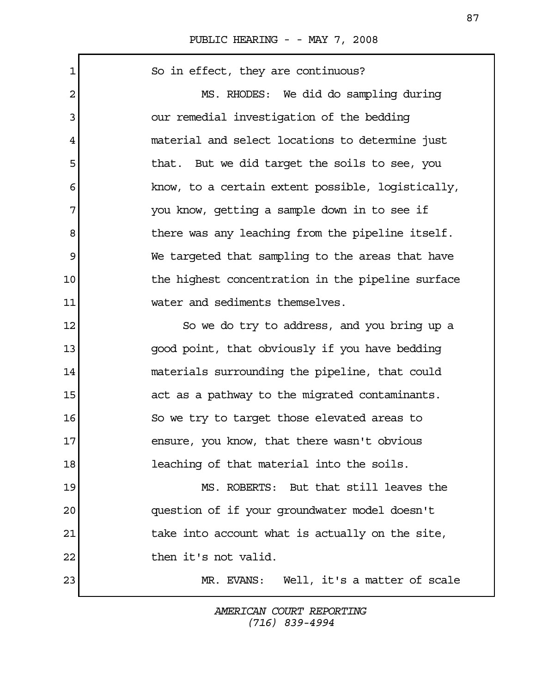1 So in effect, they are continuous? 2 MS. RHODES: We did do sampling during 3 our remedial investigation of the bedding 4 material and select locations to determine just 5 that. But we did target the soils to see, you 6 know, to a certain extent possible, logistically, 7 you know, getting a sample down in to see if 8 b there was any leaching from the pipeline itself. 9 We targeted that sampling to the areas that have 10 10 the highest concentration in the pipeline surface 11 water and sediments themselves. 12 So we do try to address, and you bring up a 13 good point, that obviously if you have bedding 14 materials surrounding the pipeline, that could 15 act as a pathway to the migrated contaminants. 16 So we try to target those elevated areas to 17 ensure, you know, that there wasn't obvious 18 leaching of that material into the soils. 19 MS. ROBERTS: But that still leaves the 20 question of if your groundwater model doesn't 21 1 122 take into account what is actually on the site, 22 then it's not valid. 23 MR. EVANS: Well, it's a matter of scale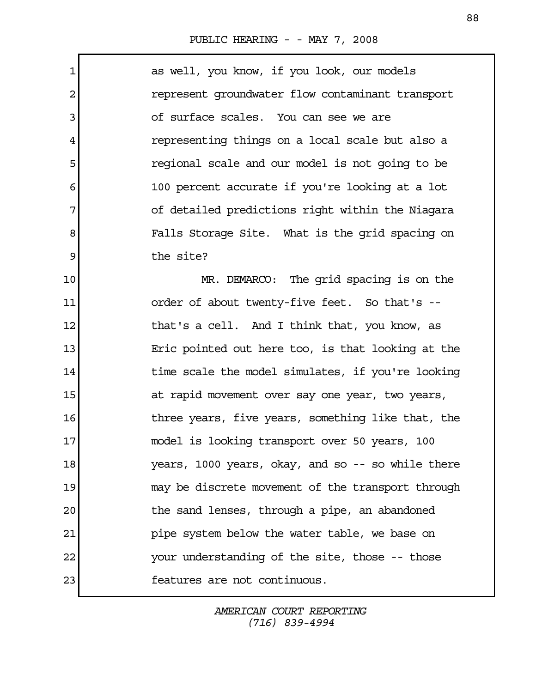$\Gamma$ 

| $\mathbf 1$ | as well, you know, if you look, our models        |
|-------------|---------------------------------------------------|
| 2           | represent groundwater flow contaminant transport  |
| 3           | of surface scales. You can see we are             |
| 4           | representing things on a local scale but also a   |
| 5           | regional scale and our model is not going to be   |
| 6           | 100 percent accurate if you're looking at a lot   |
| 7           | of detailed predictions right within the Niagara  |
| 8           | Falls Storage Site. What is the grid spacing on   |
| 9           | the site?                                         |
| 10          | MR. DEMARCO: The grid spacing is on the           |
| 11          | order of about twenty-five feet. So that's --     |
| 12          | that's a cell. And I think that, you know, as     |
| 13          | Eric pointed out here too, is that looking at the |
| 14          | time scale the model simulates, if you're looking |
| 15          | at rapid movement over say one year, two years,   |
| 16          | three years, five years, something like that, the |
| 17          | model is looking transport over 50 years, 100     |
| 18          | years, 1000 years, okay, and so -- so while there |
| 19          | may be discrete movement of the transport through |
| 20          | the sand lenses, through a pipe, an abandoned     |
| 21          | pipe system below the water table, we base on     |
| 22          | your understanding of the site, those -- those    |
| 23          | features are not continuous.                      |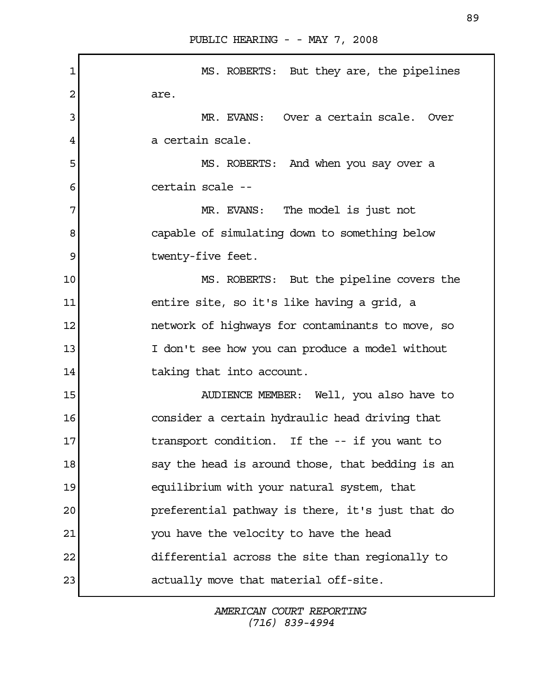| 1  | MS. ROBERTS: But they are, the pipelines         |
|----|--------------------------------------------------|
| 2  | are.                                             |
| 3  | MR. EVANS: Over a certain scale. Over            |
| 4  | a certain scale.                                 |
| 5  | MS. ROBERTS: And when you say over a             |
| 6  | certain scale --                                 |
| 7  | MR. EVANS: The model is just not                 |
| 8  | capable of simulating down to something below    |
| 9  | twenty-five feet.                                |
| 10 | MS. ROBERTS: But the pipeline covers the         |
| 11 | entire site, so it's like having a grid, a       |
| 12 | network of highways for contaminants to move, so |
| 13 | I don't see how you can produce a model without  |
| 14 | taking that into account.                        |
| 15 | AUDIENCE MEMBER: Well, you also have to          |
| 16 | consider a certain hydraulic head driving that   |
| 17 | transport condition. If the -- if you want to    |
| 18 | say the head is around those, that bedding is an |
| 19 | equilibrium with your natural system, that       |
| 20 | preferential pathway is there, it's just that do |
| 21 | you have the velocity to have the head           |
| 22 | differential across the site than regionally to  |
| 23 | actually move that material off-site.            |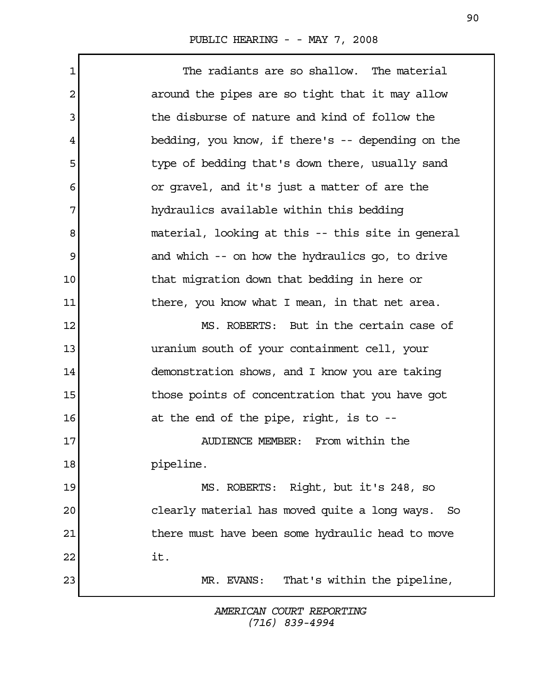1 The radiants are so shallow. The material 2 around the pipes are so tight that it may allow 3 the disburse of nature and kind of follow the 4 bedding, you know, if there's -- depending on the 5 type of bedding that's down there, usually sand 6 or gravel, and it's just a matter of are the 7 hydraulics available within this bedding 8 material, looking at this -- this site in general 9 and which -- on how the hydraulics go, to drive 10 10 that migration down that bedding in here or 11 1 there, you know what I mean, in that net area. 12 MS. ROBERTS: But in the certain case of 13 uranium south of your containment cell, your 14 demonstration shows, and I know you are taking 15 15 those points of concentration that you have got 16 at the end of the pipe, right, is to --17 AUDIENCE MEMBER: From within the 18 **pipeline**. 19 MS. ROBERTS: Right, but it's 248, so 20 clearly material has moved quite a long ways. So 21 1 there must have been some hydraulic head to move  $22$  it. 23 MR. EVANS: That's within the pipeline,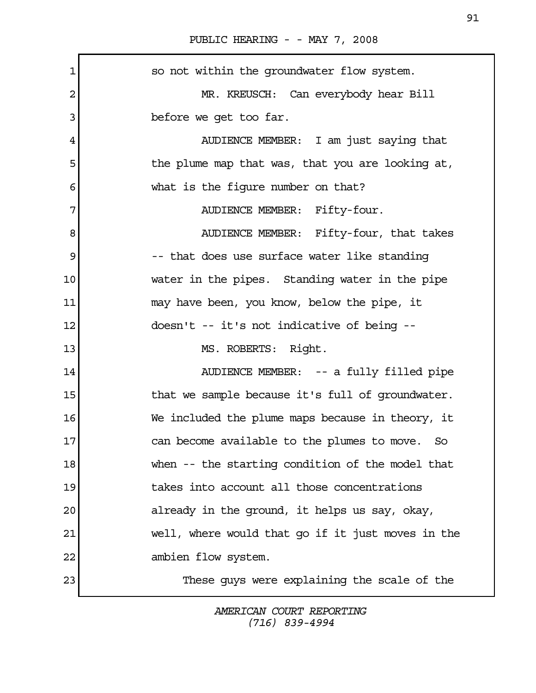1 so not within the groundwater flow system. 2 MR. KREUSCH: Can everybody hear Bill 3 before we get too far. 4 AUDIENCE MEMBER: I am just saying that 5 the plume map that was, that you are looking at, 6 what is the figure number on that? 7 AUDIENCE MEMBER: Fifty-four. 8 AUDIENCE MEMBER: Fifty-four, that takes 9 -- that does use surface water like standing 10 water in the pipes. Standing water in the pipe 11 may have been, you know, below the pipe, it 12 doesn't -- it's not indicative of being -- 13 MS. ROBERTS: Right. 14 AUDIENCE MEMBER: -- a fully filled pipe 15 15 that we sample because it's full of groundwater. 16 We included the plume maps because in theory, it 17 can become available to the plumes to move. So 18 when -- the starting condition of the model that 19 takes into account all those concentrations 20 already in the ground, it helps us say, okay, 21 well, where would that go if it just moves in the 22 ambien flow system. 23 These guys were explaining the scale of the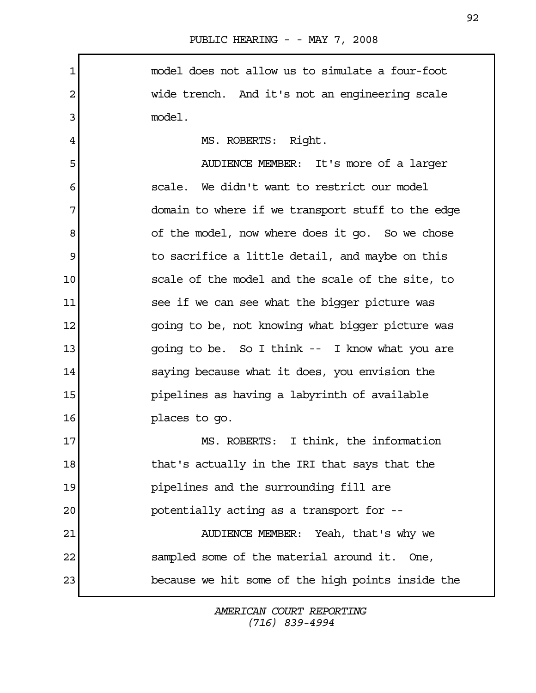1 model does not allow us to simulate a four-foot 2 wide trench. And it's not an engineering scale 3 model. 4 MS. ROBERTS: Right. 5 AUDIENCE MEMBER: It's more of a larger 6 scale. We didn't want to restrict our model 7 domain to where if we transport stuff to the edge 8 of the model, now where does it go. So we chose 9 119 to sacrifice a little detail, and maybe on this 10 scale of the model and the scale of the site, to 11 see if we can see what the bigger picture was 12 going to be, not knowing what bigger picture was 13 **13** going to be. So I think -- I know what you are 14 saying because what it does, you envision the 15 pipelines as having a labyrinth of available 16 places to go. 17 MS. ROBERTS: I think, the information 18 18 that's actually in the IRI that says that the 19 pipelines and the surrounding fill are 20 potentially acting as a transport for -- 21 AUDIENCE MEMBER: Yeah, that's why we 22 sampled some of the material around it. One, 23 because we hit some of the high points inside the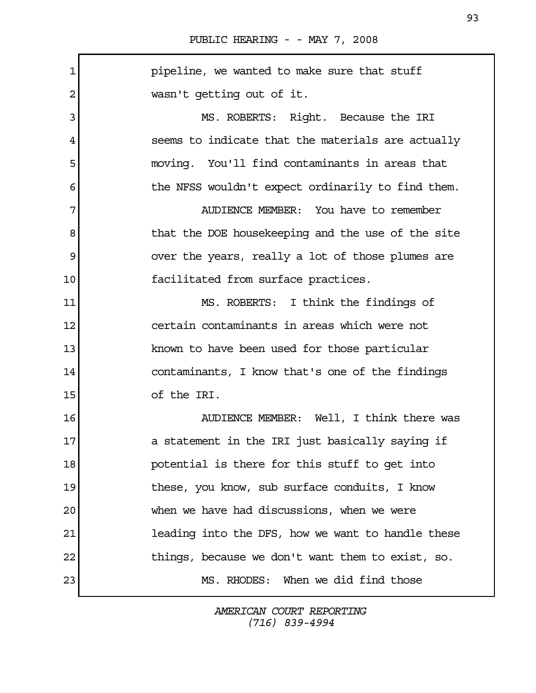1 **pipeline, we wanted to make sure that stuff** 2 wasn't getting out of it. 3 MS. ROBERTS: Right. Because the IRI 4 seems to indicate that the materials are actually 5 moving. You'll find contaminants in areas that 6 the NFSS wouldn't expect ordinarily to find them. 7 AUDIENCE MEMBER: You have to remember 8 below that the DOE house keeping and the use of the site 9 over the years, really a lot of those plumes are 10 facilitated from surface practices. 11 MS. ROBERTS: I think the findings of 12 certain contaminants in areas which were not 13 known to have been used for those particular 14 contaminants, I know that's one of the findings 15 of the IRI. 16 AUDIENCE MEMBER: Well, I think there was 17 a statement in the IRI just basically saying if 18 **potential is there for this stuff to get into** 19 19 these, you know, sub surface conduits, I know 20 when we have had discussions, when we were 21 **leading into the DFS, how we want to handle these** 22 things, because we don't want them to exist, so. 23 MS. RHODES: When we did find those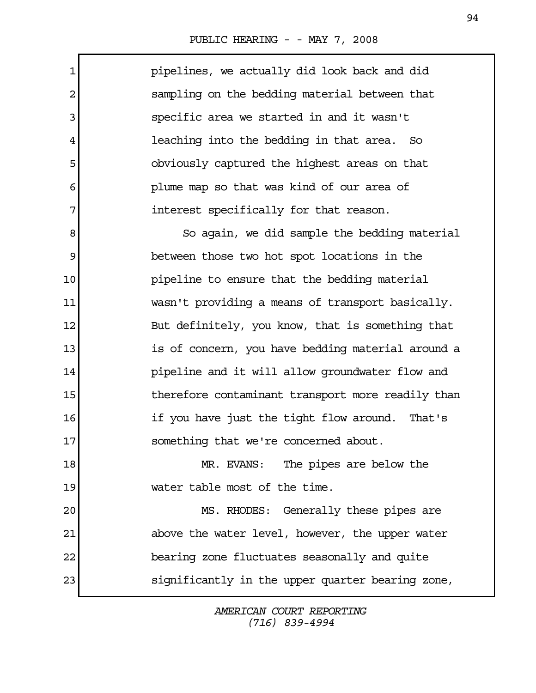Г

| pipelines, we actually did look back and did            |
|---------------------------------------------------------|
| sampling on the bedding material between that           |
| specific area we started in and it wasn't               |
| leaching into the bedding in that area. So              |
| obviously captured the highest areas on that            |
| plume map so that was kind of our area of               |
| interest specifically for that reason.                  |
| So again, we did sample the bedding material            |
| between those two hot spot locations in the             |
| pipeline to ensure that the bedding material            |
| wasn't providing a means of transport basically.        |
| But definitely, you know, that is something that        |
| is of concern, you have bedding material around a       |
| pipeline and it will allow groundwater flow and         |
| 15<br>therefore contaminant transport more readily than |
| if you have just the tight flow around. That's          |
| 17<br>something that we're concerned about.             |
| MR. EVANS: The pipes are below the                      |
| water table most of the time.                           |
| MS. RHODES: Generally these pipes are                   |
| above the water level, however, the upper water         |
| bearing zone fluctuates seasonally and quite            |
| significantly in the upper quarter bearing zone,        |
|                                                         |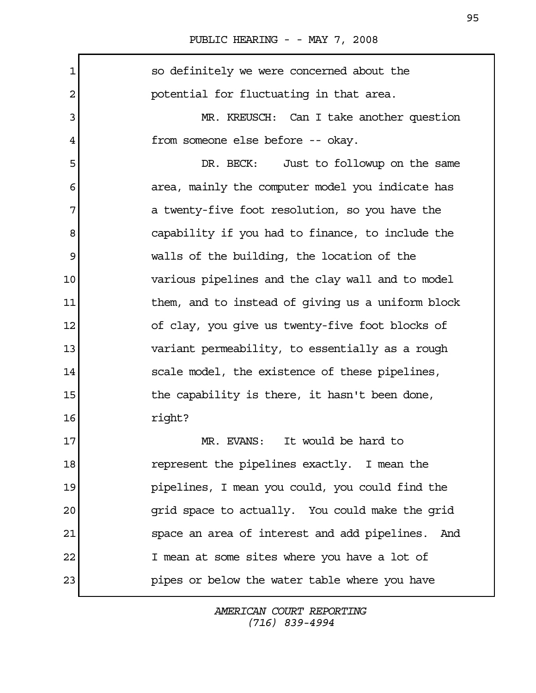| 1  | so definitely we were concerned about the         |
|----|---------------------------------------------------|
| 2  | potential for fluctuating in that area.           |
| 3  | MR. KREUSCH: Can I take another question          |
| 4  | from someone else before -- okay.                 |
| 5  | DR. BECK:<br>Just to followup on the same         |
| 6  | area, mainly the computer model you indicate has  |
| 7  | a twenty-five foot resolution, so you have the    |
| 8  | capability if you had to finance, to include the  |
| 9  | walls of the building, the location of the        |
| 10 | various pipelines and the clay wall and to model  |
| 11 | them, and to instead of giving us a uniform block |
| 12 | of clay, you give us twenty-five foot blocks of   |
| 13 | variant permeability, to essentially as a rough   |
| 14 | scale model, the existence of these pipelines,    |
| 15 | the capability is there, it hasn't been done,     |
| 16 | right?                                            |
| 17 | It would be hard to<br>MR. EVANS:                 |
| 18 | represent the pipelines exactly. I mean the       |
| 19 | pipelines, I mean you could, you could find the   |
| 20 | grid space to actually. You could make the grid   |
| 21 | space an area of interest and add pipelines. And  |
| 22 | I mean at some sites where you have a lot of      |
| 23 | pipes or below the water table where you have     |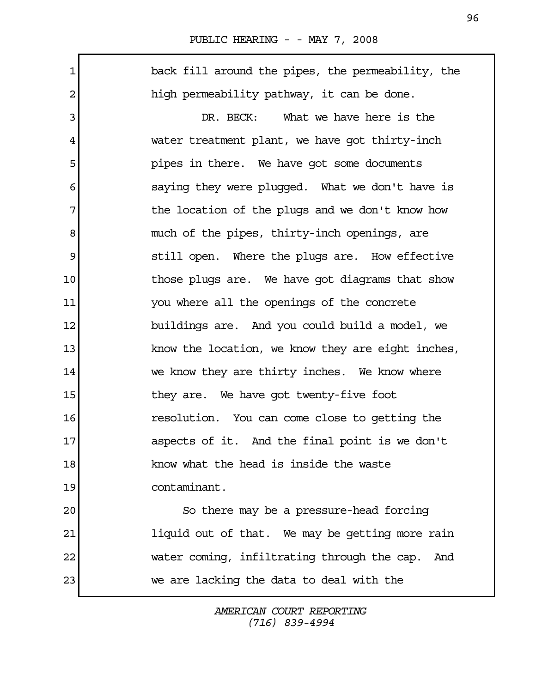$\Gamma$ 

| $\mathbf 1$ | back fill around the pipes, the permeability, the  |
|-------------|----------------------------------------------------|
| 2           | high permeability pathway, it can be done.         |
| 3           | DR. BECK: What we have here is the                 |
| 4           | water treatment plant, we have got thirty-inch     |
| 5           | pipes in there. We have got some documents         |
| 6           | saying they were plugged. What we don't have is    |
| 7           | the location of the plugs and we don't know how    |
| 8           | much of the pipes, thirty-inch openings, are       |
| 9           | still open. Where the plugs are. How effective     |
| 10          | those plugs are. We have got diagrams that show    |
| 11          | you where all the openings of the concrete         |
| 12          | buildings are. And you could build a model, we     |
| 13          | know the location, we know they are eight inches,  |
| 14          | we know they are thirty inches. We know where      |
| 15          | they are. We have got twenty-five foot             |
| 16          | resolution. You can come close to getting the      |
| 17          | aspects of it. And the final point is we don't     |
| 18          | know what the head is inside the waste             |
| 19          | contaminant.                                       |
| 20          | So there may be a pressure-head forcing            |
| 21          | liquid out of that. We may be getting more rain    |
| 22          | water coming, infiltrating through the cap.<br>And |
| 23          | we are lacking the data to deal with the           |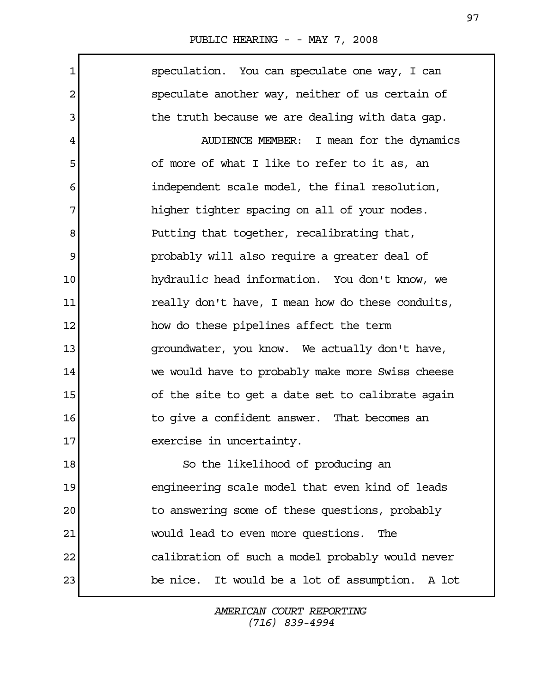| PUBLIC HEARING - - MAY 7, 2008 |  |  |  |  |
|--------------------------------|--|--|--|--|
|--------------------------------|--|--|--|--|

 1 speculation. You can speculate one way, I can 2 speculate another way, neither of us certain of 3 b the truth because we are dealing with data gap. 4 AUDIENCE MEMBER: I mean for the dynamics 5 5 of more of what I like to refer to it as, an 6 independent scale model, the final resolution, 7 higher tighter spacing on all of your nodes. 8 Putting that together, recalibrating that, 9 **probably will also require a greater deal of** 10 hydraulic head information. You don't know, we 11 really don't have, I mean how do these conduits, 12 how do these pipelines affect the term 13 groundwater, you know. We actually don't have, 14 we would have to probably make more Swiss cheese 15 of the site to get a date set to calibrate again 16 16 to give a confident answer. That becomes an 17 exercise in uncertainty. 18 So the likelihood of producing an 19 engineering scale model that even kind of leads 20 to answering some of these questions, probably 21 would lead to even more questions. The 22 calibration of such a model probably would never 23 be nice. It would be a lot of assumption. A lot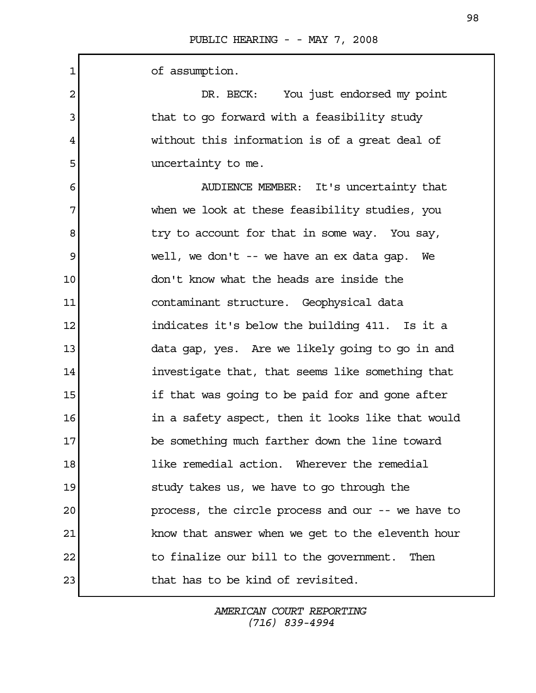1 of assumption. 2 DR. BECK: You just endorsed my point 3 intubate to go forward with a feasibility study 4 without this information is of a great deal of 5 state of the uncertainty to me. 6 AUDIENCE MEMBER: It's uncertainty that 7 when we look at these feasibility studies, you 8 a stry to account for that in some way. You say, 9 well, we don't -- we have an ex data gap. We 10 don't know what the heads are inside the 11 contaminant structure. Geophysical data 12 **indicates it's below the building 411.** Is it a 13 data gap, yes. Are we likely going to go in and 14 investigate that, that seems like something that 15 if that was going to be paid for and gone after 16 in a safety aspect, then it looks like that would 17 be something much farther down the line toward 18 like remedial action. Wherever the remedial 19 study takes us, we have to go through the 20 process, the circle process and our -- we have to 21 know that answer when we get to the eleventh hour 22 to finalize our bill to the government. Then 23 that has to be kind of revisited.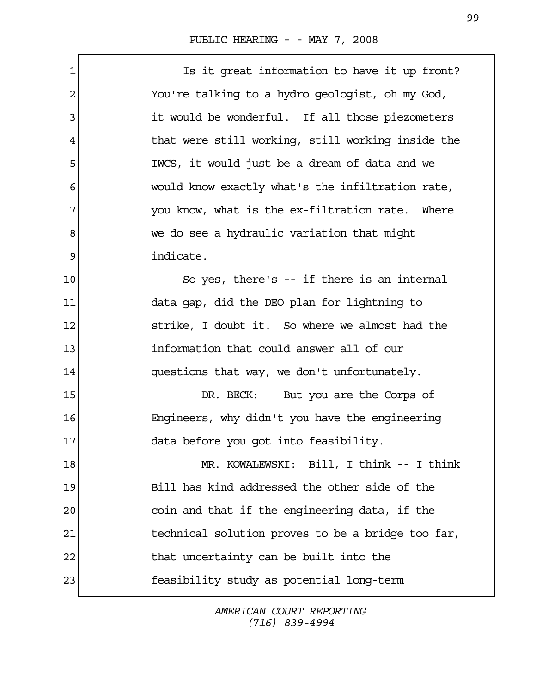$\Gamma$ 

| 1  | Is it great information to have it up front?      |
|----|---------------------------------------------------|
| 2  | You're talking to a hydro geologist, oh my God,   |
| 3  | it would be wonderful. If all those piezometers   |
| 4  | that were still working, still working inside the |
| 5  | IWCS, it would just be a dream of data and we     |
| 6  | would know exactly what's the infiltration rate,  |
| 7  | you know, what is the ex-filtration rate. Where   |
| 8  | we do see a hydraulic variation that might        |
| 9  | indicate.                                         |
| 10 | So yes, there's -- if there is an internal        |
| 11 | data gap, did the DEO plan for lightning to       |
| 12 | strike, I doubt it. So where we almost had the    |
| 13 | information that could answer all of our          |
| 14 | questions that way, we don't unfortunately.       |
| 15 | DR. BECK: But you are the Corps of                |
| 16 | Engineers, why didn't you have the engineering    |
| 17 | data before you got into feasibility.             |
| 18 | MR. KOWALEWSKI: Bill, I think -- I think          |
| 19 | Bill has kind addressed the other side of the     |
| 20 | coin and that if the engineering data, if the     |
| 21 | technical solution proves to be a bridge too far, |
| 22 | that uncertainty can be built into the            |
| 23 | feasibility study as potential long-term          |
|    |                                                   |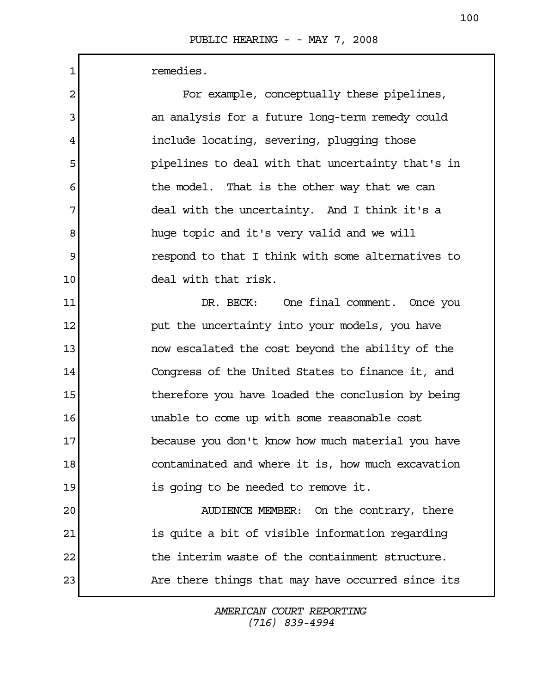| $\mathbf 1$    | remedies.                                         |
|----------------|---------------------------------------------------|
| $\overline{2}$ | For example, conceptually these pipelines,        |
| 3              | an analysis for a future long-term remedy could   |
| 4              | include locating, severing, plugging those        |
| 5              | pipelines to deal with that uncertainty that's in |
| 6              | the model. That is the other way that we can      |
| 7              | deal with the uncertainty. And I think it's a     |
| 8              | huge topic and it's very valid and we will        |
| 9              | respond to that I think with some alternatives to |
| 10             | deal with that risk.                              |
| 11             | DR. BECK: One final comment. Once you             |
| 12             | put the uncertainty into your models, you have    |
| 13             | now escalated the cost beyond the ability of the  |
| 14             | Congress of the United States to finance it, and  |
| 15             | therefore you have loaded the conclusion by being |
| 16             | unable to come up with some reasonable cost       |
| 17             | because you don't know how much material you have |
| 18             | contaminated and where it is, how much excavation |
| 19             | is going to be needed to remove it.               |
| 20             | AUDIENCE MEMBER: On the contrary, there           |
| 21             | is quite a bit of visible information regarding   |
| 22             | the interim waste of the containment structure.   |
| 23             | Are there things that may have occurred since its |
|                |                                                   |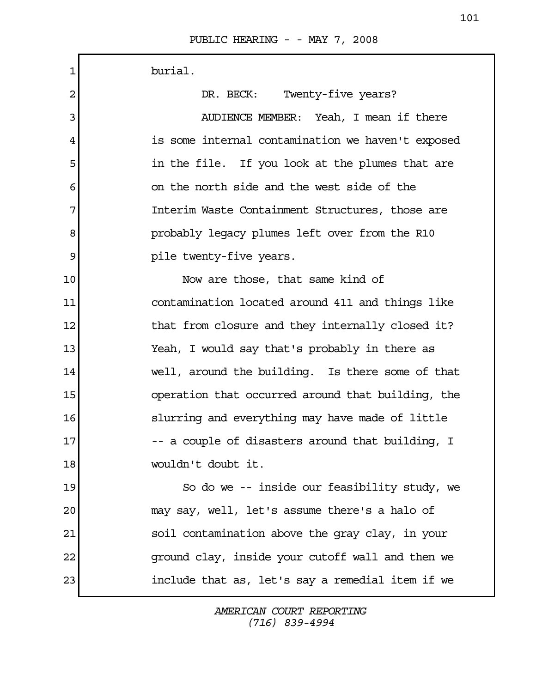| 1  | burial.                                           |
|----|---------------------------------------------------|
| 2  | Twenty-five years?<br>DR. BECK:                   |
| 3  | AUDIENCE MEMBER: Yeah, I mean if there            |
| 4  | is some internal contamination we haven't exposed |
| 5  | in the file. If you look at the plumes that are   |
| 6  | on the north side and the west side of the        |
| 7  | Interim Waste Containment Structures, those are   |
| 8  | probably legacy plumes left over from the R10     |
| 9  | pile twenty-five years.                           |
| 10 | Now are those, that same kind of                  |
| 11 | contamination located around 411 and things like  |
| 12 | that from closure and they internally closed it?  |
| 13 | Yeah, I would say that's probably in there as     |
| 14 | well, around the building. Is there some of that  |
| 15 | operation that occurred around that building, the |
| 16 | slurring and everything may have made of little   |
| 17 | a couple of disasters around that building, I     |
| 18 | wouldn't doubt it.                                |
| 19 | So do we -- inside our feasibility study, we      |
| 20 | may say, well, let's assume there's a halo of     |
| 21 | soil contamination above the gray clay, in your   |
| 22 | ground clay, inside your cutoff wall and then we  |
| 23 | include that as, let's say a remedial item if we  |
|    |                                                   |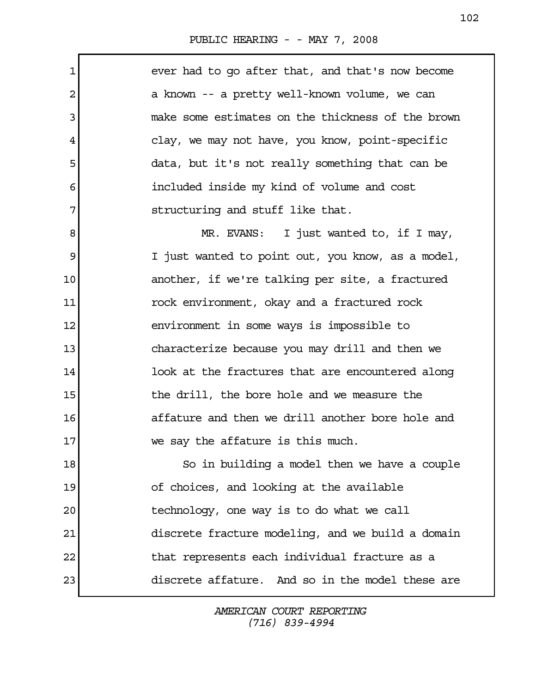$\Gamma$ 

| ever had to go after that, and that's now become   |
|----------------------------------------------------|
| a known -- a pretty well-known volume, we can      |
| make some estimates on the thickness of the brown  |
| clay, we may not have, you know, point-specific    |
| data, but it's not really something that can be    |
| included inside my kind of volume and cost         |
| 7<br>structuring and stuff like that.              |
| MR. EVANS: I just wanted to, if I may,             |
| I just wanted to point out, you know, as a model,  |
| another, if we're talking per site, a fractured    |
| rock environment, okay and a fractured rock        |
| environment in some ways is impossible to          |
| characterize because you may drill and then we     |
| look at the fractures that are encountered along   |
| the drill, the bore hole and we measure the        |
| affature and then we drill another bore hole and   |
| 17<br>we say the affature is this much.            |
| 18<br>So in building a model then we have a couple |
| of choices, and looking at the available           |
| technology, one way is to do what we call          |
| discrete fracture modeling, and we build a domain  |
| that represents each individual fracture as a      |
| discrete affature. And so in the model these are   |
|                                                    |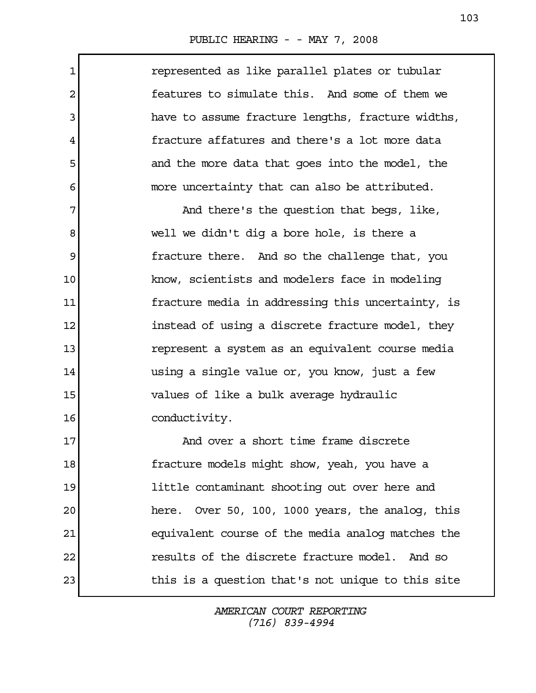| 1              | represented as like parallel plates or tubular      |
|----------------|-----------------------------------------------------|
| $\overline{2}$ | features to simulate this. And some of them we      |
| 3              | have to assume fracture lengths, fracture widths,   |
| 4              | fracture affatures and there's a lot more data      |
| 5              | and the more data that goes into the model, the     |
| 6              | more uncertainty that can also be attributed.       |
| 7              | And there's the question that begs, like,           |
| 8              | well we didn't dig a bore hole, is there a          |
| 9              | fracture there. And so the challenge that, you      |
| 10             | know, scientists and modelers face in modeling      |
| 11             | fracture media in addressing this uncertainty, is   |
| 12             | instead of using a discrete fracture model, they    |
| 13             | represent a system as an equivalent course media    |
| 14             | using a single value or, you know, just a few       |
| 15             | values of like a bulk average hydraulic             |
| 16             | conductivity.                                       |
| 17             | And over a short time frame discrete                |
| 18             | fracture models might show, yeah, you have a        |
| 19             | little contaminant shooting out over here and       |
| 20             | Over 50, 100, 1000 years, the analog, this<br>here. |
| 21             | equivalent course of the media analog matches the   |
| 22             | results of the discrete fracture model. And so      |
| 23             | this is a question that's not unique to this site   |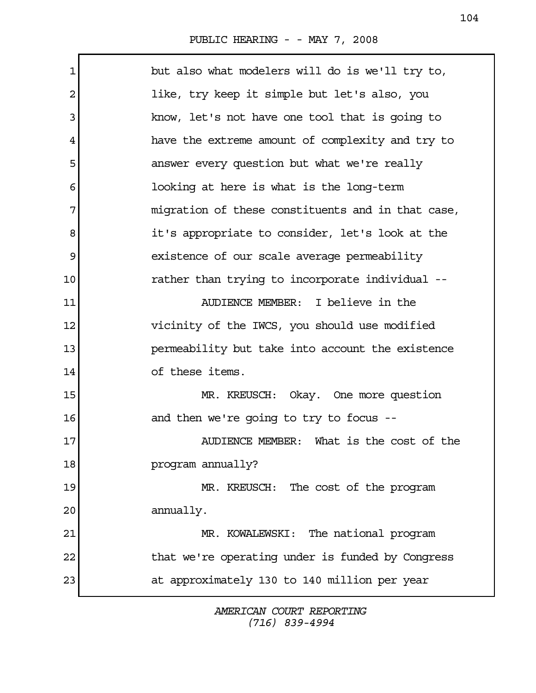| 1  | but also what modelers will do is we'll try to,   |
|----|---------------------------------------------------|
| 2  | like, try keep it simple but let's also, you      |
| 3  | know, let's not have one tool that is going to    |
| 4  | have the extreme amount of complexity and try to  |
| 5  | answer every question but what we're really       |
| 6  | looking at here is what is the long-term          |
| 7  | migration of these constituents and in that case, |
| 8  | it's appropriate to consider, let's look at the   |
| 9  | existence of our scale average permeability       |
| 10 | rather than trying to incorporate individual --   |
| 11 | AUDIENCE MEMBER: I believe in the                 |
| 12 | vicinity of the IWCS, you should use modified     |
| 13 | permeability but take into account the existence  |
| 14 | of these items.                                   |
| 15 | MR. KREUSCH: Okay. One more question              |
| 16 | and then we're going to try to focus --           |
| 17 | AUDIENCE MEMBER: What is the cost of the          |
| 18 | program annually?                                 |
| 19 | MR. KREUSCH: The cost of the program              |
| 20 | annually.                                         |
| 21 | MR. KOWALEWSKI: The national program              |
| 22 | that we're operating under is funded by Congress  |
| 23 | at approximately 130 to 140 million per year      |
|    |                                                   |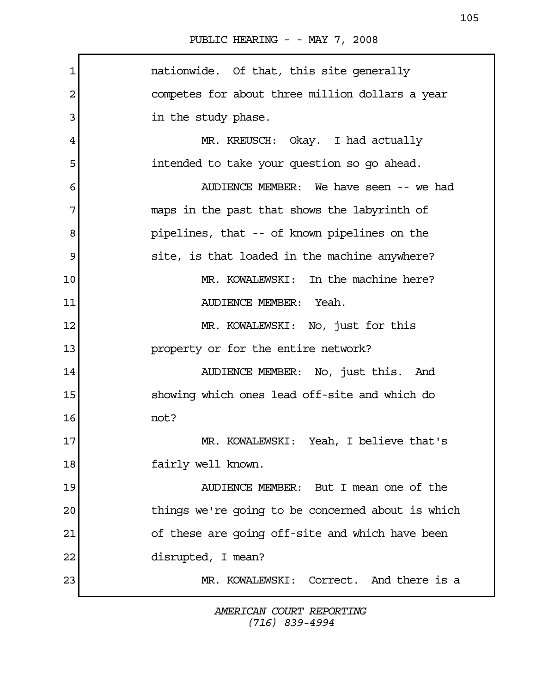| 1  | nationwide. Of that, this site generally          |
|----|---------------------------------------------------|
| 2  | competes for about three million dollars a year   |
| 3  | in the study phase.                               |
| 4  | MR. KREUSCH: Okay. I had actually                 |
| 5  | intended to take your question so go ahead.       |
| 6  | AUDIENCE MEMBER: We have seen -- we had           |
| 7  | maps in the past that shows the labyrinth of      |
| 8  | pipelines, that -- of known pipelines on the      |
| 9  | site, is that loaded in the machine anywhere?     |
| 10 | MR. KOWALEWSKI: In the machine here?              |
| 11 | AUDIENCE MEMBER: Yeah.                            |
| 12 | MR. KOWALEWSKI: No, just for this                 |
| 13 | property or for the entire network?               |
| 14 | AUDIENCE MEMBER: No, just this. And               |
| 15 | showing which ones lead off-site and which do     |
| 16 | not?                                              |
| 17 | MR. KOWALEWSKI: Yeah, I believe that's            |
| 18 | fairly well known.                                |
| 19 | AUDIENCE MEMBER: But I mean one of the            |
| 20 | things we're going to be concerned about is which |
| 21 | of these are going off-site and which have been   |
| 22 | disrupted, I mean?                                |
| 23 | MR. KOWALEWSKI: Correct. And there is a           |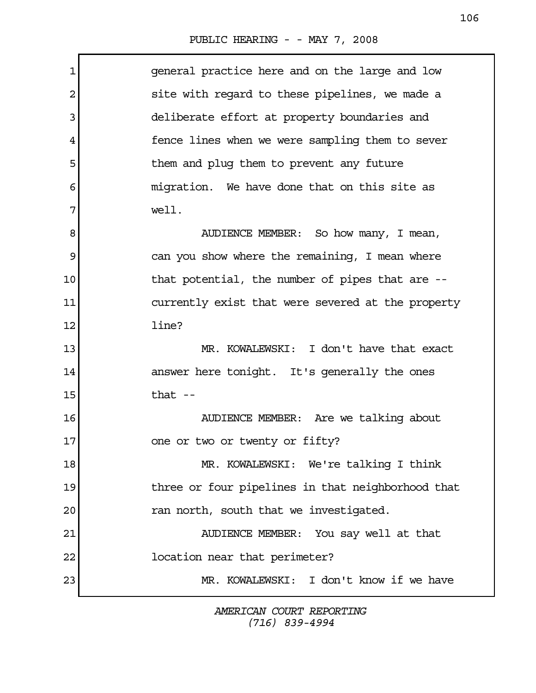| $\mathbf 1$ | general practice here and on the large and low    |
|-------------|---------------------------------------------------|
| 2           | site with regard to these pipelines, we made a    |
| 3           | deliberate effort at property boundaries and      |
| 4           | fence lines when we were sampling them to sever   |
| 5           | them and plug them to prevent any future          |
| 6           | migration. We have done that on this site as      |
| 7           | well.                                             |
| 8           | AUDIENCE MEMBER: So how many, I mean,             |
| 9           | can you show where the remaining, I mean where    |
| 10          | that potential, the number of pipes that are --   |
| 11          | currently exist that were severed at the property |
| 12          | line?                                             |
| 13          | MR. KOWALEWSKI: I don't have that exact           |
| 14          | answer here tonight. It's generally the ones      |
| 15          | that $-$                                          |
| 16          | AUDIENCE MEMBER: Are we talking about             |
| 17          | one or two or twenty or fifty?                    |
| 18          | MR. KOWALEWSKI: We're talking I think             |
| 19          | three or four pipelines in that neighborhood that |
| 20          | ran north, south that we investigated.            |
| 21          | AUDIENCE MEMBER: You say well at that             |
| 22          | location near that perimeter?                     |
| 23          | MR. KOWALEWSKI: I don't know if we have           |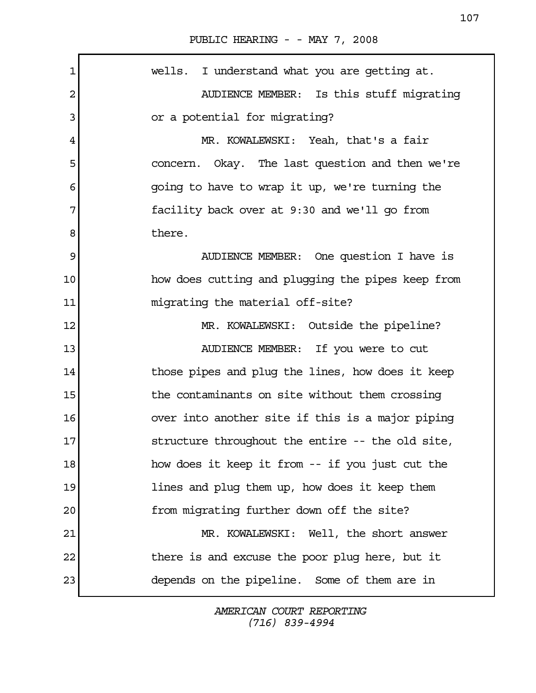| $\mathbf 1$ | wells. I understand what you are getting at.      |
|-------------|---------------------------------------------------|
| 2           | AUDIENCE MEMBER: Is this stuff migrating          |
| 3           | or a potential for migrating?                     |
| 4           | MR. KOWALEWSKI: Yeah, that's a fair               |
| 5           | concern. Okay. The last question and then we're   |
| 6           | going to have to wrap it up, we're turning the    |
| 7           | facility back over at 9:30 and we'll go from      |
| 8           | there.                                            |
| 9           | AUDIENCE MEMBER: One question I have is           |
| 10          | how does cutting and plugging the pipes keep from |
| 11          | migrating the material off-site?                  |
| 12          | MR. KOWALEWSKI: Outside the pipeline?             |
| 13          | AUDIENCE MEMBER: If you were to cut               |
| 14          | those pipes and plug the lines, how does it keep  |
| 15          | the contaminants on site without them crossing    |
| 16          | over into another site if this is a major piping  |
| 17          | structure throughout the entire -- the old site,  |
| 18          | how does it keep it from -- if you just cut the   |
| 19          | lines and plug them up, how does it keep them     |
| 20          | from migrating further down off the site?         |
| 21          | MR. KOWALEWSKI: Well, the short answer            |
| 22          | there is and excuse the poor plug here, but it    |
| 23          | depends on the pipeline. Some of them are in      |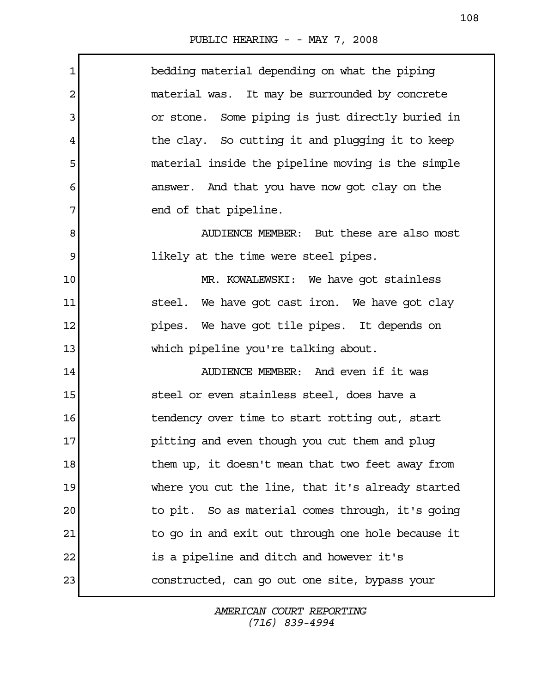$\mathbf{r}$ 

| $\mathbf 1$ | bedding material depending on what the piping     |
|-------------|---------------------------------------------------|
| 2           | material was. It may be surrounded by concrete    |
| 3           | or stone. Some piping is just directly buried in  |
| 4           | the clay. So cutting it and plugging it to keep   |
| 5           | material inside the pipeline moving is the simple |
| 6           | answer. And that you have now got clay on the     |
| 7           | end of that pipeline.                             |
| 8           | AUDIENCE MEMBER: But these are also most          |
| 9           | likely at the time were steel pipes.              |
| 10          | MR. KOWALEWSKI: We have got stainless             |
| 11          | steel. We have got cast iron. We have got clay    |
| 12          | pipes. We have got tile pipes. It depends on      |
| 13          | which pipeline you're talking about.              |
| 14          | AUDIENCE MEMBER: And even if it was               |
| 15          | steel or even stainless steel, does have a        |
| 16          | tendency over time to start rotting out, start    |
| 17          | pitting and even though you cut them and plug     |
| 18          | them up, it doesn't mean that two feet away from  |
| 19          | where you cut the line, that it's already started |
| 20          | to pit. So as material comes through, it's going  |
| 21          | to go in and exit out through one hole because it |
| 22          | is a pipeline and ditch and however it's          |
| 23          | constructed, can go out one site, bypass your     |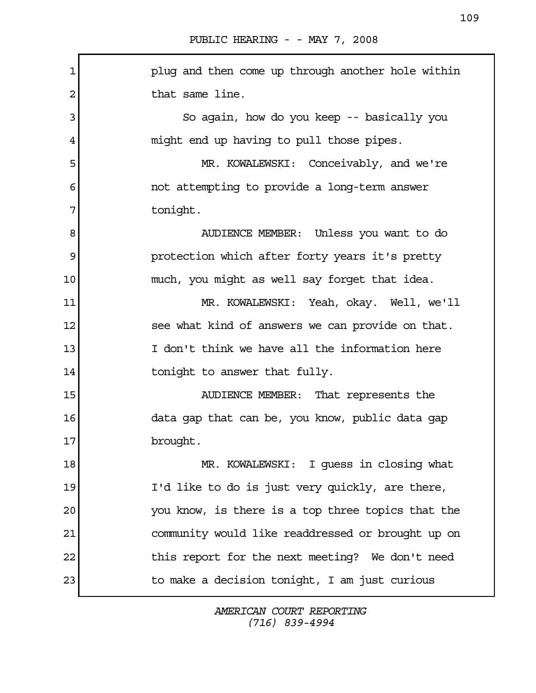1 plug and then come up through another hole within 2 a that same line. 3 So again, how do you keep -- basically you 4 might end up having to pull those pipes. 5 MR. KOWALEWSKI: Conceivably, and we're 6 not attempting to provide a long-term answer 7 tonight. 8 AUDIENCE MEMBER: Unless you want to do 9 **protection which after forty years it's pretty** 10 much, you might as well say forget that idea. 11 MR. KOWALEWSKI: Yeah, okay. Well, we'll 12 see what kind of answers we can provide on that. 13 I don't think we have all the information here 14 tonight to answer that fully. 15 AUDIENCE MEMBER: That represents the 16 data gap that can be, you know, public data gap 17 brought. 18 MR. KOWALEWSKI: I guess in closing what 19 I'd like to do is just very quickly, are there, 20 you know, is there is a top three topics that the 21 community would like readdressed or brought up on 22 this report for the next meeting? We don't need 23 to make a decision tonight, I am just curious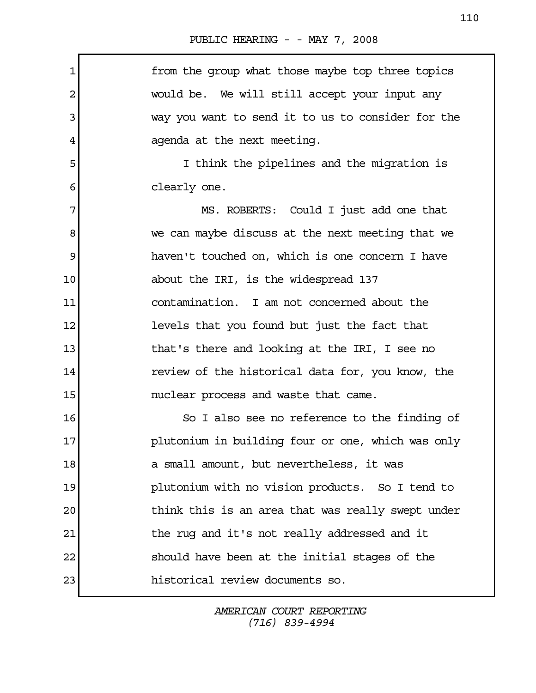| 1  | from the group what those maybe top three topics  |
|----|---------------------------------------------------|
| 2  | would be. We will still accept your input any     |
| 3  | way you want to send it to us to consider for the |
| 4  | agenda at the next meeting.                       |
| 5  | I think the pipelines and the migration is        |
| 6  | clearly one.                                      |
| 7  | MS. ROBERTS: Could I just add one that            |
| 8  | we can maybe discuss at the next meeting that we  |
| 9  | haven't touched on, which is one concern I have   |
| 10 | about the IRI, is the widespread 137              |
| 11 | contamination. I am not concerned about the       |
| 12 | levels that you found but just the fact that      |
| 13 | that's there and looking at the IRI, I see no     |
| 14 | review of the historical data for, you know, the  |
| 15 | nuclear process and waste that came.              |
| 16 | So I also see no reference to the finding of      |
| 17 | plutonium in building four or one, which was only |
| 18 | a small amount, but nevertheless, it was          |
| 19 | plutonium with no vision products. So I tend to   |
| 20 | think this is an area that was really swept under |
| 21 | the rug and it's not really addressed and it      |
| 22 | should have been at the initial stages of the     |
| 23 | historical review documents so.                   |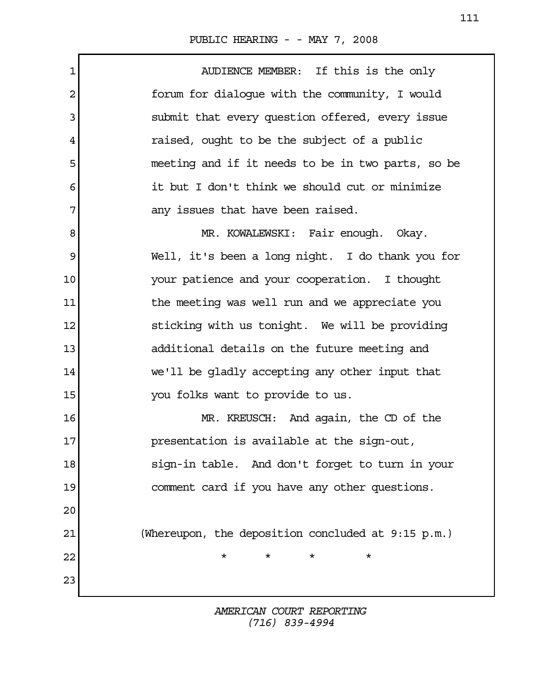1 AUDIENCE MEMBER: If this is the only 2 forum for dialogue with the community, I would 3 submit that every question offered, every issue 4 raised, ought to be the subject of a public 5 meeting and if it needs to be in two parts, so be 6 it but I don't think we should cut or minimize 7 any issues that have been raised. 8 MR. KOWALEWSKI: Fair enough. Okay. 9 Well, it's been a long night. I do thank you for 10 Your patience and your cooperation. I thought 11 11 the meeting was well run and we appreciate you 12 sticking with us tonight. We will be providing 13 additional details on the future meeting and 14 we'll be gladly accepting any other input that 15 You folks want to provide to us. 16 MR. KREUSCH: And again, the CD of the 17 presentation is available at the sign-out, 18 sign-in table. And don't forget to turn in your 19 comment card if you have any other questions. 20 21 (Whereupon, the deposition concluded at 9:15 p.m.) 22  $\overline{1}$   $\overline{1}$   $\overline{1}$   $\overline{1}$   $\overline{1}$   $\overline{1}$   $\overline{1}$   $\overline{1}$   $\overline{1}$   $\overline{1}$   $\overline{1}$   $\overline{1}$   $\overline{1}$   $\overline{1}$   $\overline{1}$   $\overline{1}$   $\overline{1}$   $\overline{1}$   $\overline{1}$   $\overline{1}$   $\overline{1}$   $\overline{1}$   $\overline{1}$   $\overline{1}$   $\$ 23